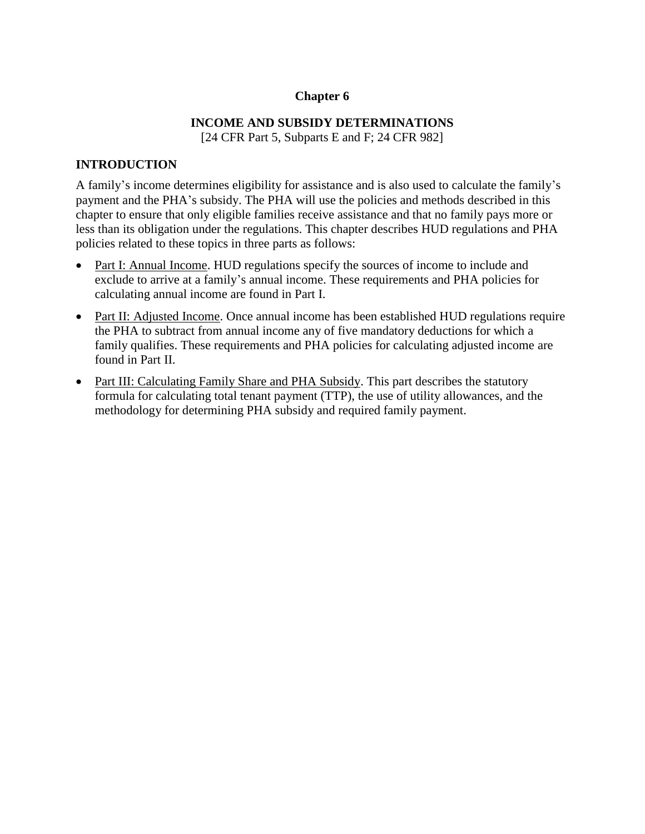## **Chapter 6**

# **INCOME AND SUBSIDY DETERMINATIONS**

[24 CFR Part 5, Subparts E and F; 24 CFR 982]

## **INTRODUCTION**

A family's income determines eligibility for assistance and is also used to calculate the family's payment and the PHA's subsidy. The PHA will use the policies and methods described in this chapter to ensure that only eligible families receive assistance and that no family pays more or less than its obligation under the regulations. This chapter describes HUD regulations and PHA policies related to these topics in three parts as follows:

- Part I: Annual Income. HUD regulations specify the sources of income to include and exclude to arrive at a family's annual income. These requirements and PHA policies for calculating annual income are found in Part I.
- Part II: Adjusted Income. Once annual income has been established HUD regulations require the PHA to subtract from annual income any of five mandatory deductions for which a family qualifies. These requirements and PHA policies for calculating adjusted income are found in Part II.
- Part III: Calculating Family Share and PHA Subsidy. This part describes the statutory formula for calculating total tenant payment (TTP), the use of utility allowances, and the methodology for determining PHA subsidy and required family payment.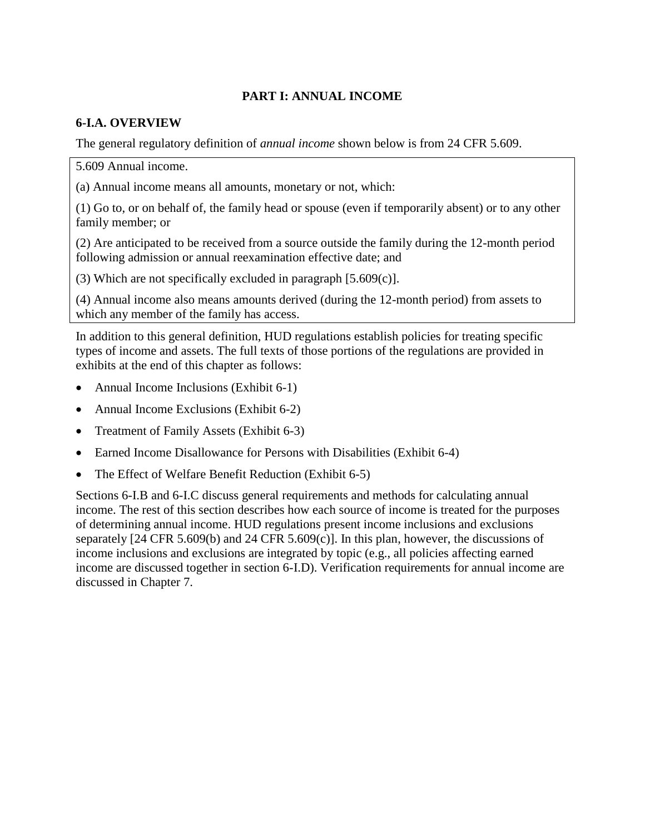# **PART I: ANNUAL INCOME**

## **6-I.A. OVERVIEW**

The general regulatory definition of *annual income* shown below is from 24 CFR 5.609.

5.609 Annual income.

(a) Annual income means all amounts, monetary or not, which:

(1) Go to, or on behalf of, the family head or spouse (even if temporarily absent) or to any other family member; or

(2) Are anticipated to be received from a source outside the family during the 12-month period following admission or annual reexamination effective date; and

(3) Which are not specifically excluded in paragraph [5.609(c)].

(4) Annual income also means amounts derived (during the 12-month period) from assets to which any member of the family has access.

In addition to this general definition, HUD regulations establish policies for treating specific types of income and assets. The full texts of those portions of the regulations are provided in exhibits at the end of this chapter as follows:

- Annual Income Inclusions (Exhibit 6-1)
- Annual Income Exclusions (Exhibit 6-2)
- Treatment of Family Assets (Exhibit 6-3)
- Earned Income Disallowance for Persons with Disabilities (Exhibit 6-4)
- The Effect of Welfare Benefit Reduction (Exhibit 6-5)

Sections 6-I.B and 6-I.C discuss general requirements and methods for calculating annual income. The rest of this section describes how each source of income is treated for the purposes of determining annual income. HUD regulations present income inclusions and exclusions separately [24 CFR 5.609(b) and 24 CFR 5.609(c)]. In this plan, however, the discussions of income inclusions and exclusions are integrated by topic (e.g., all policies affecting earned income are discussed together in section 6-I.D). Verification requirements for annual income are discussed in Chapter 7.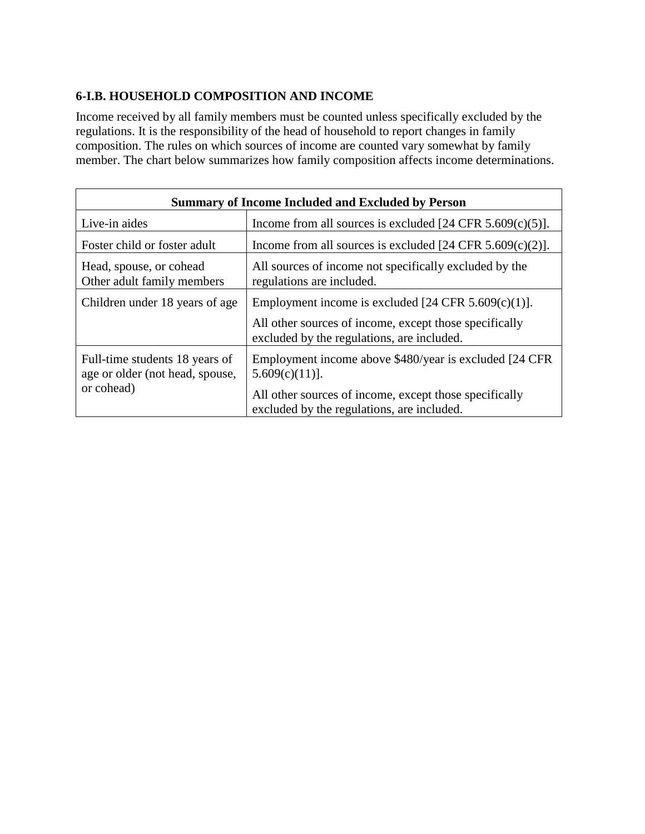# **6-I.B. HOUSEHOLD COMPOSITION AND INCOME**

Income received by all family members must be counted unless specifically excluded by the regulations. It is the responsibility of the head of household to report changes in family composition. The rules on which sources of income are counted vary somewhat by family member. The chart below summarizes how family composition affects income determinations.

| <b>Summary of Income Included and Excluded by Person</b>                        |                                                                                                      |  |
|---------------------------------------------------------------------------------|------------------------------------------------------------------------------------------------------|--|
| Live-in aides                                                                   | Income from all sources is excluded $[24 \text{ CFR } 5.609(c)(5)].$                                 |  |
| Foster child or foster adult                                                    | Income from all sources is excluded $[24 \text{ CFR } 5.609(c)(2)].$                                 |  |
| Head, spouse, or cohead<br>Other adult family members                           | All sources of income not specifically excluded by the<br>regulations are included.                  |  |
| Children under 18 years of age                                                  | Employment income is excluded $[24 \text{ CFR } 5.609(c)(1)].$                                       |  |
|                                                                                 | All other sources of income, except those specifically<br>excluded by the regulations, are included. |  |
| Full-time students 18 years of<br>age or older (not head, spouse,<br>or cohead) | Employment income above \$480/year is excluded [24 CFR]<br>$5.609(c)(11)$ ].                         |  |
|                                                                                 | All other sources of income, except those specifically<br>excluded by the regulations, are included. |  |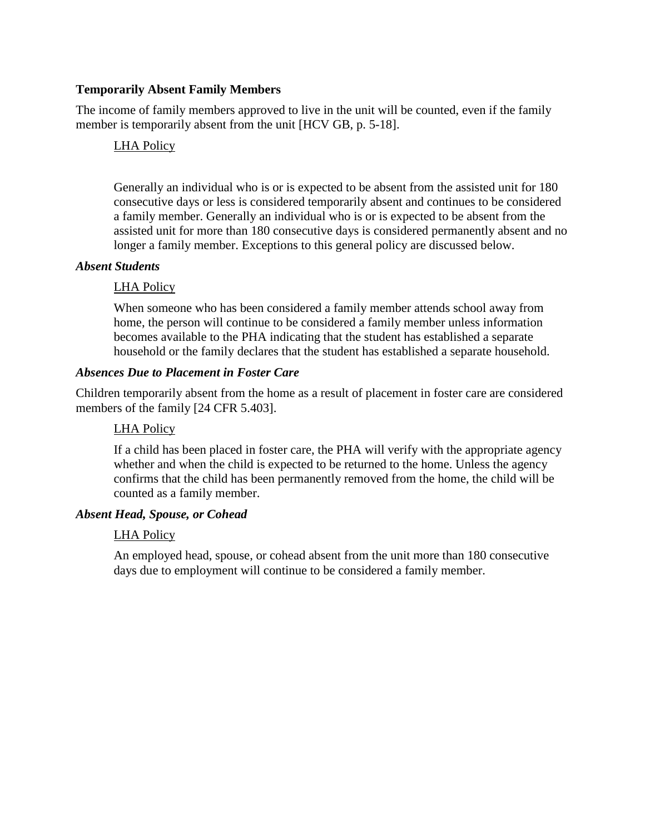### **Temporarily Absent Family Members**

The income of family members approved to live in the unit will be counted, even if the family member is temporarily absent from the unit [HCV GB, p. 5-18].

#### LHA Policy

Generally an individual who is or is expected to be absent from the assisted unit for 180 consecutive days or less is considered temporarily absent and continues to be considered a family member. Generally an individual who is or is expected to be absent from the assisted unit for more than 180 consecutive days is considered permanently absent and no longer a family member. Exceptions to this general policy are discussed below.

#### *Absent Students*

#### LHA Policy

When someone who has been considered a family member attends school away from home, the person will continue to be considered a family member unless information becomes available to the PHA indicating that the student has established a separate household or the family declares that the student has established a separate household.

#### *Absences Due to Placement in Foster Care*

Children temporarily absent from the home as a result of placement in foster care are considered members of the family [24 CFR 5.403].

## LHA Policy

If a child has been placed in foster care, the PHA will verify with the appropriate agency whether and when the child is expected to be returned to the home. Unless the agency confirms that the child has been permanently removed from the home, the child will be counted as a family member.

#### *Absent Head, Spouse, or Cohead*

#### LHA Policy

An employed head, spouse, or cohead absent from the unit more than 180 consecutive days due to employment will continue to be considered a family member.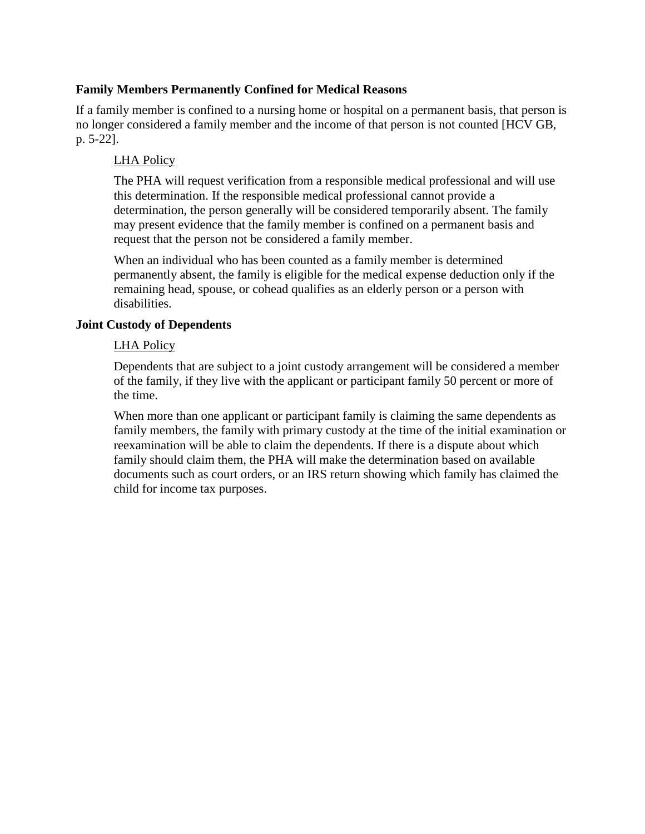### **Family Members Permanently Confined for Medical Reasons**

If a family member is confined to a nursing home or hospital on a permanent basis, that person is no longer considered a family member and the income of that person is not counted [HCV GB, p. 5-22].

### LHA Policy

The PHA will request verification from a responsible medical professional and will use this determination. If the responsible medical professional cannot provide a determination, the person generally will be considered temporarily absent. The family may present evidence that the family member is confined on a permanent basis and request that the person not be considered a family member.

When an individual who has been counted as a family member is determined permanently absent, the family is eligible for the medical expense deduction only if the remaining head, spouse, or cohead qualifies as an elderly person or a person with disabilities.

#### **Joint Custody of Dependents**

#### LHA Policy

Dependents that are subject to a joint custody arrangement will be considered a member of the family, if they live with the applicant or participant family 50 percent or more of the time.

When more than one applicant or participant family is claiming the same dependents as family members, the family with primary custody at the time of the initial examination or reexamination will be able to claim the dependents. If there is a dispute about which family should claim them, the PHA will make the determination based on available documents such as court orders, or an IRS return showing which family has claimed the child for income tax purposes.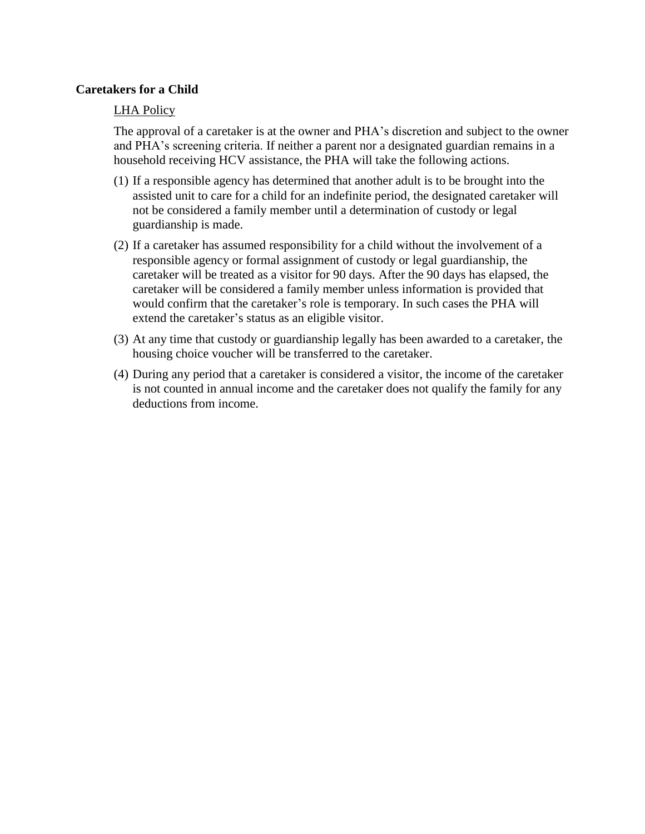#### **Caretakers for a Child**

#### LHA Policy

The approval of a caretaker is at the owner and PHA's discretion and subject to the owner and PHA's screening criteria. If neither a parent nor a designated guardian remains in a household receiving HCV assistance, the PHA will take the following actions.

- (1) If a responsible agency has determined that another adult is to be brought into the assisted unit to care for a child for an indefinite period, the designated caretaker will not be considered a family member until a determination of custody or legal guardianship is made.
- (2) If a caretaker has assumed responsibility for a child without the involvement of a responsible agency or formal assignment of custody or legal guardianship, the caretaker will be treated as a visitor for 90 days. After the 90 days has elapsed, the caretaker will be considered a family member unless information is provided that would confirm that the caretaker's role is temporary. In such cases the PHA will extend the caretaker's status as an eligible visitor.
- (3) At any time that custody or guardianship legally has been awarded to a caretaker, the housing choice voucher will be transferred to the caretaker.
- (4) During any period that a caretaker is considered a visitor, the income of the caretaker is not counted in annual income and the caretaker does not qualify the family for any deductions from income.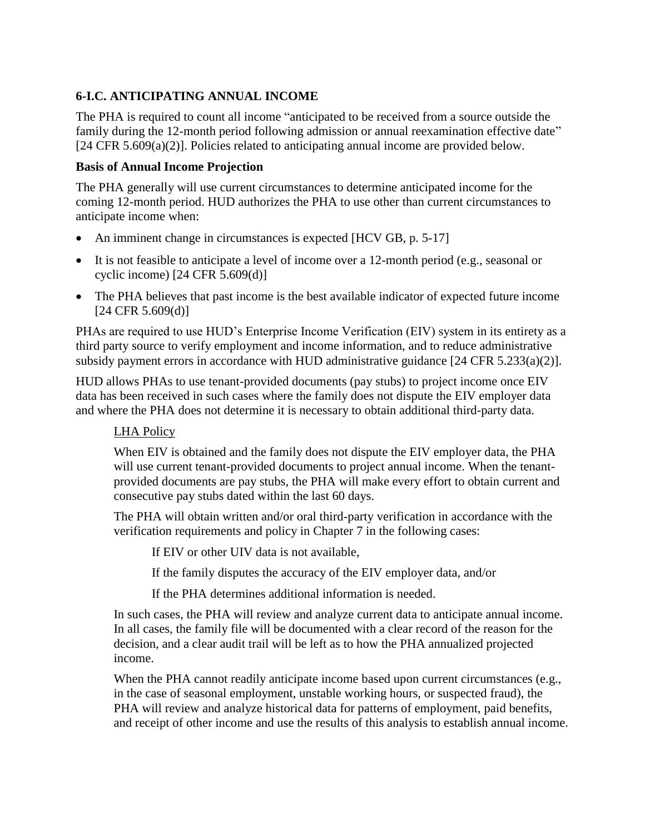# **6-I.C. ANTICIPATING ANNUAL INCOME**

The PHA is required to count all income "anticipated to be received from a source outside the family during the 12-month period following admission or annual reexamination effective date" [24 CFR 5.609(a)(2)]. Policies related to anticipating annual income are provided below.

#### **Basis of Annual Income Projection**

The PHA generally will use current circumstances to determine anticipated income for the coming 12-month period. HUD authorizes the PHA to use other than current circumstances to anticipate income when:

- An imminent change in circumstances is expected [HCV GB, p. 5-17]
- It is not feasible to anticipate a level of income over a 12-month period (e.g., seasonal or cyclic income) [24 CFR 5.609(d)]
- The PHA believes that past income is the best available indicator of expected future income  $[24 \text{ CFR } 5.609(d)]$

PHAs are required to use HUD's Enterprise Income Verification (EIV) system in its entirety as a third party source to verify employment and income information, and to reduce administrative subsidy payment errors in accordance with HUD administrative guidance [24 CFR 5.233(a)(2)].

HUD allows PHAs to use tenant-provided documents (pay stubs) to project income once EIV data has been received in such cases where the family does not dispute the EIV employer data and where the PHA does not determine it is necessary to obtain additional third-party data.

## LHA Policy

When EIV is obtained and the family does not dispute the EIV employer data, the PHA will use current tenant-provided documents to project annual income. When the tenantprovided documents are pay stubs, the PHA will make every effort to obtain current and consecutive pay stubs dated within the last 60 days.

The PHA will obtain written and/or oral third-party verification in accordance with the verification requirements and policy in Chapter 7 in the following cases:

If EIV or other UIV data is not available,

If the family disputes the accuracy of the EIV employer data, and/or

If the PHA determines additional information is needed.

In such cases, the PHA will review and analyze current data to anticipate annual income. In all cases, the family file will be documented with a clear record of the reason for the decision, and a clear audit trail will be left as to how the PHA annualized projected income.

When the PHA cannot readily anticipate income based upon current circumstances (e.g., in the case of seasonal employment, unstable working hours, or suspected fraud), the PHA will review and analyze historical data for patterns of employment, paid benefits, and receipt of other income and use the results of this analysis to establish annual income.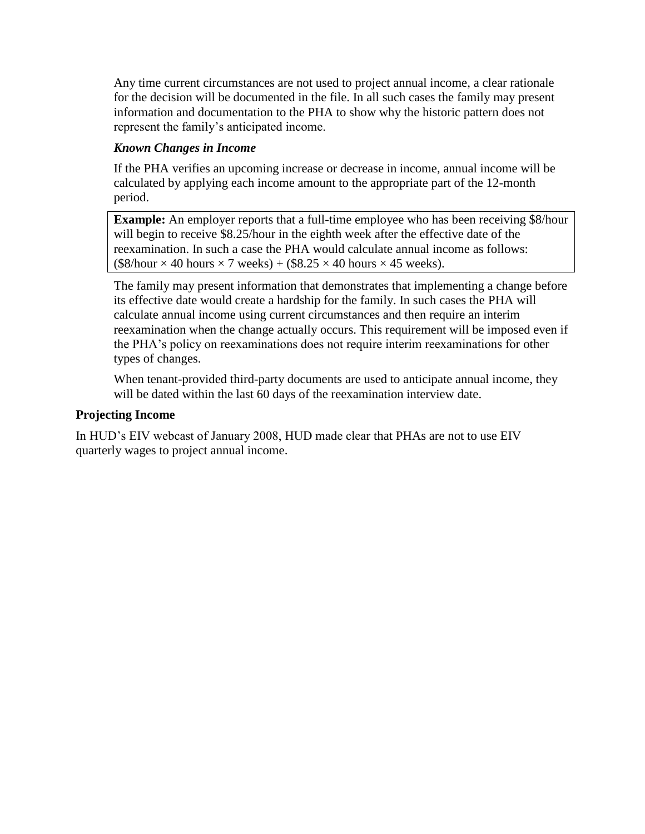Any time current circumstances are not used to project annual income, a clear rationale for the decision will be documented in the file. In all such cases the family may present information and documentation to the PHA to show why the historic pattern does not represent the family's anticipated income.

# *Known Changes in Income*

If the PHA verifies an upcoming increase or decrease in income, annual income will be calculated by applying each income amount to the appropriate part of the 12-month period.

**Example:** An employer reports that a full-time employee who has been receiving \$8/hour will begin to receive \$8.25/hour in the eighth week after the effective date of the reexamination. In such a case the PHA would calculate annual income as follows:  $($8/hour \times 40 hours \times 7 weeks) + ($8.25 \times 40 hours \times 45 weeks).$ 

The family may present information that demonstrates that implementing a change before its effective date would create a hardship for the family. In such cases the PHA will calculate annual income using current circumstances and then require an interim reexamination when the change actually occurs. This requirement will be imposed even if the PHA's policy on reexaminations does not require interim reexaminations for other types of changes.

When tenant-provided third-party documents are used to anticipate annual income, they will be dated within the last 60 days of the reexamination interview date.

#### **Projecting Income**

In HUD's EIV webcast of January 2008, HUD made clear that PHAs are not to use EIV quarterly wages to project annual income.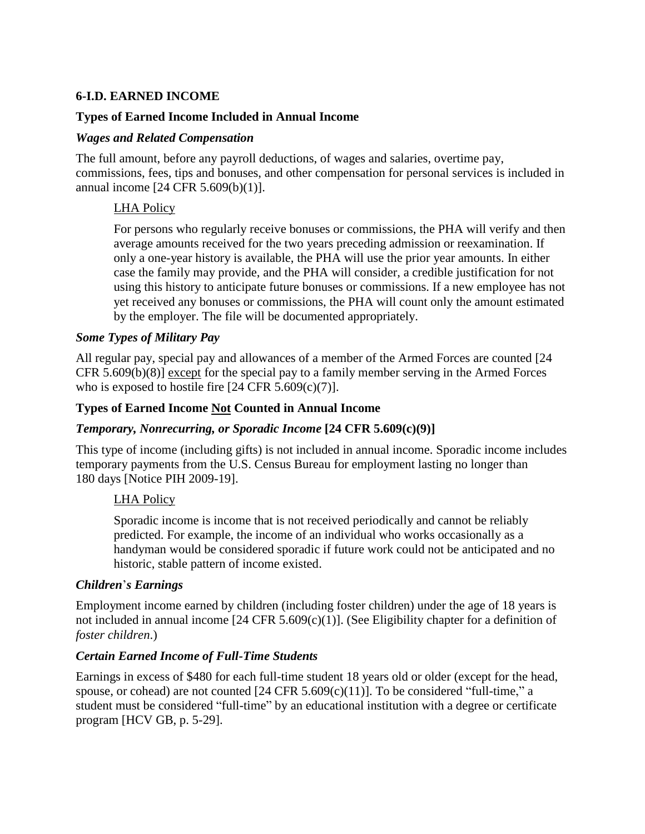## **6-I.D. EARNED INCOME**

### **Types of Earned Income Included in Annual Income**

#### *Wages and Related Compensation*

The full amount, before any payroll deductions, of wages and salaries, overtime pay, commissions, fees, tips and bonuses, and other compensation for personal services is included in annual income [24 CFR 5.609(b)(1)].

## LHA Policy

For persons who regularly receive bonuses or commissions, the PHA will verify and then average amounts received for the two years preceding admission or reexamination. If only a one-year history is available, the PHA will use the prior year amounts. In either case the family may provide, and the PHA will consider, a credible justification for not using this history to anticipate future bonuses or commissions. If a new employee has not yet received any bonuses or commissions, the PHA will count only the amount estimated by the employer. The file will be documented appropriately.

#### *Some Types of Military Pay*

All regular pay, special pay and allowances of a member of the Armed Forces are counted [24 CFR 5.609(b)(8)] except for the special pay to a family member serving in the Armed Forces who is exposed to hostile fire  $[24 \text{ CFR } 5.609(c)(7)]$ .

#### **Types of Earned Income Not Counted in Annual Income**

## *Temporary, Nonrecurring, or Sporadic Income* **[24 CFR 5.609(c)(9)]**

This type of income (including gifts) is not included in annual income. Sporadic income includes temporary payments from the U.S. Census Bureau for employment lasting no longer than 180 days [Notice PIH 2009-19].

## LHA Policy

Sporadic income is income that is not received periodically and cannot be reliably predicted. For example, the income of an individual who works occasionally as a handyman would be considered sporadic if future work could not be anticipated and no historic, stable pattern of income existed.

#### *Children*'*s Earnings*

Employment income earned by children (including foster children) under the age of 18 years is not included in annual income [24 CFR 5.609(c)(1)]. (See Eligibility chapter for a definition of *foster children*.)

## *Certain Earned Income of Full-Time Students*

Earnings in excess of \$480 for each full-time student 18 years old or older (except for the head, spouse, or cohead) are not counted  $[24 \text{ CFR } 5.609(c)(11)]$ . To be considered "full-time," a student must be considered "full-time" by an educational institution with a degree or certificate program [HCV GB, p. 5-29].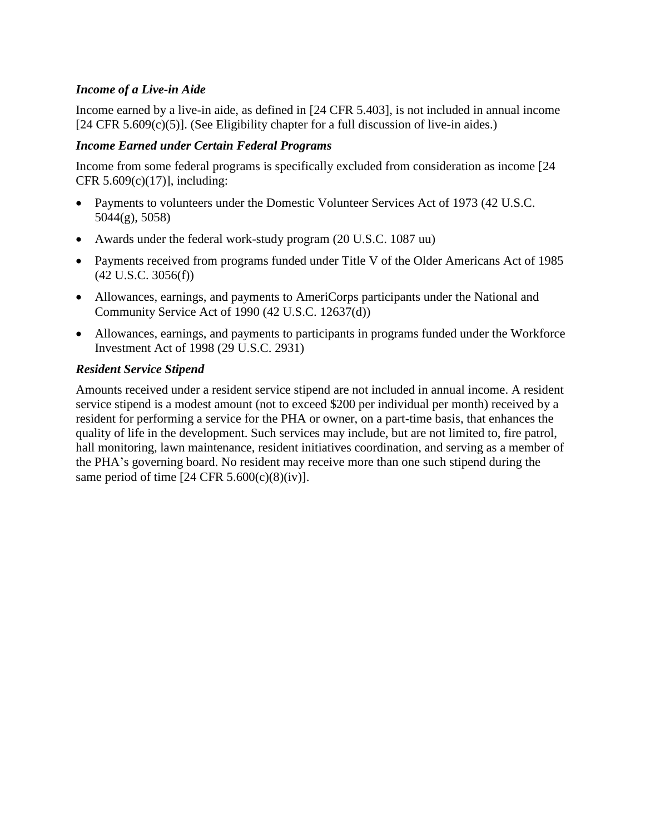## *Income of a Live-in Aide*

Income earned by a live-in aide, as defined in [24 CFR 5.403], is not included in annual income  $[24 \text{ CFR } 5.609(c)(5)]$ . (See Eligibility chapter for a full discussion of live-in aides.)

#### *Income Earned under Certain Federal Programs*

Income from some federal programs is specifically excluded from consideration as income [24 CFR  $5.609(c)(17)$ ], including:

- Payments to volunteers under the Domestic Volunteer Services Act of 1973 (42 U.S.C. 5044(g), 5058)
- Awards under the federal work-study program (20 U.S.C. 1087 uu)
- Payments received from programs funded under Title V of the Older Americans Act of 1985 (42 U.S.C. 3056(f))
- Allowances, earnings, and payments to AmeriCorps participants under the National and Community Service Act of 1990 (42 U.S.C. 12637(d))
- Allowances, earnings, and payments to participants in programs funded under the Workforce Investment Act of 1998 (29 U.S.C. 2931)

#### *Resident Service Stipend*

Amounts received under a resident service stipend are not included in annual income. A resident service stipend is a modest amount (not to exceed \$200 per individual per month) received by a resident for performing a service for the PHA or owner, on a part-time basis, that enhances the quality of life in the development. Such services may include, but are not limited to, fire patrol, hall monitoring, lawn maintenance, resident initiatives coordination, and serving as a member of the PHA's governing board. No resident may receive more than one such stipend during the same period of time  $[24 \text{ CFR } 5.600(c)(8)(iv)].$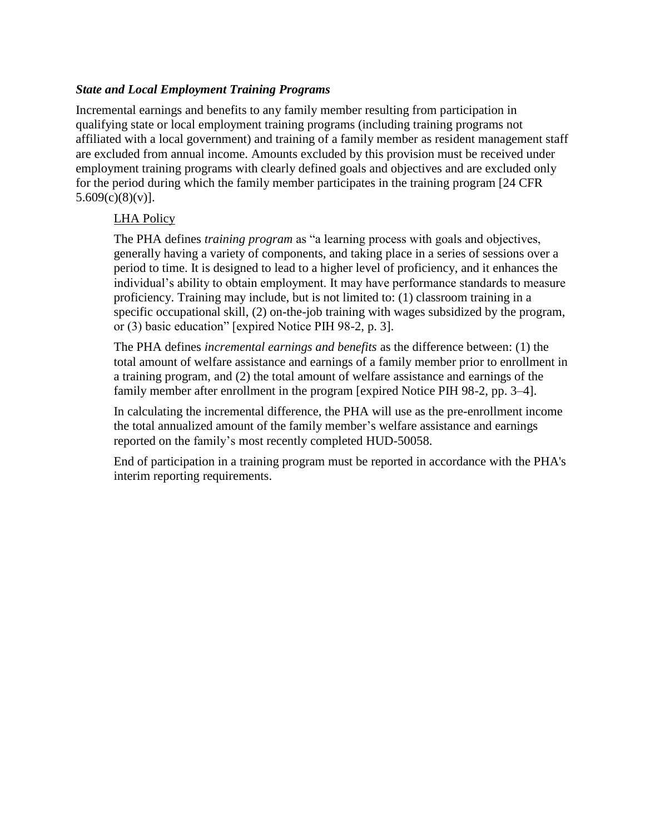### *State and Local Employment Training Programs*

Incremental earnings and benefits to any family member resulting from participation in qualifying state or local employment training programs (including training programs not affiliated with a local government) and training of a family member as resident management staff are excluded from annual income. Amounts excluded by this provision must be received under employment training programs with clearly defined goals and objectives and are excluded only for the period during which the family member participates in the training program [24 CFR  $5.609(c)(8)(v)$ ].

#### LHA Policy

The PHA defines *training program* as "a learning process with goals and objectives, generally having a variety of components, and taking place in a series of sessions over a period to time. It is designed to lead to a higher level of proficiency, and it enhances the individual's ability to obtain employment. It may have performance standards to measure proficiency. Training may include, but is not limited to: (1) classroom training in a specific occupational skill, (2) on-the-job training with wages subsidized by the program, or (3) basic education" [expired Notice PIH 98-2, p. 3].

The PHA defines *incremental earnings and benefits* as the difference between: (1) the total amount of welfare assistance and earnings of a family member prior to enrollment in a training program, and (2) the total amount of welfare assistance and earnings of the family member after enrollment in the program [expired Notice PIH 98-2, pp. 3–4].

In calculating the incremental difference, the PHA will use as the pre-enrollment income the total annualized amount of the family member's welfare assistance and earnings reported on the family's most recently completed HUD-50058.

End of participation in a training program must be reported in accordance with the PHA's interim reporting requirements.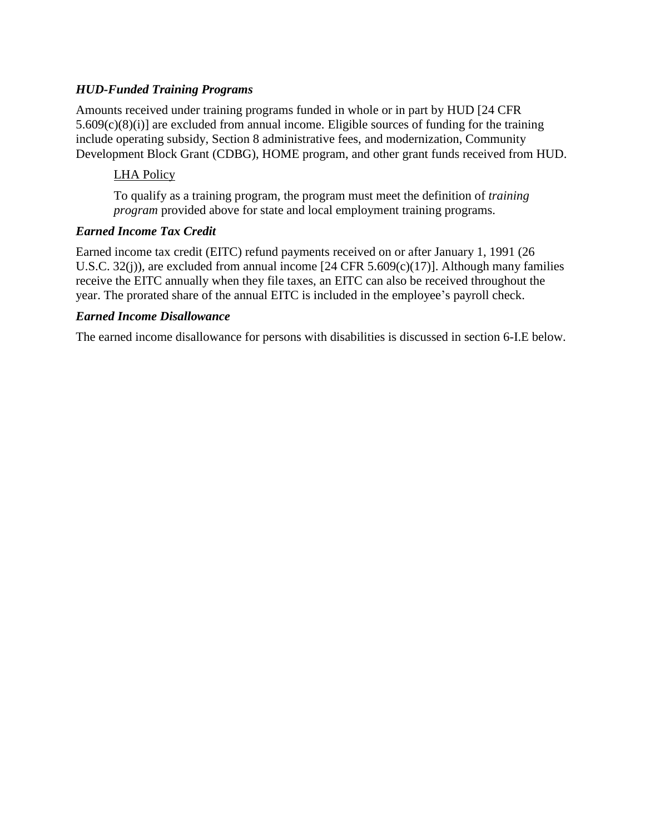## *HUD-Funded Training Programs*

Amounts received under training programs funded in whole or in part by HUD [24 CFR 5.609(c)(8)(i)] are excluded from annual income. Eligible sources of funding for the training include operating subsidy, Section 8 administrative fees, and modernization, Community Development Block Grant (CDBG), HOME program, and other grant funds received from HUD.

#### LHA Policy

To qualify as a training program, the program must meet the definition of *training program* provided above for state and local employment training programs.

#### *Earned Income Tax Credit*

Earned income tax credit (EITC) refund payments received on or after January 1, 1991 (26 U.S.C. 32(j)), are excluded from annual income  $[24 \text{ CFR } 5.609(c)(17)]$ . Although many families receive the EITC annually when they file taxes, an EITC can also be received throughout the year. The prorated share of the annual EITC is included in the employee's payroll check.

#### *Earned Income Disallowance*

The earned income disallowance for persons with disabilities is discussed in section 6-I.E below.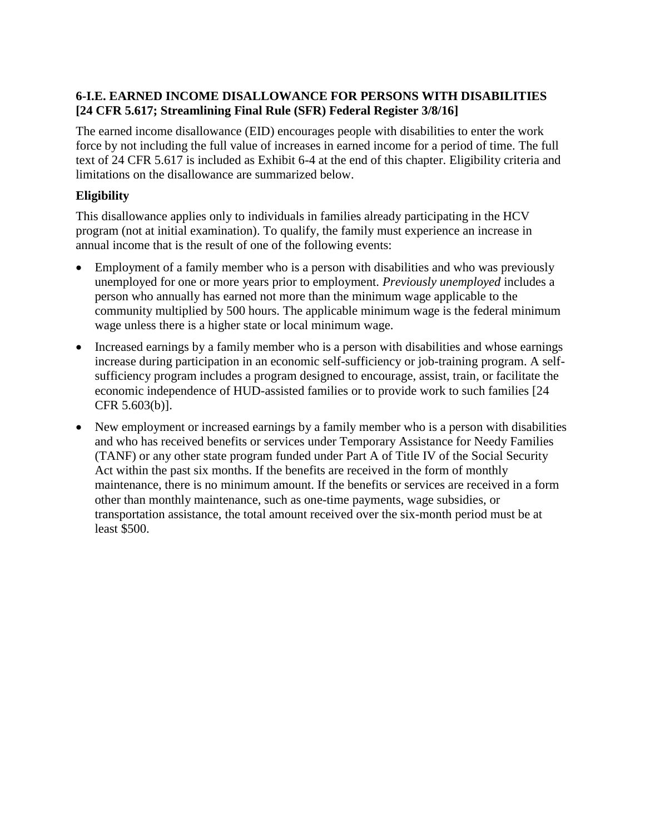# **6-I.E. EARNED INCOME DISALLOWANCE FOR PERSONS WITH DISABILITIES [24 CFR 5.617; Streamlining Final Rule (SFR) Federal Register 3/8/16]**

The earned income disallowance (EID) encourages people with disabilities to enter the work force by not including the full value of increases in earned income for a period of time. The full text of 24 CFR 5.617 is included as Exhibit 6-4 at the end of this chapter. Eligibility criteria and limitations on the disallowance are summarized below.

# **Eligibility**

This disallowance applies only to individuals in families already participating in the HCV program (not at initial examination). To qualify, the family must experience an increase in annual income that is the result of one of the following events:

- Employment of a family member who is a person with disabilities and who was previously unemployed for one or more years prior to employment. *Previously unemployed* includes a person who annually has earned not more than the minimum wage applicable to the community multiplied by 500 hours. The applicable minimum wage is the federal minimum wage unless there is a higher state or local minimum wage.
- Increased earnings by a family member who is a person with disabilities and whose earnings increase during participation in an economic self-sufficiency or job-training program. A selfsufficiency program includes a program designed to encourage, assist, train, or facilitate the economic independence of HUD-assisted families or to provide work to such families [24 CFR 5.603(b)].
- New employment or increased earnings by a family member who is a person with disabilities and who has received benefits or services under Temporary Assistance for Needy Families (TANF) or any other state program funded under Part A of Title IV of the Social Security Act within the past six months. If the benefits are received in the form of monthly maintenance, there is no minimum amount. If the benefits or services are received in a form other than monthly maintenance, such as one-time payments, wage subsidies, or transportation assistance, the total amount received over the six-month period must be at least \$500.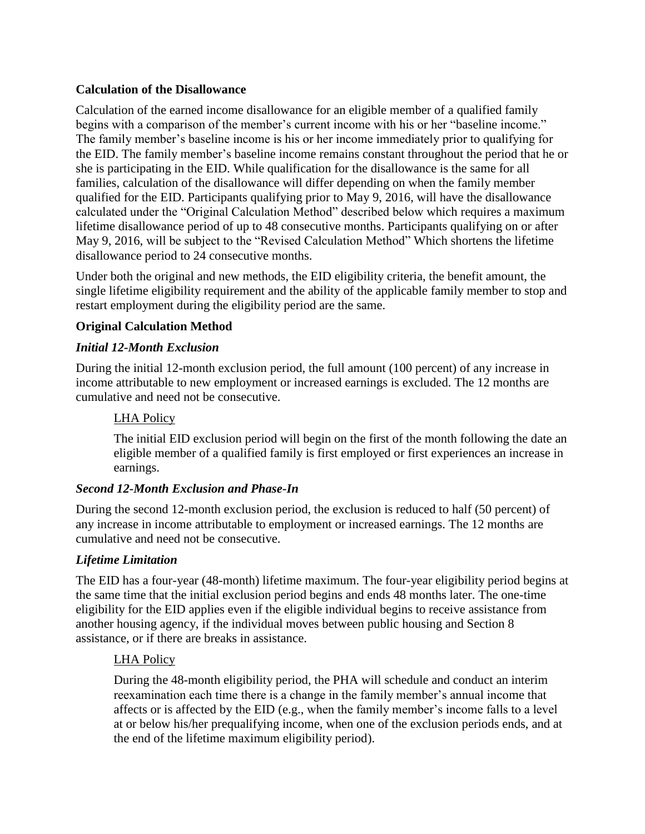## **Calculation of the Disallowance**

Calculation of the earned income disallowance for an eligible member of a qualified family begins with a comparison of the member's current income with his or her "baseline income." The family member's baseline income is his or her income immediately prior to qualifying for the EID. The family member's baseline income remains constant throughout the period that he or she is participating in the EID. While qualification for the disallowance is the same for all families, calculation of the disallowance will differ depending on when the family member qualified for the EID. Participants qualifying prior to May 9, 2016, will have the disallowance calculated under the "Original Calculation Method" described below which requires a maximum lifetime disallowance period of up to 48 consecutive months. Participants qualifying on or after May 9, 2016, will be subject to the "Revised Calculation Method" Which shortens the lifetime disallowance period to 24 consecutive months.

Under both the original and new methods, the EID eligibility criteria, the benefit amount, the single lifetime eligibility requirement and the ability of the applicable family member to stop and restart employment during the eligibility period are the same.

# **Original Calculation Method**

## *Initial 12-Month Exclusion*

During the initial 12-month exclusion period, the full amount (100 percent) of any increase in income attributable to new employment or increased earnings is excluded. The 12 months are cumulative and need not be consecutive.

### LHA Policy

The initial EID exclusion period will begin on the first of the month following the date an eligible member of a qualified family is first employed or first experiences an increase in earnings.

## *Second 12-Month Exclusion and Phase-In*

During the second 12-month exclusion period, the exclusion is reduced to half (50 percent) of any increase in income attributable to employment or increased earnings. The 12 months are cumulative and need not be consecutive.

## *Lifetime Limitation*

The EID has a four-year (48-month) lifetime maximum. The four-year eligibility period begins at the same time that the initial exclusion period begins and ends 48 months later. The one-time eligibility for the EID applies even if the eligible individual begins to receive assistance from another housing agency, if the individual moves between public housing and Section 8 assistance, or if there are breaks in assistance.

## LHA Policy

During the 48-month eligibility period, the PHA will schedule and conduct an interim reexamination each time there is a change in the family member's annual income that affects or is affected by the EID (e.g., when the family member's income falls to a level at or below his/her prequalifying income, when one of the exclusion periods ends, and at the end of the lifetime maximum eligibility period).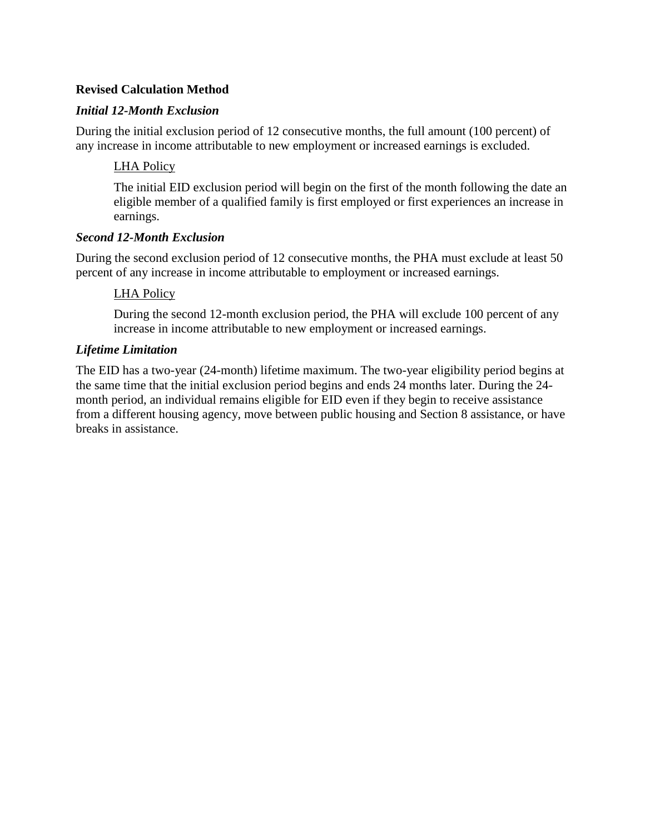## **Revised Calculation Method**

### *Initial 12-Month Exclusion*

During the initial exclusion period of 12 consecutive months, the full amount (100 percent) of any increase in income attributable to new employment or increased earnings is excluded.

## LHA Policy

The initial EID exclusion period will begin on the first of the month following the date an eligible member of a qualified family is first employed or first experiences an increase in earnings.

#### *Second 12-Month Exclusion*

During the second exclusion period of 12 consecutive months, the PHA must exclude at least 50 percent of any increase in income attributable to employment or increased earnings.

#### LHA Policy

During the second 12-month exclusion period, the PHA will exclude 100 percent of any increase in income attributable to new employment or increased earnings.

#### *Lifetime Limitation*

The EID has a two-year (24-month) lifetime maximum. The two-year eligibility period begins at the same time that the initial exclusion period begins and ends 24 months later. During the 24 month period, an individual remains eligible for EID even if they begin to receive assistance from a different housing agency, move between public housing and Section 8 assistance, or have breaks in assistance.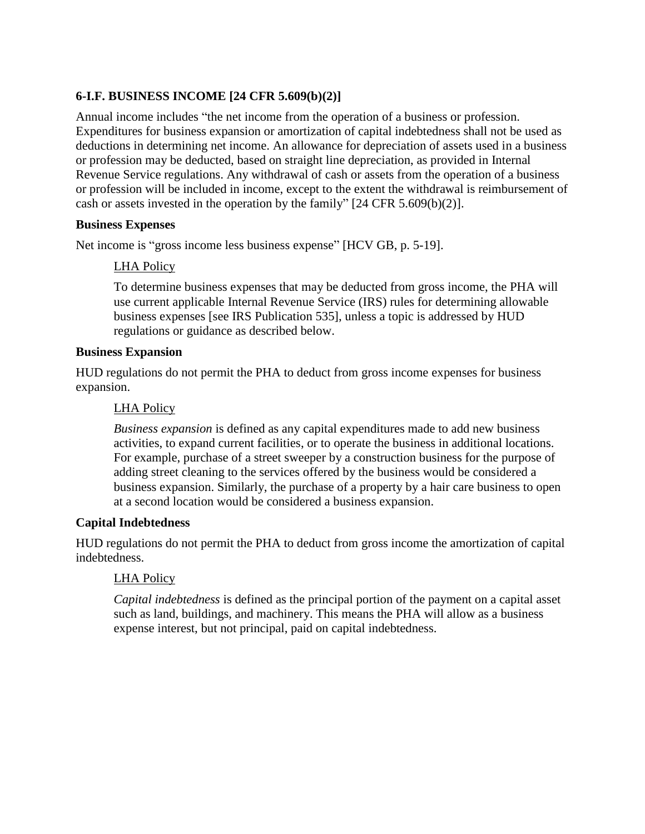# **6-I.F. BUSINESS INCOME [24 CFR 5.609(b)(2)]**

Annual income includes "the net income from the operation of a business or profession. Expenditures for business expansion or amortization of capital indebtedness shall not be used as deductions in determining net income. An allowance for depreciation of assets used in a business or profession may be deducted, based on straight line depreciation, as provided in Internal Revenue Service regulations. Any withdrawal of cash or assets from the operation of a business or profession will be included in income, except to the extent the withdrawal is reimbursement of cash or assets invested in the operation by the family" [24 CFR 5.609(b)(2)].

#### **Business Expenses**

Net income is "gross income less business expense" [HCV GB, p. 5-19].

# LHA Policy

To determine business expenses that may be deducted from gross income, the PHA will use current applicable Internal Revenue Service (IRS) rules for determining allowable business expenses [see IRS Publication 535], unless a topic is addressed by HUD regulations or guidance as described below.

## **Business Expansion**

HUD regulations do not permit the PHA to deduct from gross income expenses for business expansion.

## LHA Policy

*Business expansion* is defined as any capital expenditures made to add new business activities, to expand current facilities, or to operate the business in additional locations. For example, purchase of a street sweeper by a construction business for the purpose of adding street cleaning to the services offered by the business would be considered a business expansion. Similarly, the purchase of a property by a hair care business to open at a second location would be considered a business expansion.

## **Capital Indebtedness**

HUD regulations do not permit the PHA to deduct from gross income the amortization of capital indebtedness.

## LHA Policy

*Capital indebtedness* is defined as the principal portion of the payment on a capital asset such as land, buildings, and machinery. This means the PHA will allow as a business expense interest, but not principal, paid on capital indebtedness.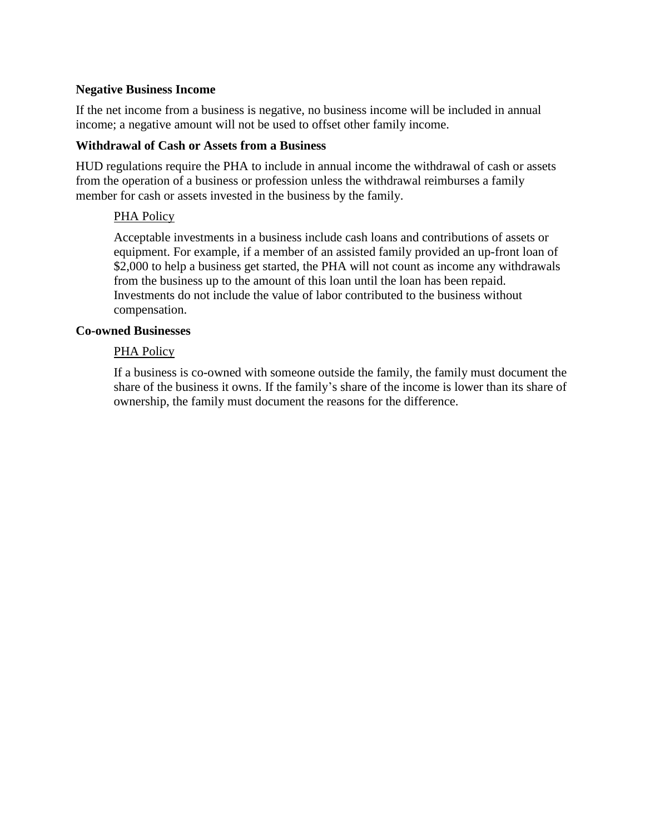#### **Negative Business Income**

If the net income from a business is negative, no business income will be included in annual income; a negative amount will not be used to offset other family income.

#### **Withdrawal of Cash or Assets from a Business**

HUD regulations require the PHA to include in annual income the withdrawal of cash or assets from the operation of a business or profession unless the withdrawal reimburses a family member for cash or assets invested in the business by the family.

#### PHA Policy

Acceptable investments in a business include cash loans and contributions of assets or equipment. For example, if a member of an assisted family provided an up-front loan of \$2,000 to help a business get started, the PHA will not count as income any withdrawals from the business up to the amount of this loan until the loan has been repaid. Investments do not include the value of labor contributed to the business without compensation.

#### **Co-owned Businesses**

#### PHA Policy

If a business is co-owned with someone outside the family, the family must document the share of the business it owns. If the family's share of the income is lower than its share of ownership, the family must document the reasons for the difference.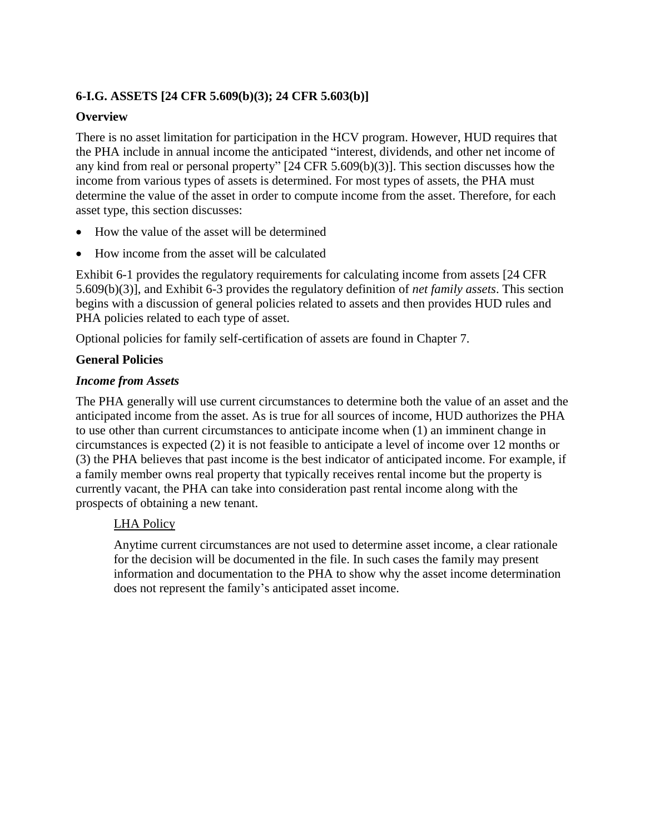# **6-I.G. ASSETS [24 CFR 5.609(b)(3); 24 CFR 5.603(b)]**

### **Overview**

There is no asset limitation for participation in the HCV program. However, HUD requires that the PHA include in annual income the anticipated "interest, dividends, and other net income of any kind from real or personal property" [24 CFR 5.609(b)(3)]. This section discusses how the income from various types of assets is determined. For most types of assets, the PHA must determine the value of the asset in order to compute income from the asset. Therefore, for each asset type, this section discusses:

- How the value of the asset will be determined
- How income from the asset will be calculated

Exhibit 6-1 provides the regulatory requirements for calculating income from assets [24 CFR 5.609(b)(3)], and Exhibit 6-3 provides the regulatory definition of *net family assets*. This section begins with a discussion of general policies related to assets and then provides HUD rules and PHA policies related to each type of asset.

Optional policies for family self-certification of assets are found in Chapter 7.

#### **General Policies**

#### *Income from Assets*

The PHA generally will use current circumstances to determine both the value of an asset and the anticipated income from the asset. As is true for all sources of income, HUD authorizes the PHA to use other than current circumstances to anticipate income when (1) an imminent change in circumstances is expected (2) it is not feasible to anticipate a level of income over 12 months or (3) the PHA believes that past income is the best indicator of anticipated income. For example, if a family member owns real property that typically receives rental income but the property is currently vacant, the PHA can take into consideration past rental income along with the prospects of obtaining a new tenant.

#### LHA Policy

Anytime current circumstances are not used to determine asset income, a clear rationale for the decision will be documented in the file. In such cases the family may present information and documentation to the PHA to show why the asset income determination does not represent the family's anticipated asset income.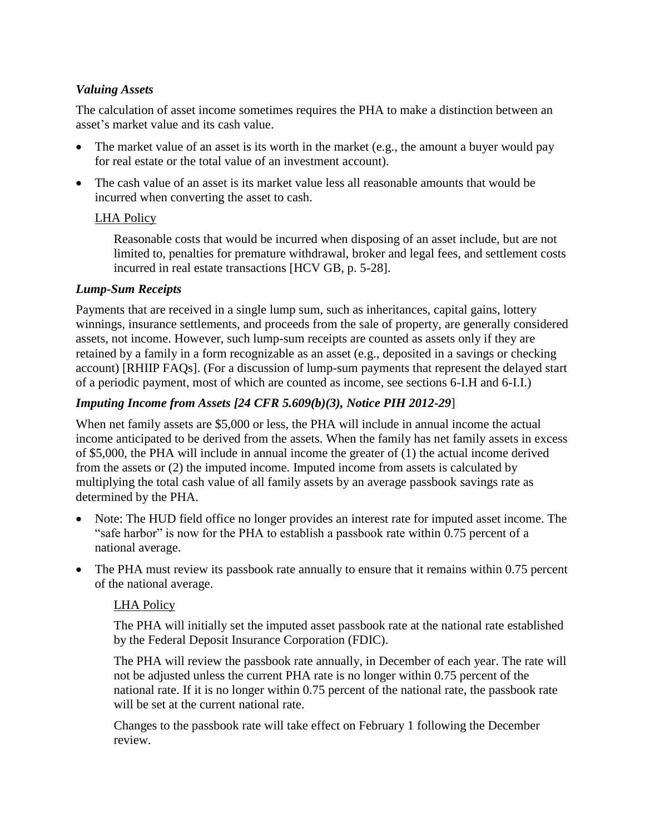# *Valuing Assets*

The calculation of asset income sometimes requires the PHA to make a distinction between an asset's market value and its cash value.

- The market value of an asset is its worth in the market (e.g., the amount a buyer would pay for real estate or the total value of an investment account).
- The cash value of an asset is its market value less all reasonable amounts that would be incurred when converting the asset to cash.

## LHA Policy

Reasonable costs that would be incurred when disposing of an asset include, but are not limited to, penalties for premature withdrawal, broker and legal fees, and settlement costs incurred in real estate transactions [HCV GB, p. 5-28].

## *Lump-Sum Receipts*

Payments that are received in a single lump sum, such as inheritances, capital gains, lottery winnings, insurance settlements, and proceeds from the sale of property, are generally considered assets, not income. However, such lump-sum receipts are counted as assets only if they are retained by a family in a form recognizable as an asset (e.g., deposited in a savings or checking account) [RHIIP FAQs]. (For a discussion of lump-sum payments that represent the delayed start of a periodic payment, most of which are counted as income, see sections 6-I.H and 6-I.I.)

# *Imputing Income from Assets [24 CFR 5.609(b)(3), Notice PIH 2012-29*]

When net family assets are \$5,000 or less, the PHA will include in annual income the actual income anticipated to be derived from the assets. When the family has net family assets in excess of \$5,000, the PHA will include in annual income the greater of (1) the actual income derived from the assets or (2) the imputed income. Imputed income from assets is calculated by multiplying the total cash value of all family assets by an average passbook savings rate as determined by the PHA.

- Note: The HUD field office no longer provides an interest rate for imputed asset income. The "safe harbor" is now for the PHA to establish a passbook rate within 0.75 percent of a national average.
- The PHA must review its passbook rate annually to ensure that it remains within 0.75 percent of the national average.

## LHA Policy

The PHA will initially set the imputed asset passbook rate at the national rate established by the Federal Deposit Insurance Corporation (FDIC).

The PHA will review the passbook rate annually, in December of each year. The rate will not be adjusted unless the current PHA rate is no longer within 0.75 percent of the national rate. If it is no longer within 0.75 percent of the national rate, the passbook rate will be set at the current national rate.

Changes to the passbook rate will take effect on February 1 following the December review.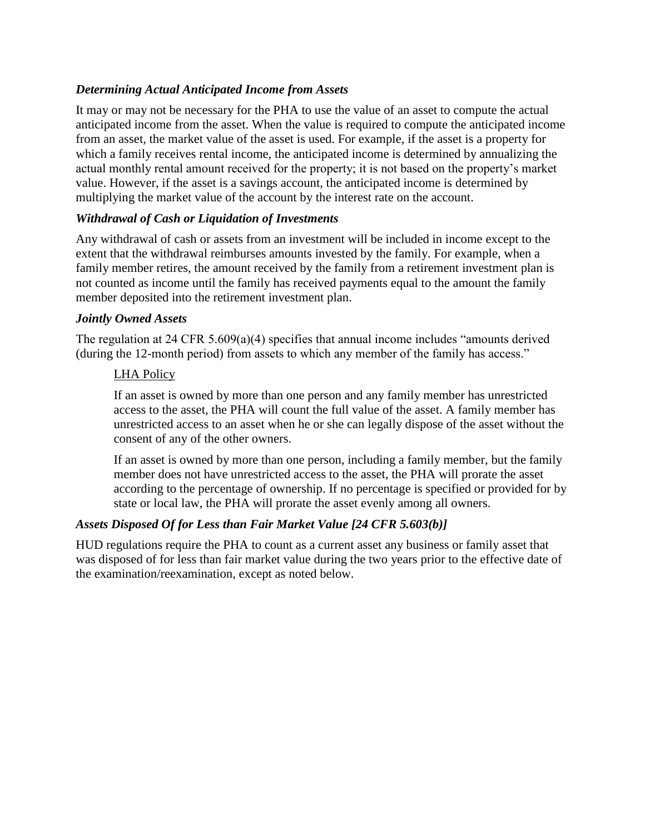## *Determining Actual Anticipated Income from Assets*

It may or may not be necessary for the PHA to use the value of an asset to compute the actual anticipated income from the asset. When the value is required to compute the anticipated income from an asset, the market value of the asset is used. For example, if the asset is a property for which a family receives rental income, the anticipated income is determined by annualizing the actual monthly rental amount received for the property; it is not based on the property's market value. However, if the asset is a savings account, the anticipated income is determined by multiplying the market value of the account by the interest rate on the account.

## *Withdrawal of Cash or Liquidation of Investments*

Any withdrawal of cash or assets from an investment will be included in income except to the extent that the withdrawal reimburses amounts invested by the family. For example, when a family member retires, the amount received by the family from a retirement investment plan is not counted as income until the family has received payments equal to the amount the family member deposited into the retirement investment plan.

#### *Jointly Owned Assets*

The regulation at 24 CFR 5.609(a)(4) specifies that annual income includes "amounts derived (during the 12-month period) from assets to which any member of the family has access."

#### LHA Policy

If an asset is owned by more than one person and any family member has unrestricted access to the asset, the PHA will count the full value of the asset. A family member has unrestricted access to an asset when he or she can legally dispose of the asset without the consent of any of the other owners.

If an asset is owned by more than one person, including a family member, but the family member does not have unrestricted access to the asset, the PHA will prorate the asset according to the percentage of ownership. If no percentage is specified or provided for by state or local law, the PHA will prorate the asset evenly among all owners.

## *Assets Disposed Of for Less than Fair Market Value [24 CFR 5.603(b)]*

HUD regulations require the PHA to count as a current asset any business or family asset that was disposed of for less than fair market value during the two years prior to the effective date of the examination/reexamination, except as noted below.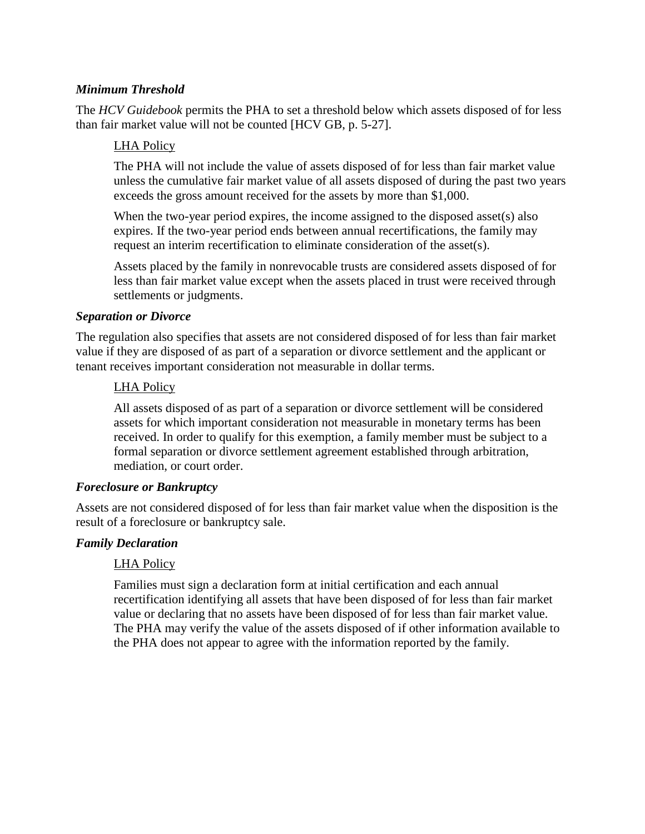## *Minimum Threshold*

The *HCV Guidebook* permits the PHA to set a threshold below which assets disposed of for less than fair market value will not be counted [HCV GB, p. 5-27].

#### LHA Policy

The PHA will not include the value of assets disposed of for less than fair market value unless the cumulative fair market value of all assets disposed of during the past two years exceeds the gross amount received for the assets by more than \$1,000.

When the two-year period expires, the income assigned to the disposed asset(s) also expires. If the two-year period ends between annual recertifications, the family may request an interim recertification to eliminate consideration of the asset(s).

Assets placed by the family in nonrevocable trusts are considered assets disposed of for less than fair market value except when the assets placed in trust were received through settlements or judgments.

#### *Separation or Divorce*

The regulation also specifies that assets are not considered disposed of for less than fair market value if they are disposed of as part of a separation or divorce settlement and the applicant or tenant receives important consideration not measurable in dollar terms.

#### LHA Policy

All assets disposed of as part of a separation or divorce settlement will be considered assets for which important consideration not measurable in monetary terms has been received. In order to qualify for this exemption, a family member must be subject to a formal separation or divorce settlement agreement established through arbitration, mediation, or court order.

#### *Foreclosure or Bankruptcy*

Assets are not considered disposed of for less than fair market value when the disposition is the result of a foreclosure or bankruptcy sale.

#### *Family Declaration*

## LHA Policy

Families must sign a declaration form at initial certification and each annual recertification identifying all assets that have been disposed of for less than fair market value or declaring that no assets have been disposed of for less than fair market value. The PHA may verify the value of the assets disposed of if other information available to the PHA does not appear to agree with the information reported by the family.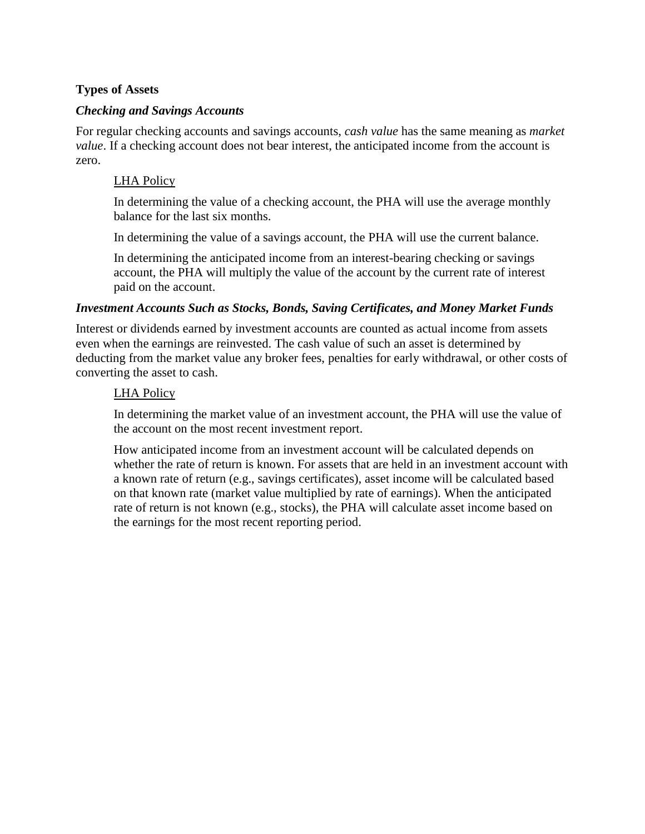## **Types of Assets**

### *Checking and Savings Accounts*

For regular checking accounts and savings accounts, *cash value* has the same meaning as *market value*. If a checking account does not bear interest, the anticipated income from the account is zero.

### LHA Policy

In determining the value of a checking account, the PHA will use the average monthly balance for the last six months.

In determining the value of a savings account, the PHA will use the current balance.

In determining the anticipated income from an interest-bearing checking or savings account, the PHA will multiply the value of the account by the current rate of interest paid on the account.

#### *Investment Accounts Such as Stocks, Bonds, Saving Certificates, and Money Market Funds*

Interest or dividends earned by investment accounts are counted as actual income from assets even when the earnings are reinvested. The cash value of such an asset is determined by deducting from the market value any broker fees, penalties for early withdrawal, or other costs of converting the asset to cash.

#### LHA Policy

In determining the market value of an investment account, the PHA will use the value of the account on the most recent investment report.

How anticipated income from an investment account will be calculated depends on whether the rate of return is known. For assets that are held in an investment account with a known rate of return (e.g., savings certificates), asset income will be calculated based on that known rate (market value multiplied by rate of earnings). When the anticipated rate of return is not known (e.g., stocks), the PHA will calculate asset income based on the earnings for the most recent reporting period.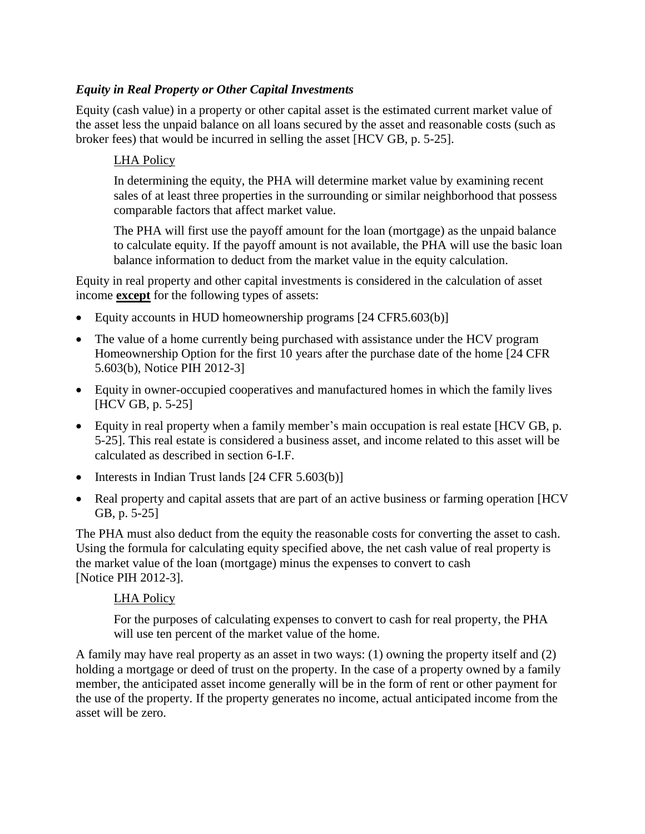# *Equity in Real Property or Other Capital Investments*

Equity (cash value) in a property or other capital asset is the estimated current market value of the asset less the unpaid balance on all loans secured by the asset and reasonable costs (such as broker fees) that would be incurred in selling the asset [HCV GB, p. 5-25].

# LHA Policy

In determining the equity, the PHA will determine market value by examining recent sales of at least three properties in the surrounding or similar neighborhood that possess comparable factors that affect market value.

The PHA will first use the payoff amount for the loan (mortgage) as the unpaid balance to calculate equity. If the payoff amount is not available, the PHA will use the basic loan balance information to deduct from the market value in the equity calculation.

Equity in real property and other capital investments is considered in the calculation of asset income **except** for the following types of assets:

- Equity accounts in HUD homeownership programs [24 CFR5.603(b)]
- The value of a home currently being purchased with assistance under the HCV program Homeownership Option for the first 10 years after the purchase date of the home [24 CFR 5.603(b), Notice PIH 2012-3]
- Equity in owner-occupied cooperatives and manufactured homes in which the family lives [HCV GB, p. 5-25]
- Equity in real property when a family member's main occupation is real estate [HCV GB, p. 5-25]. This real estate is considered a business asset, and income related to this asset will be calculated as described in section 6-I.F.
- $\bullet$  Interests in Indian Trust lands [24 CFR 5.603(b)]
- Real property and capital assets that are part of an active business or farming operation [HCV] GB, p. 5-25]

The PHA must also deduct from the equity the reasonable costs for converting the asset to cash. Using the formula for calculating equity specified above, the net cash value of real property is the market value of the loan (mortgage) minus the expenses to convert to cash [Notice PIH 2012-3].

## LHA Policy

For the purposes of calculating expenses to convert to cash for real property, the PHA will use ten percent of the market value of the home.

A family may have real property as an asset in two ways: (1) owning the property itself and (2) holding a mortgage or deed of trust on the property. In the case of a property owned by a family member, the anticipated asset income generally will be in the form of rent or other payment for the use of the property. If the property generates no income, actual anticipated income from the asset will be zero.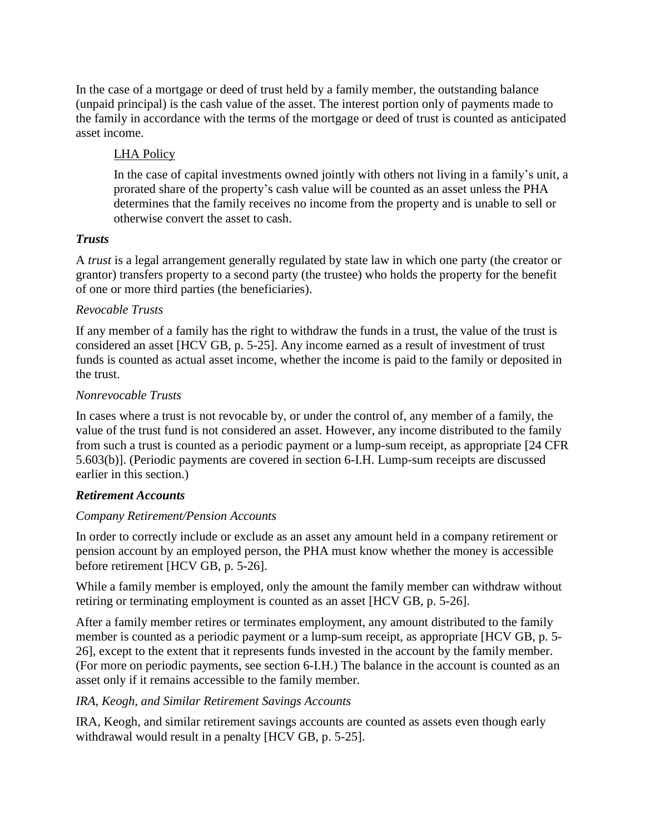In the case of a mortgage or deed of trust held by a family member, the outstanding balance (unpaid principal) is the cash value of the asset. The interest portion only of payments made to the family in accordance with the terms of the mortgage or deed of trust is counted as anticipated asset income.

# LHA Policy

In the case of capital investments owned jointly with others not living in a family's unit, a prorated share of the property's cash value will be counted as an asset unless the PHA determines that the family receives no income from the property and is unable to sell or otherwise convert the asset to cash.

## *Trusts*

A *trust* is a legal arrangement generally regulated by state law in which one party (the creator or grantor) transfers property to a second party (the trustee) who holds the property for the benefit of one or more third parties (the beneficiaries).

## *Revocable Trusts*

If any member of a family has the right to withdraw the funds in a trust, the value of the trust is considered an asset [HCV GB, p. 5-25]. Any income earned as a result of investment of trust funds is counted as actual asset income, whether the income is paid to the family or deposited in the trust.

# *Nonrevocable Trusts*

In cases where a trust is not revocable by, or under the control of, any member of a family, the value of the trust fund is not considered an asset. However, any income distributed to the family from such a trust is counted as a periodic payment or a lump-sum receipt, as appropriate [24 CFR 5.603(b)]. (Periodic payments are covered in section 6-I.H. Lump-sum receipts are discussed earlier in this section.)

# *Retirement Accounts*

## *Company Retirement/Pension Accounts*

In order to correctly include or exclude as an asset any amount held in a company retirement or pension account by an employed person, the PHA must know whether the money is accessible before retirement [HCV GB, p. 5-26].

While a family member is employed, only the amount the family member can withdraw without retiring or terminating employment is counted as an asset [HCV GB, p. 5-26].

After a family member retires or terminates employment, any amount distributed to the family member is counted as a periodic payment or a lump-sum receipt, as appropriate [HCV GB, p. 5- 26], except to the extent that it represents funds invested in the account by the family member. (For more on periodic payments, see section 6-I.H.) The balance in the account is counted as an asset only if it remains accessible to the family member.

# *IRA, Keogh, and Similar Retirement Savings Accounts*

IRA, Keogh, and similar retirement savings accounts are counted as assets even though early withdrawal would result in a penalty [HCV GB, p. 5-25].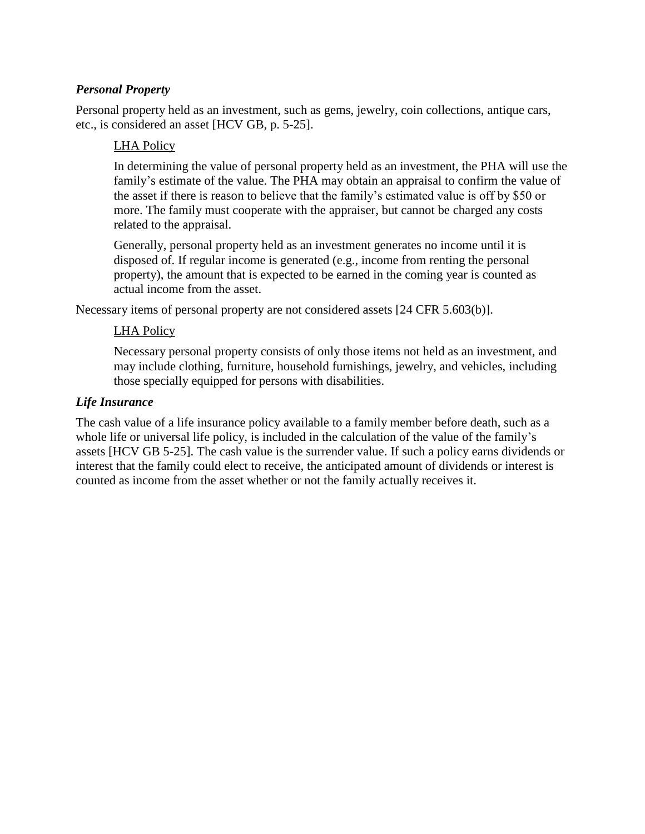## *Personal Property*

Personal property held as an investment, such as gems, jewelry, coin collections, antique cars, etc., is considered an asset [HCV GB, p. 5-25].

### LHA Policy

In determining the value of personal property held as an investment, the PHA will use the family's estimate of the value. The PHA may obtain an appraisal to confirm the value of the asset if there is reason to believe that the family's estimated value is off by \$50 or more. The family must cooperate with the appraiser, but cannot be charged any costs related to the appraisal.

Generally, personal property held as an investment generates no income until it is disposed of. If regular income is generated (e.g., income from renting the personal property), the amount that is expected to be earned in the coming year is counted as actual income from the asset.

Necessary items of personal property are not considered assets [24 CFR 5.603(b)].

#### LHA Policy

Necessary personal property consists of only those items not held as an investment, and may include clothing, furniture, household furnishings, jewelry, and vehicles, including those specially equipped for persons with disabilities.

#### *Life Insurance*

The cash value of a life insurance policy available to a family member before death, such as a whole life or universal life policy, is included in the calculation of the value of the family's assets [HCV GB 5-25]. The cash value is the surrender value. If such a policy earns dividends or interest that the family could elect to receive, the anticipated amount of dividends or interest is counted as income from the asset whether or not the family actually receives it.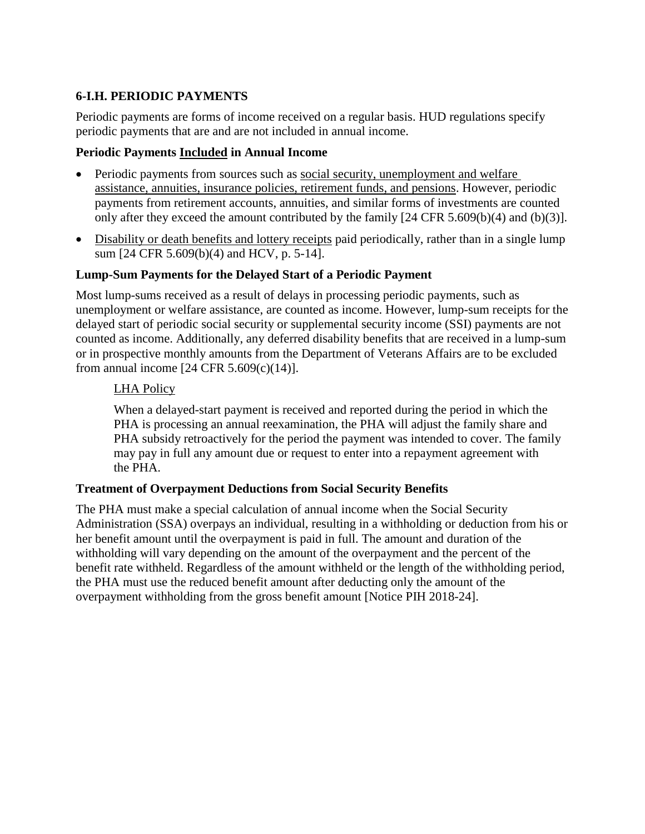# **6-I.H. PERIODIC PAYMENTS**

Periodic payments are forms of income received on a regular basis. HUD regulations specify periodic payments that are and are not included in annual income.

### **Periodic Payments Included in Annual Income**

- Periodic payments from sources such as social security, unemployment and welfare assistance, annuities, insurance policies, retirement funds, and pensions. However, periodic payments from retirement accounts, annuities, and similar forms of investments are counted only after they exceed the amount contributed by the family [24 CFR 5.609(b)(4) and (b)(3)].
- Disability or death benefits and lottery receipts paid periodically, rather than in a single lump sum [24 CFR 5.609(b)(4) and HCV, p. 5-14].

## **Lump-Sum Payments for the Delayed Start of a Periodic Payment**

Most lump-sums received as a result of delays in processing periodic payments, such as unemployment or welfare assistance, are counted as income. However, lump-sum receipts for the delayed start of periodic social security or supplemental security income (SSI) payments are not counted as income. Additionally, any deferred disability benefits that are received in a lump-sum or in prospective monthly amounts from the Department of Veterans Affairs are to be excluded from annual income  $[24 \text{ CFR } 5.609(c)(14)].$ 

#### LHA Policy

When a delayed-start payment is received and reported during the period in which the PHA is processing an annual reexamination, the PHA will adjust the family share and PHA subsidy retroactively for the period the payment was intended to cover. The family may pay in full any amount due or request to enter into a repayment agreement with the PHA.

#### **Treatment of Overpayment Deductions from Social Security Benefits**

The PHA must make a special calculation of annual income when the Social Security Administration (SSA) overpays an individual, resulting in a withholding or deduction from his or her benefit amount until the overpayment is paid in full. The amount and duration of the withholding will vary depending on the amount of the overpayment and the percent of the benefit rate withheld. Regardless of the amount withheld or the length of the withholding period, the PHA must use the reduced benefit amount after deducting only the amount of the overpayment withholding from the gross benefit amount [Notice PIH 2018-24].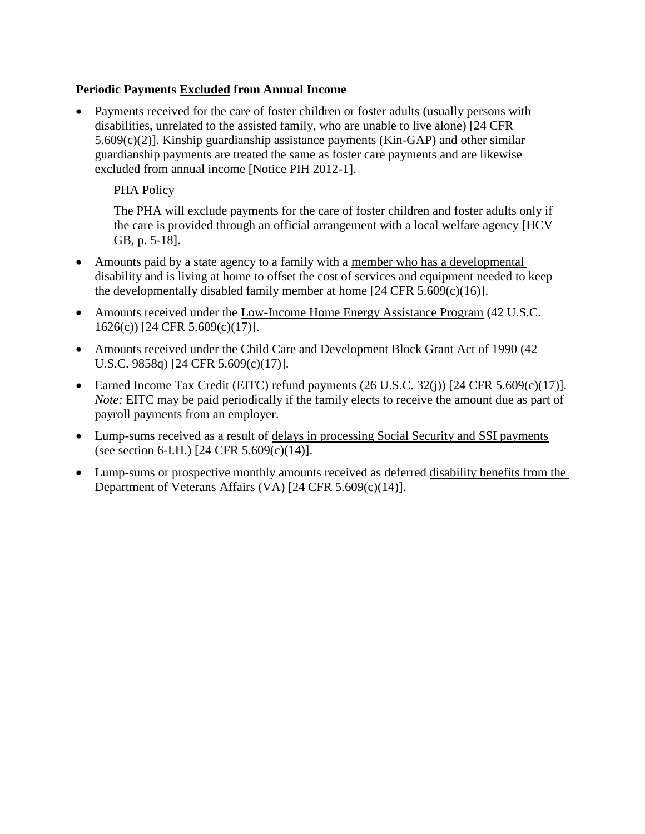## **Periodic Payments Excluded from Annual Income**

 Payments received for the care of foster children or foster adults (usually persons with disabilities, unrelated to the assisted family, who are unable to live alone) [24 CFR 5.609(c)(2)]. Kinship guardianship assistance payments (Kin-GAP) and other similar guardianship payments are treated the same as foster care payments and are likewise excluded from annual income [Notice PIH 2012-1].

## PHA Policy

The PHA will exclude payments for the care of foster children and foster adults only if the care is provided through an official arrangement with a local welfare agency [HCV GB, p. 5-18].

- Amounts paid by a state agency to a family with a member who has a developmental disability and is living at home to offset the cost of services and equipment needed to keep the developmentally disabled family member at home  $[24 \text{ CFR } 5.609(c)(16)].$
- Amounts received under the Low-Income Home Energy Assistance Program (42 U.S.C. 1626(c)) [24 CFR 5.609(c)(17)].
- Amounts received under the Child Care and Development Block Grant Act of 1990 (42) U.S.C. 9858q) [24 CFR 5.609(c)(17)].
- Earned Income Tax Credit (EITC) refund payments  $(26 \text{ U.S.C. } 32(i))$  [24 CFR 5.609(c)(17)]. *Note:* EITC may be paid periodically if the family elects to receive the amount due as part of payroll payments from an employer.
- Lump-sums received as a result of delays in processing Social Security and SSI payments (see section 6-I.H.) [24 CFR 5.609(c)(14)].
- Lump-sums or prospective monthly amounts received as deferred disability benefits from the Department of Veterans Affairs (VA) [24 CFR 5.609(c)(14)].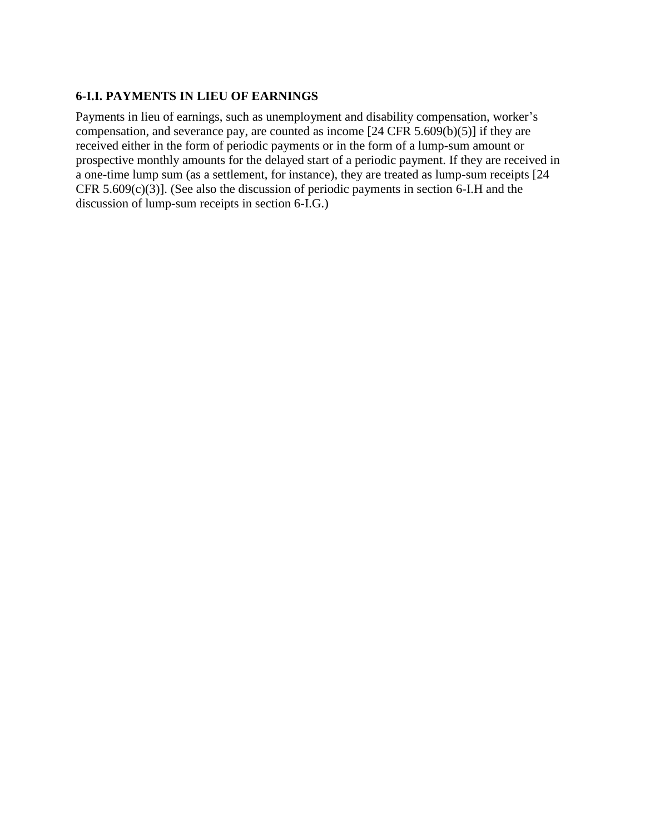## **6-I.I. PAYMENTS IN LIEU OF EARNINGS**

Payments in lieu of earnings, such as unemployment and disability compensation, worker's compensation, and severance pay, are counted as income  $[24 \text{ CFR } 5.609(b)(5)]$  if they are received either in the form of periodic payments or in the form of a lump-sum amount or prospective monthly amounts for the delayed start of a periodic payment. If they are received in a one-time lump sum (as a settlement, for instance), they are treated as lump-sum receipts [24 CFR 5.609 $(c)(3)$ ]. (See also the discussion of periodic payments in section 6-I.H and the discussion of lump-sum receipts in section 6-I.G.)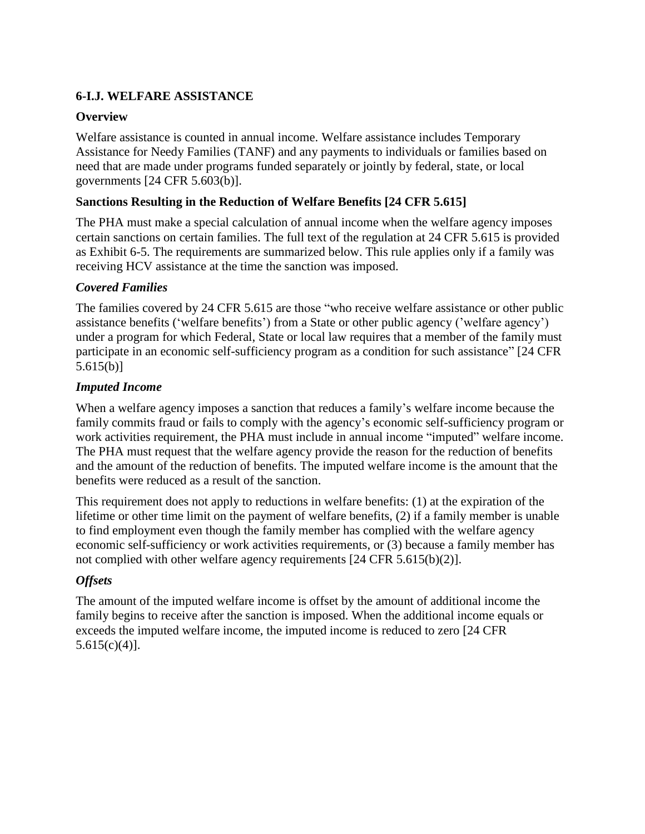# **6-I.J. WELFARE ASSISTANCE**

### **Overview**

Welfare assistance is counted in annual income. Welfare assistance includes Temporary Assistance for Needy Families (TANF) and any payments to individuals or families based on need that are made under programs funded separately or jointly by federal, state, or local governments [24 CFR 5.603(b)].

### **Sanctions Resulting in the Reduction of Welfare Benefits [24 CFR 5.615]**

The PHA must make a special calculation of annual income when the welfare agency imposes certain sanctions on certain families. The full text of the regulation at 24 CFR 5.615 is provided as Exhibit 6-5. The requirements are summarized below. This rule applies only if a family was receiving HCV assistance at the time the sanction was imposed.

#### *Covered Families*

The families covered by 24 CFR 5.615 are those "who receive welfare assistance or other public assistance benefits ('welfare benefits') from a State or other public agency ('welfare agency') under a program for which Federal, State or local law requires that a member of the family must participate in an economic self-sufficiency program as a condition for such assistance" [24 CFR 5.615(b)]

#### *Imputed Income*

When a welfare agency imposes a sanction that reduces a family's welfare income because the family commits fraud or fails to comply with the agency's economic self-sufficiency program or work activities requirement, the PHA must include in annual income "imputed" welfare income. The PHA must request that the welfare agency provide the reason for the reduction of benefits and the amount of the reduction of benefits. The imputed welfare income is the amount that the benefits were reduced as a result of the sanction.

This requirement does not apply to reductions in welfare benefits: (1) at the expiration of the lifetime or other time limit on the payment of welfare benefits, (2) if a family member is unable to find employment even though the family member has complied with the welfare agency economic self-sufficiency or work activities requirements, or (3) because a family member has not complied with other welfare agency requirements [24 CFR 5.615(b)(2)].

## *Offsets*

The amount of the imputed welfare income is offset by the amount of additional income the family begins to receive after the sanction is imposed. When the additional income equals or exceeds the imputed welfare income, the imputed income is reduced to zero [24 CFR  $5.615(c)(4)$ ].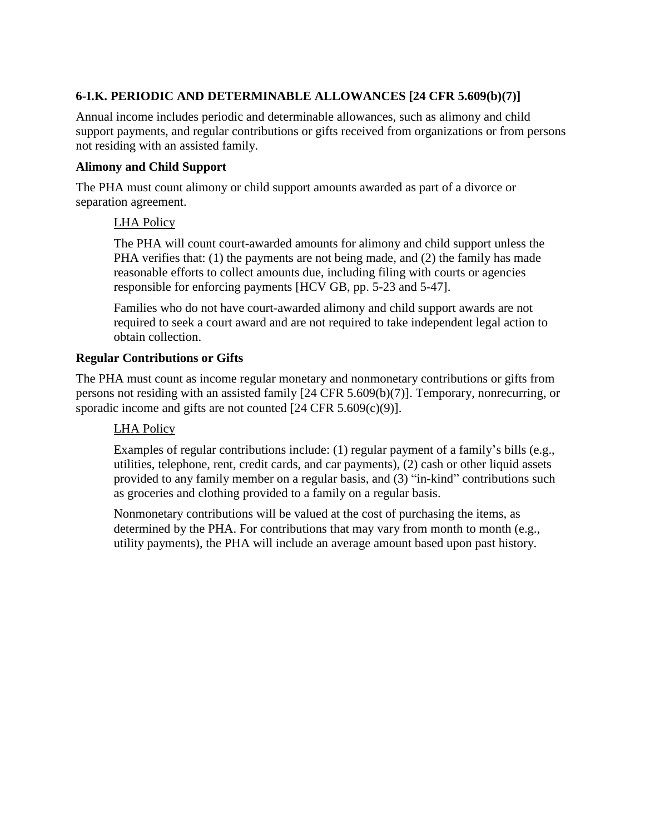# **6-I.K. PERIODIC AND DETERMINABLE ALLOWANCES [24 CFR 5.609(b)(7)]**

Annual income includes periodic and determinable allowances, such as alimony and child support payments, and regular contributions or gifts received from organizations or from persons not residing with an assisted family.

## **Alimony and Child Support**

The PHA must count alimony or child support amounts awarded as part of a divorce or separation agreement.

## LHA Policy

The PHA will count court-awarded amounts for alimony and child support unless the PHA verifies that: (1) the payments are not being made, and (2) the family has made reasonable efforts to collect amounts due, including filing with courts or agencies responsible for enforcing payments [HCV GB, pp. 5-23 and 5-47].

Families who do not have court-awarded alimony and child support awards are not required to seek a court award and are not required to take independent legal action to obtain collection.

## **Regular Contributions or Gifts**

The PHA must count as income regular monetary and nonmonetary contributions or gifts from persons not residing with an assisted family [24 CFR 5.609(b)(7)]. Temporary, nonrecurring, or sporadic income and gifts are not counted [24 CFR 5.609(c)(9)].

## LHA Policy

Examples of regular contributions include: (1) regular payment of a family's bills (e.g., utilities, telephone, rent, credit cards, and car payments), (2) cash or other liquid assets provided to any family member on a regular basis, and (3) "in-kind" contributions such as groceries and clothing provided to a family on a regular basis.

Nonmonetary contributions will be valued at the cost of purchasing the items, as determined by the PHA. For contributions that may vary from month to month (e.g., utility payments), the PHA will include an average amount based upon past history.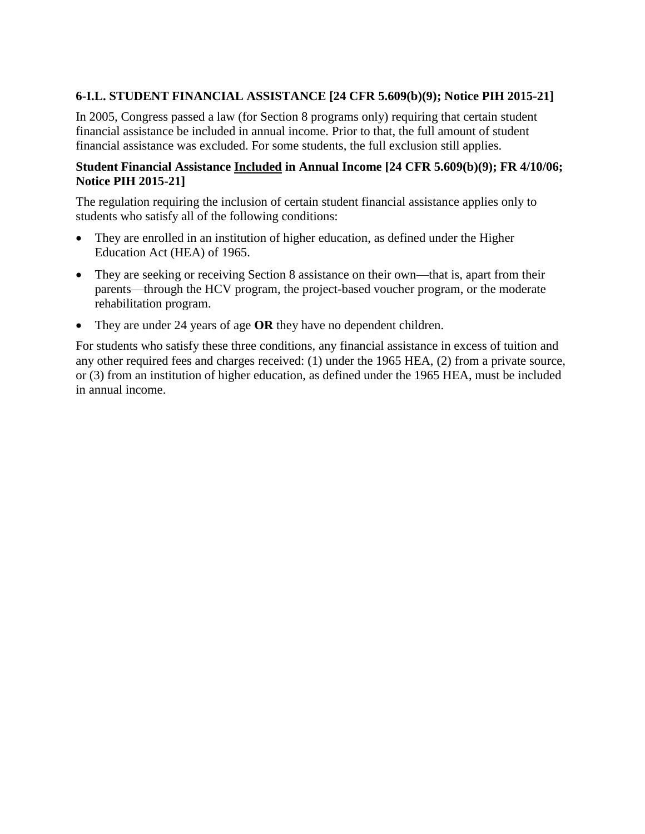# **6-I.L. STUDENT FINANCIAL ASSISTANCE [24 CFR 5.609(b)(9); Notice PIH 2015-21]**

In 2005, Congress passed a law (for Section 8 programs only) requiring that certain student financial assistance be included in annual income. Prior to that, the full amount of student financial assistance was excluded. For some students, the full exclusion still applies.

### **Student Financial Assistance Included in Annual Income [24 CFR 5.609(b)(9); FR 4/10/06; Notice PIH 2015-21]**

The regulation requiring the inclusion of certain student financial assistance applies only to students who satisfy all of the following conditions:

- They are enrolled in an institution of higher education, as defined under the Higher Education Act (HEA) of 1965.
- They are seeking or receiving Section 8 assistance on their own—that is, apart from their parents—through the HCV program, the project-based voucher program, or the moderate rehabilitation program.
- They are under 24 years of age **OR** they have no dependent children.

For students who satisfy these three conditions, any financial assistance in excess of tuition and any other required fees and charges received: (1) under the 1965 HEA, (2) from a private source, or (3) from an institution of higher education, as defined under the 1965 HEA, must be included in annual income.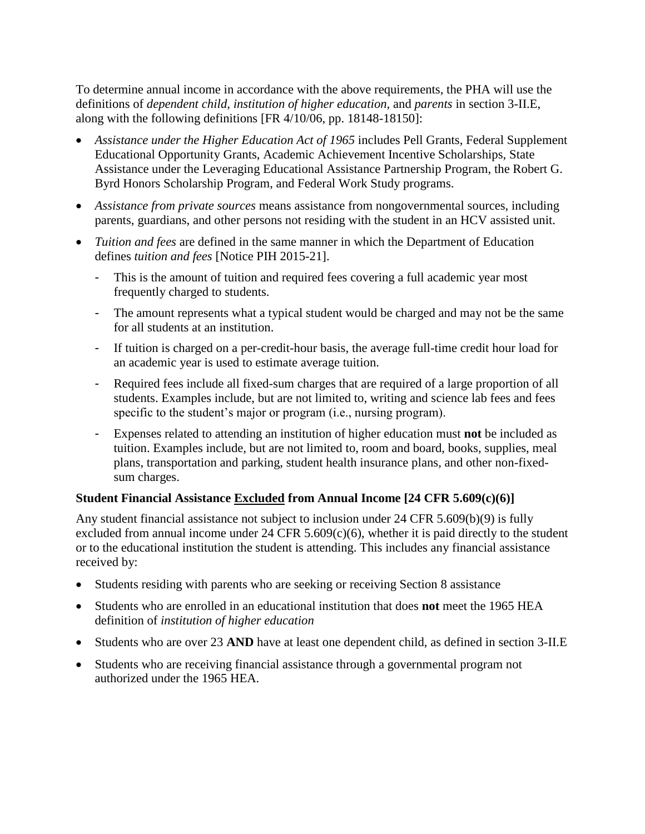To determine annual income in accordance with the above requirements, the PHA will use the definitions of *dependent child, institution of higher education,* and *parents* in section 3-II.E, along with the following definitions [FR 4/10/06, pp. 18148-18150]:

- *Assistance under the Higher Education Act of 1965* includes Pell Grants, Federal Supplement Educational Opportunity Grants, Academic Achievement Incentive Scholarships, State Assistance under the Leveraging Educational Assistance Partnership Program, the Robert G. Byrd Honors Scholarship Program, and Federal Work Study programs.
- *Assistance from private sources* means assistance from nongovernmental sources, including parents, guardians, and other persons not residing with the student in an HCV assisted unit.
- *Tuition and fees* are defined in the same manner in which the Department of Education defines *tuition and fees* [Notice PIH 2015-21].
	- This is the amount of tuition and required fees covering a full academic year most frequently charged to students.
	- The amount represents what a typical student would be charged and may not be the same for all students at an institution.
	- If tuition is charged on a per-credit-hour basis, the average full-time credit hour load for an academic year is used to estimate average tuition.
	- Required fees include all fixed-sum charges that are required of a large proportion of all students. Examples include, but are not limited to, writing and science lab fees and fees specific to the student's major or program (i.e., nursing program).
	- Expenses related to attending an institution of higher education must **not** be included as tuition. Examples include, but are not limited to, room and board, books, supplies, meal plans, transportation and parking, student health insurance plans, and other non-fixedsum charges.

## **Student Financial Assistance Excluded from Annual Income [24 CFR 5.609(c)(6)]**

Any student financial assistance not subject to inclusion under 24 CFR 5.609(b)(9) is fully excluded from annual income under 24 CFR  $5.609(c)(6)$ , whether it is paid directly to the student or to the educational institution the student is attending. This includes any financial assistance received by:

- Students residing with parents who are seeking or receiving Section 8 assistance
- Students who are enrolled in an educational institution that does **not** meet the 1965 HEA definition of *institution of higher education*
- Students who are over 23 **AND** have at least one dependent child, as defined in section 3-II.E
- Students who are receiving financial assistance through a governmental program not authorized under the 1965 HEA.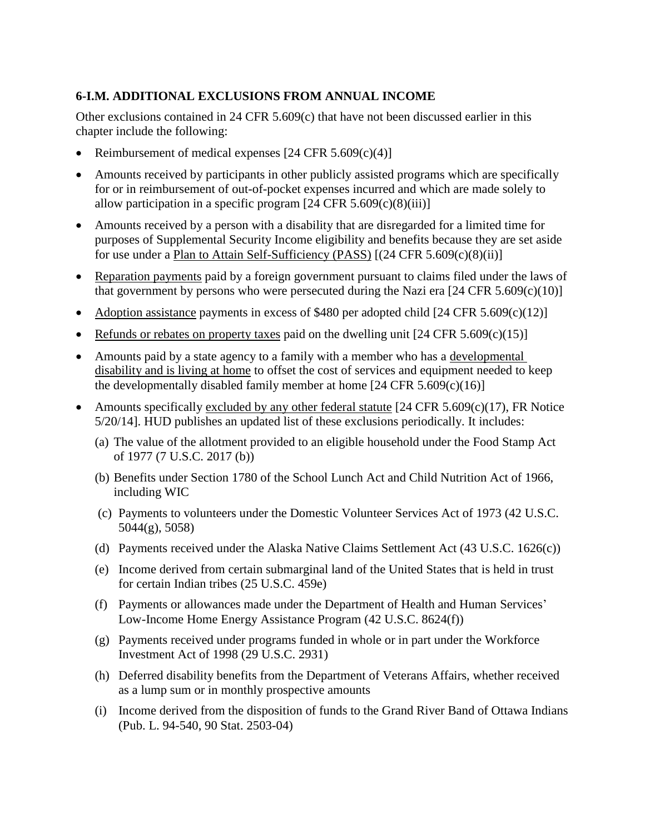# **6-I.M. ADDITIONAL EXCLUSIONS FROM ANNUAL INCOME**

Other exclusions contained in 24 CFR 5.609(c) that have not been discussed earlier in this chapter include the following:

- Reimbursement of medical expenses  $[24 \text{ CFR } 5.609(c)(4)]$
- Amounts received by participants in other publicly assisted programs which are specifically for or in reimbursement of out-of-pocket expenses incurred and which are made solely to allow participation in a specific program  $[24 \text{ CFR } 5.609(c)(8)(iii)]$
- Amounts received by a person with a disability that are disregarded for a limited time for purposes of Supplemental Security Income eligibility and benefits because they are set aside for use under a Plan to Attain Self-Sufficiency (PASS)  $[(24 \text{ CFR } 5.609(c)(8)(ii))]$
- Reparation payments paid by a foreign government pursuant to claims filed under the laws of that government by persons who were persecuted during the Nazi era  $[24 \text{ CFR } 5.609(c)(10)]$
- Adoption assistance payments in excess of \$480 per adopted child  $[24 \text{ CFR } 5.609 \text{ (c)}(12)]$
- Refunds or rebates on property taxes paid on the dwelling unit  $[24 \text{ CFR } 5.609 \text{ (c)}(15)]$
- Amounts paid by a state agency to a family with a member who has a developmental disability and is living at home to offset the cost of services and equipment needed to keep the developmentally disabled family member at home  $[24 \text{ CFR } 5.609(c)(16)]$
- Amounts specifically excluded by any other federal statute  $[24 \text{ CFR } 5.609 \text{ (c)} (17)$ , FR Notice 5/20/14]. HUD publishes an updated list of these exclusions periodically. It includes:
	- (a) The value of the allotment provided to an eligible household under the Food Stamp Act of 1977 (7 U.S.C. 2017 (b))
	- (b) Benefits under Section 1780 of the School Lunch Act and Child Nutrition Act of 1966, including WIC
	- (c) Payments to volunteers under the Domestic Volunteer Services Act of 1973 (42 U.S.C. 5044(g), 5058)
	- (d) Payments received under the Alaska Native Claims Settlement Act (43 U.S.C. 1626(c))
	- (e) Income derived from certain submarginal land of the United States that is held in trust for certain Indian tribes (25 U.S.C. 459e)
	- (f) Payments or allowances made under the Department of Health and Human Services' Low-Income Home Energy Assistance Program (42 U.S.C. 8624(f))
	- (g) Payments received under programs funded in whole or in part under the Workforce Investment Act of 1998 (29 U.S.C. 2931)
	- (h) Deferred disability benefits from the Department of Veterans Affairs, whether received as a lump sum or in monthly prospective amounts
	- (i) Income derived from the disposition of funds to the Grand River Band of Ottawa Indians (Pub. L. 94-540, 90 Stat. 2503-04)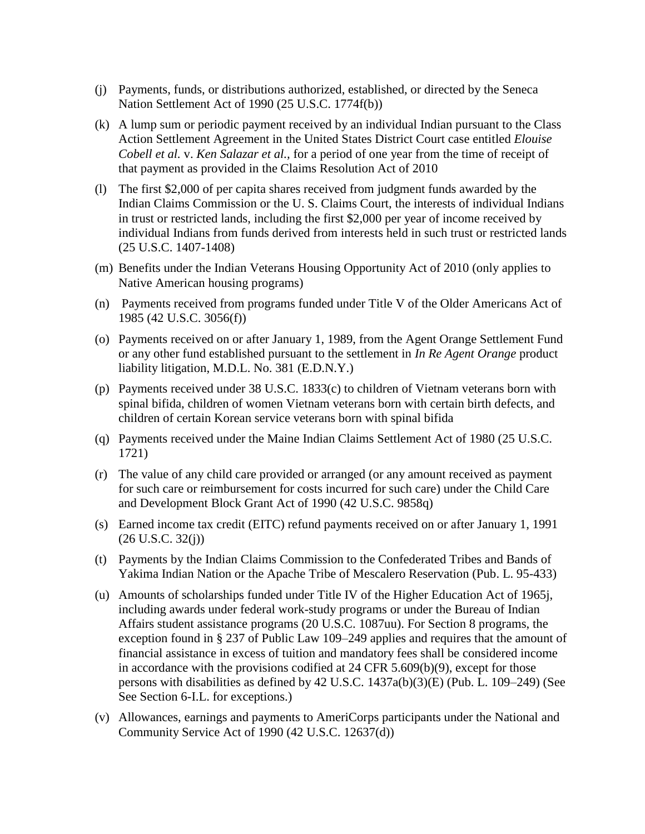- (j) Payments, funds, or distributions authorized, established, or directed by the Seneca Nation Settlement Act of 1990 (25 U.S.C. 1774f(b))
- (k) A lump sum or periodic payment received by an individual Indian pursuant to the Class Action Settlement Agreement in the United States District Court case entitled *Elouise Cobell et al.* v. *Ken Salazar et al.,* for a period of one year from the time of receipt of that payment as provided in the Claims Resolution Act of 2010
- (l) The first \$2,000 of per capita shares received from judgment funds awarded by the Indian Claims Commission or the U. S. Claims Court, the interests of individual Indians in trust or restricted lands, including the first \$2,000 per year of income received by individual Indians from funds derived from interests held in such trust or restricted lands (25 U.S.C. 1407-1408)
- (m) Benefits under the Indian Veterans Housing Opportunity Act of 2010 (only applies to Native American housing programs)
- (n) Payments received from programs funded under Title V of the Older Americans Act of 1985 (42 U.S.C. 3056(f))
- (o) Payments received on or after January 1, 1989, from the Agent Orange Settlement Fund or any other fund established pursuant to the settlement in *In Re Agent Orange* product liability litigation, M.D.L. No. 381 (E.D.N.Y.)
- (p) Payments received under 38 U.S.C. 1833(c) to children of Vietnam veterans born with spinal bifida, children of women Vietnam veterans born with certain birth defects, and children of certain Korean service veterans born with spinal bifida
- (q) Payments received under the Maine Indian Claims Settlement Act of 1980 (25 U.S.C. 1721)
- (r) The value of any child care provided or arranged (or any amount received as payment for such care or reimbursement for costs incurred for such care) under the Child Care and Development Block Grant Act of 1990 (42 U.S.C. 9858q)
- (s) Earned income tax credit (EITC) refund payments received on or after January 1, 1991  $(26 \text{ U.S.C. } 32(j))$
- (t) Payments by the Indian Claims Commission to the Confederated Tribes and Bands of Yakima Indian Nation or the Apache Tribe of Mescalero Reservation (Pub. L. 95-433)
- (u) Amounts of scholarships funded under Title IV of the Higher Education Act of 1965j, including awards under federal work-study programs or under the Bureau of Indian Affairs student assistance programs (20 U.S.C. 1087uu). For Section 8 programs, the exception found in § 237 of Public Law 109–249 applies and requires that the amount of financial assistance in excess of tuition and mandatory fees shall be considered income in accordance with the provisions codified at 24 CFR 5.609(b)(9), except for those persons with disabilities as defined by 42 U.S.C. 1437a(b)(3)(E) (Pub. L. 109–249) (See See Section 6-I.L. for exceptions.)
- (v) Allowances, earnings and payments to AmeriCorps participants under the National and Community Service Act of 1990 (42 U.S.C. 12637(d))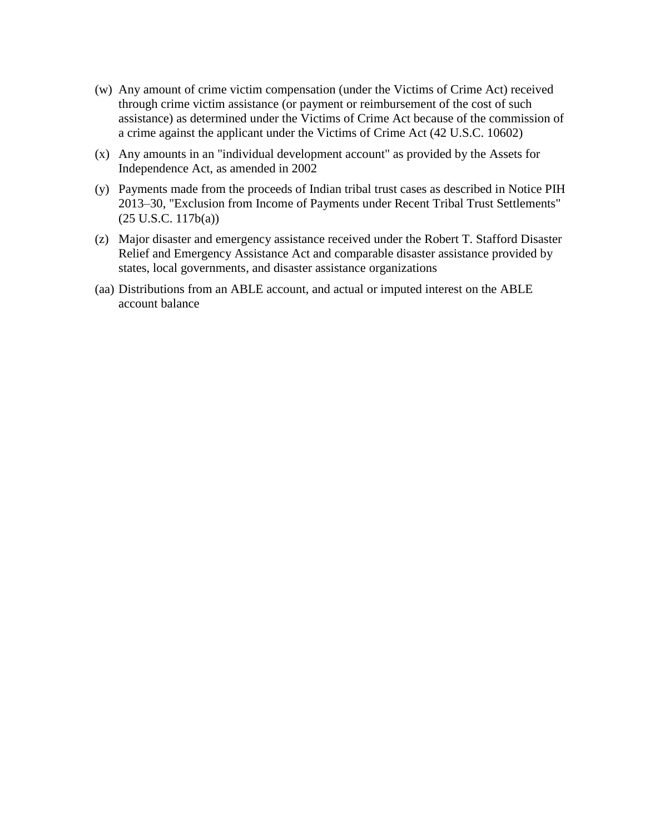- (w) Any amount of crime victim compensation (under the Victims of Crime Act) received through crime victim assistance (or payment or reimbursement of the cost of such assistance) as determined under the Victims of Crime Act because of the commission of a crime against the applicant under the Victims of Crime Act (42 U.S.C. 10602)
- (x) Any amounts in an "individual development account" as provided by the Assets for Independence Act, as amended in 2002
- (y) Payments made from the proceeds of Indian tribal trust cases as described in Notice PIH 2013–30, "Exclusion from Income of Payments under Recent Tribal Trust Settlements" (25 U.S.C. 117b(a))
- (z) Major disaster and emergency assistance received under the Robert T. Stafford Disaster Relief and Emergency Assistance Act and comparable disaster assistance provided by states, local governments, and disaster assistance organizations
- (aa) Distributions from an ABLE account, and actual or imputed interest on the ABLE account balance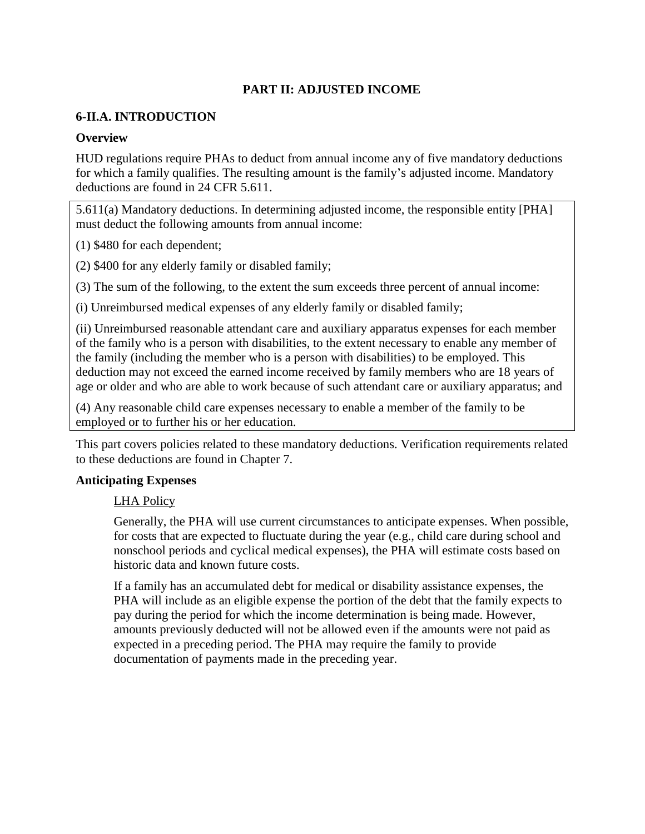# **PART II: ADJUSTED INCOME**

#### **6-II.A. INTRODUCTION**

#### **Overview**

HUD regulations require PHAs to deduct from annual income any of five mandatory deductions for which a family qualifies. The resulting amount is the family's adjusted income. Mandatory deductions are found in 24 CFR 5.611.

5.611(a) Mandatory deductions. In determining adjusted income, the responsible entity [PHA] must deduct the following amounts from annual income:

(1) \$480 for each dependent;

(2) \$400 for any elderly family or disabled family;

(3) The sum of the following, to the extent the sum exceeds three percent of annual income:

(i) Unreimbursed medical expenses of any elderly family or disabled family;

(ii) Unreimbursed reasonable attendant care and auxiliary apparatus expenses for each member of the family who is a person with disabilities, to the extent necessary to enable any member of the family (including the member who is a person with disabilities) to be employed. This deduction may not exceed the earned income received by family members who are 18 years of age or older and who are able to work because of such attendant care or auxiliary apparatus; and

(4) Any reasonable child care expenses necessary to enable a member of the family to be employed or to further his or her education.

This part covers policies related to these mandatory deductions. Verification requirements related to these deductions are found in Chapter 7.

#### **Anticipating Expenses**

## LHA Policy

Generally, the PHA will use current circumstances to anticipate expenses. When possible, for costs that are expected to fluctuate during the year (e.g., child care during school and nonschool periods and cyclical medical expenses), the PHA will estimate costs based on historic data and known future costs.

If a family has an accumulated debt for medical or disability assistance expenses, the PHA will include as an eligible expense the portion of the debt that the family expects to pay during the period for which the income determination is being made. However, amounts previously deducted will not be allowed even if the amounts were not paid as expected in a preceding period. The PHA may require the family to provide documentation of payments made in the preceding year.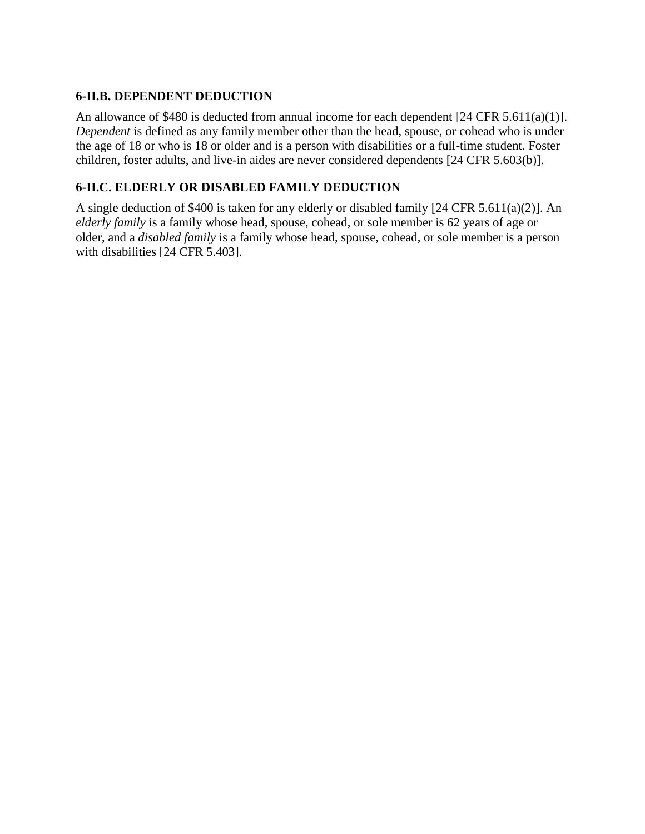# **6-II.B. DEPENDENT DEDUCTION**

An allowance of \$480 is deducted from annual income for each dependent [24 CFR 5.611(a)(1)]. *Dependent* is defined as any family member other than the head, spouse, or cohead who is under the age of 18 or who is 18 or older and is a person with disabilities or a full-time student. Foster children, foster adults, and live-in aides are never considered dependents [24 CFR 5.603(b)].

## **6-II.C. ELDERLY OR DISABLED FAMILY DEDUCTION**

A single deduction of \$400 is taken for any elderly or disabled family [24 CFR 5.611(a)(2)]. An *elderly family* is a family whose head, spouse, cohead, or sole member is 62 years of age or older, and a *disabled family* is a family whose head, spouse, cohead, or sole member is a person with disabilities [24 CFR 5.403].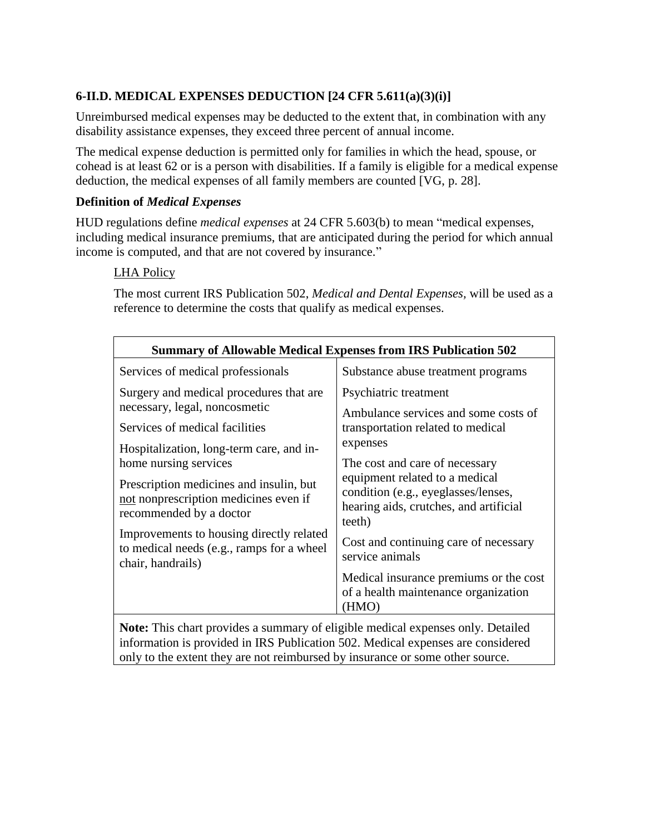# **6-II.D. MEDICAL EXPENSES DEDUCTION [24 CFR 5.611(a)(3)(i)]**

Unreimbursed medical expenses may be deducted to the extent that, in combination with any disability assistance expenses, they exceed three percent of annual income.

The medical expense deduction is permitted only for families in which the head, spouse, or cohead is at least 62 or is a person with disabilities. If a family is eligible for a medical expense deduction, the medical expenses of all family members are counted [VG, p. 28].

## **Definition of** *Medical Expenses*

HUD regulations define *medical expenses* at 24 CFR 5.603(b) to mean "medical expenses, including medical insurance premiums, that are anticipated during the period for which annual income is computed, and that are not covered by insurance."

## LHA Policy

The most current IRS Publication 502, *Medical and Dental Expenses,* will be used as a reference to determine the costs that qualify as medical expenses.

| <b>Summary of Allowable Medical Expenses from IRS Publication 502</b>                                       |                                                                                                                                                                                                                                                                                                                                           |  |  |  |
|-------------------------------------------------------------------------------------------------------------|-------------------------------------------------------------------------------------------------------------------------------------------------------------------------------------------------------------------------------------------------------------------------------------------------------------------------------------------|--|--|--|
| Services of medical professionals                                                                           | Substance abuse treatment programs                                                                                                                                                                                                                                                                                                        |  |  |  |
| Surgery and medical procedures that are<br>necessary, legal, noncosmetic                                    | Psychiatric treatment<br>Ambulance services and some costs of<br>transportation related to medical<br>expenses<br>The cost and care of necessary<br>equipment related to a medical<br>condition (e.g., eyeglasses/lenses,<br>hearing aids, crutches, and artificial<br>teeth)<br>Cost and continuing care of necessary<br>service animals |  |  |  |
| Services of medical facilities                                                                              |                                                                                                                                                                                                                                                                                                                                           |  |  |  |
| Hospitalization, long-term care, and in-<br>home nursing services                                           |                                                                                                                                                                                                                                                                                                                                           |  |  |  |
| Prescription medicines and insulin, but<br>not nonprescription medicines even if<br>recommended by a doctor |                                                                                                                                                                                                                                                                                                                                           |  |  |  |
| Improvements to housing directly related<br>to medical needs (e.g., ramps for a wheel<br>chair, handrails)  |                                                                                                                                                                                                                                                                                                                                           |  |  |  |
|                                                                                                             | Medical insurance premiums or the cost<br>of a health maintenance organization<br>(HMO)                                                                                                                                                                                                                                                   |  |  |  |
| Note: This chart provides a summary of eligible medical expenses only. Detailed                             |                                                                                                                                                                                                                                                                                                                                           |  |  |  |

information is provided in IRS Publication 502. Medical expenses are considered only to the extent they are not reimbursed by insurance or some other source.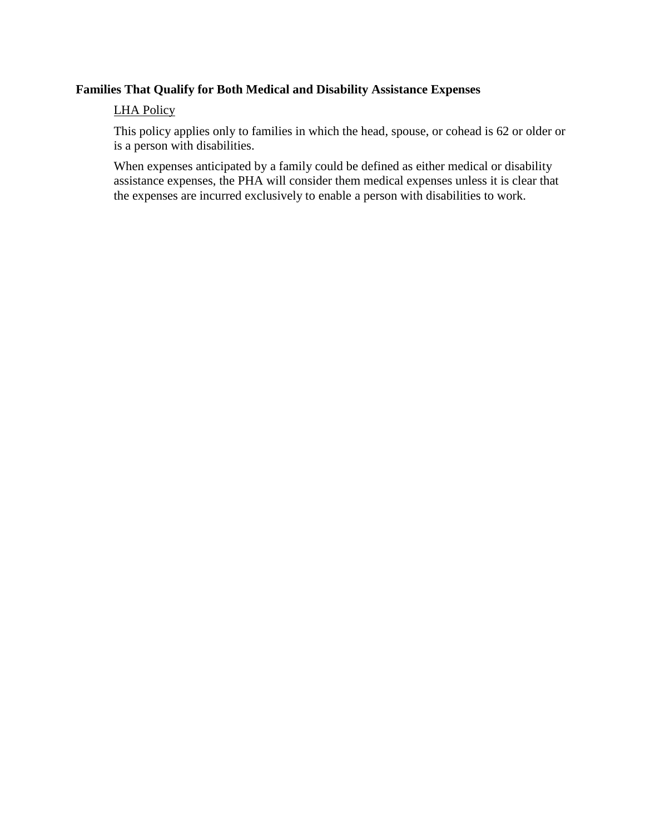# **Families That Qualify for Both Medical and Disability Assistance Expenses**

### LHA Policy

This policy applies only to families in which the head, spouse, or cohead is 62 or older or is a person with disabilities.

When expenses anticipated by a family could be defined as either medical or disability assistance expenses, the PHA will consider them medical expenses unless it is clear that the expenses are incurred exclusively to enable a person with disabilities to work.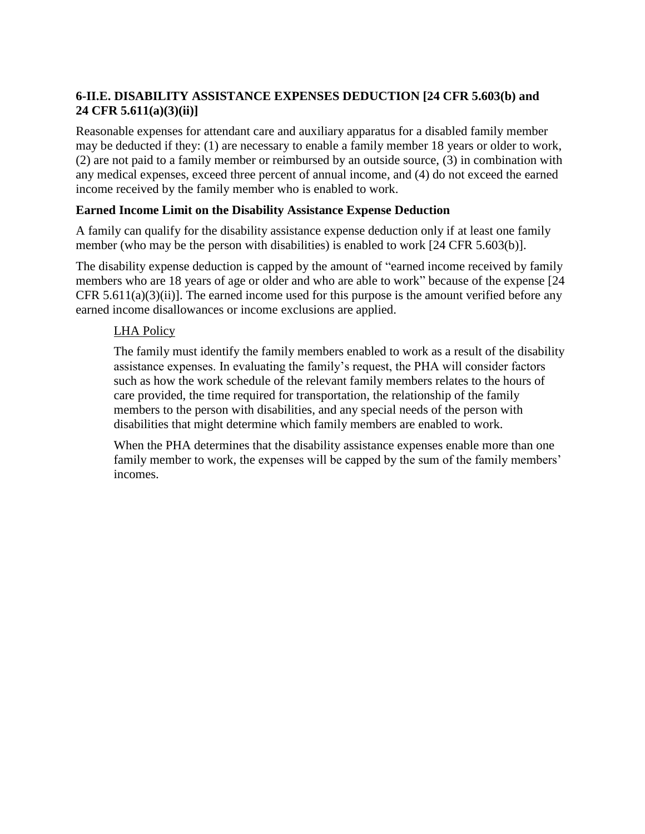# **6-II.E. DISABILITY ASSISTANCE EXPENSES DEDUCTION [24 CFR 5.603(b) and 24 CFR 5.611(a)(3)(ii)]**

Reasonable expenses for attendant care and auxiliary apparatus for a disabled family member may be deducted if they: (1) are necessary to enable a family member 18 years or older to work, (2) are not paid to a family member or reimbursed by an outside source, (3) in combination with any medical expenses, exceed three percent of annual income, and (4) do not exceed the earned income received by the family member who is enabled to work.

## **Earned Income Limit on the Disability Assistance Expense Deduction**

A family can qualify for the disability assistance expense deduction only if at least one family member (who may be the person with disabilities) is enabled to work [24 CFR 5.603(b)].

The disability expense deduction is capped by the amount of "earned income received by family members who are 18 years of age or older and who are able to work" because of the expense [24 CFR  $5.611(a)(3)(ii)$ . The earned income used for this purpose is the amount verified before any earned income disallowances or income exclusions are applied.

# LHA Policy

The family must identify the family members enabled to work as a result of the disability assistance expenses. In evaluating the family's request, the PHA will consider factors such as how the work schedule of the relevant family members relates to the hours of care provided, the time required for transportation, the relationship of the family members to the person with disabilities, and any special needs of the person with disabilities that might determine which family members are enabled to work.

When the PHA determines that the disability assistance expenses enable more than one family member to work, the expenses will be capped by the sum of the family members' incomes.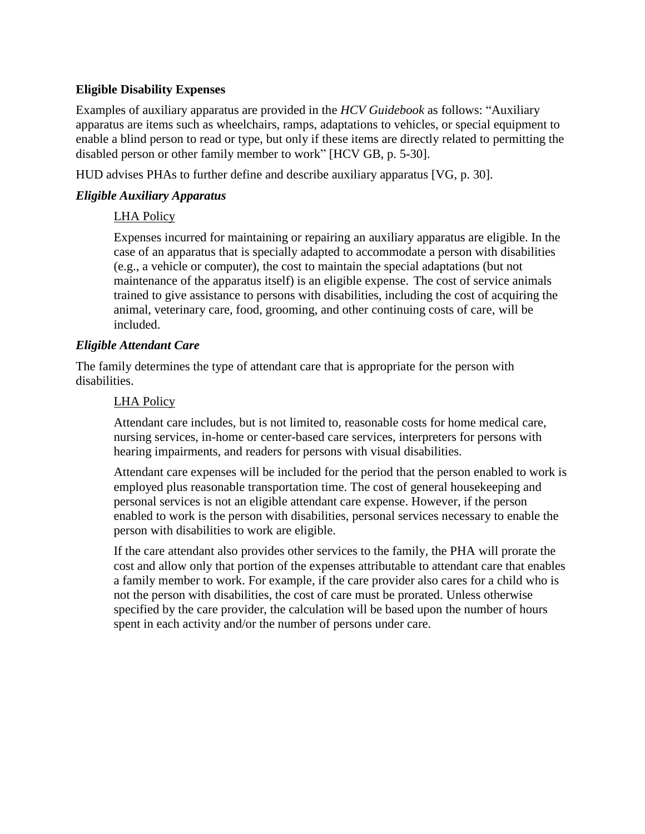## **Eligible Disability Expenses**

Examples of auxiliary apparatus are provided in the *HCV Guidebook* as follows: "Auxiliary apparatus are items such as wheelchairs, ramps, adaptations to vehicles, or special equipment to enable a blind person to read or type, but only if these items are directly related to permitting the disabled person or other family member to work" [HCV GB, p. 5-30].

HUD advises PHAs to further define and describe auxiliary apparatus [VG, p. 30].

#### *Eligible Auxiliary Apparatus*

#### LHA Policy

Expenses incurred for maintaining or repairing an auxiliary apparatus are eligible. In the case of an apparatus that is specially adapted to accommodate a person with disabilities (e.g., a vehicle or computer), the cost to maintain the special adaptations (but not maintenance of the apparatus itself) is an eligible expense. The cost of service animals trained to give assistance to persons with disabilities, including the cost of acquiring the animal, veterinary care, food, grooming, and other continuing costs of care, will be included.

#### *Eligible Attendant Care*

The family determines the type of attendant care that is appropriate for the person with disabilities.

#### LHA Policy

Attendant care includes, but is not limited to, reasonable costs for home medical care, nursing services, in-home or center-based care services, interpreters for persons with hearing impairments, and readers for persons with visual disabilities.

Attendant care expenses will be included for the period that the person enabled to work is employed plus reasonable transportation time. The cost of general housekeeping and personal services is not an eligible attendant care expense. However, if the person enabled to work is the person with disabilities, personal services necessary to enable the person with disabilities to work are eligible.

If the care attendant also provides other services to the family, the PHA will prorate the cost and allow only that portion of the expenses attributable to attendant care that enables a family member to work. For example, if the care provider also cares for a child who is not the person with disabilities, the cost of care must be prorated. Unless otherwise specified by the care provider, the calculation will be based upon the number of hours spent in each activity and/or the number of persons under care.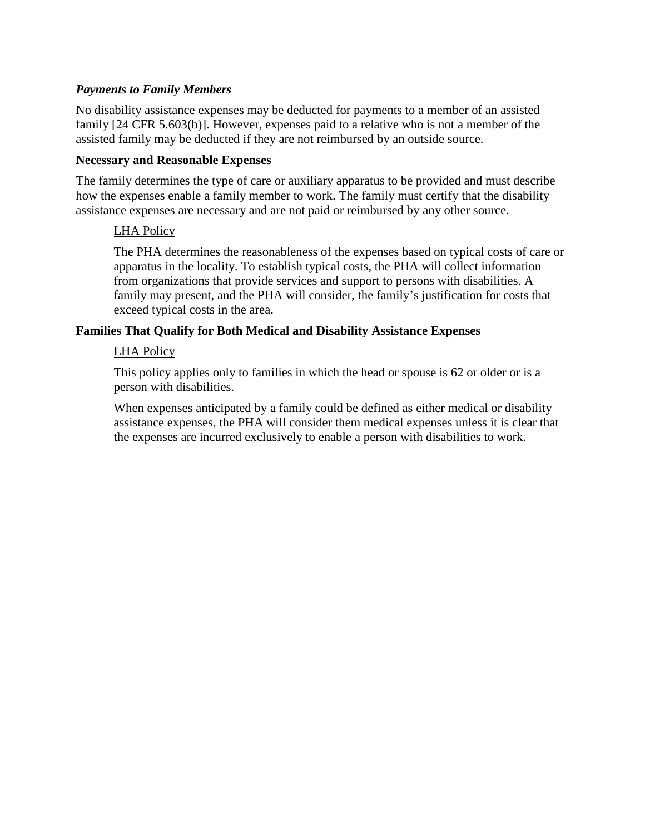### *Payments to Family Members*

No disability assistance expenses may be deducted for payments to a member of an assisted family [24 CFR 5.603(b)]. However, expenses paid to a relative who is not a member of the assisted family may be deducted if they are not reimbursed by an outside source.

#### **Necessary and Reasonable Expenses**

The family determines the type of care or auxiliary apparatus to be provided and must describe how the expenses enable a family member to work. The family must certify that the disability assistance expenses are necessary and are not paid or reimbursed by any other source.

#### LHA Policy

The PHA determines the reasonableness of the expenses based on typical costs of care or apparatus in the locality. To establish typical costs, the PHA will collect information from organizations that provide services and support to persons with disabilities. A family may present, and the PHA will consider, the family's justification for costs that exceed typical costs in the area.

#### **Families That Qualify for Both Medical and Disability Assistance Expenses**

#### LHA Policy

This policy applies only to families in which the head or spouse is 62 or older or is a person with disabilities.

When expenses anticipated by a family could be defined as either medical or disability assistance expenses, the PHA will consider them medical expenses unless it is clear that the expenses are incurred exclusively to enable a person with disabilities to work.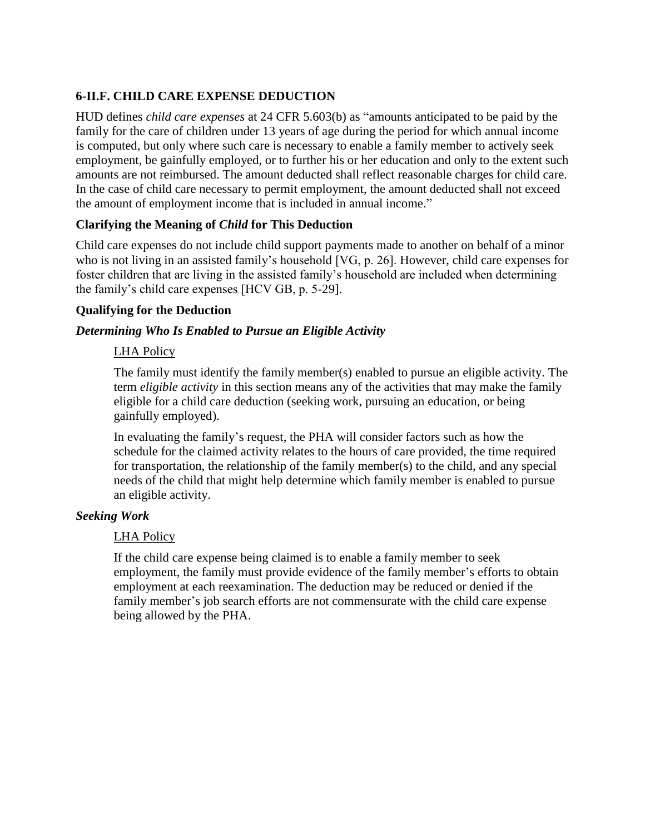# **6-II.F. CHILD CARE EXPENSE DEDUCTION**

HUD defines *child care expenses* at 24 CFR 5.603(b) as "amounts anticipated to be paid by the family for the care of children under 13 years of age during the period for which annual income is computed, but only where such care is necessary to enable a family member to actively seek employment, be gainfully employed, or to further his or her education and only to the extent such amounts are not reimbursed. The amount deducted shall reflect reasonable charges for child care. In the case of child care necessary to permit employment, the amount deducted shall not exceed the amount of employment income that is included in annual income."

# **Clarifying the Meaning of** *Child* **for This Deduction**

Child care expenses do not include child support payments made to another on behalf of a minor who is not living in an assisted family's household [VG, p. 26]. However, child care expenses for foster children that are living in the assisted family's household are included when determining the family's child care expenses [HCV GB, p. 5-29].

## **Qualifying for the Deduction**

# *Determining Who Is Enabled to Pursue an Eligible Activity*

# LHA Policy

The family must identify the family member(s) enabled to pursue an eligible activity. The term *eligible activity* in this section means any of the activities that may make the family eligible for a child care deduction (seeking work, pursuing an education, or being gainfully employed).

In evaluating the family's request, the PHA will consider factors such as how the schedule for the claimed activity relates to the hours of care provided, the time required for transportation, the relationship of the family member(s) to the child, and any special needs of the child that might help determine which family member is enabled to pursue an eligible activity.

## *Seeking Work*

## LHA Policy

If the child care expense being claimed is to enable a family member to seek employment, the family must provide evidence of the family member's efforts to obtain employment at each reexamination. The deduction may be reduced or denied if the family member's job search efforts are not commensurate with the child care expense being allowed by the PHA.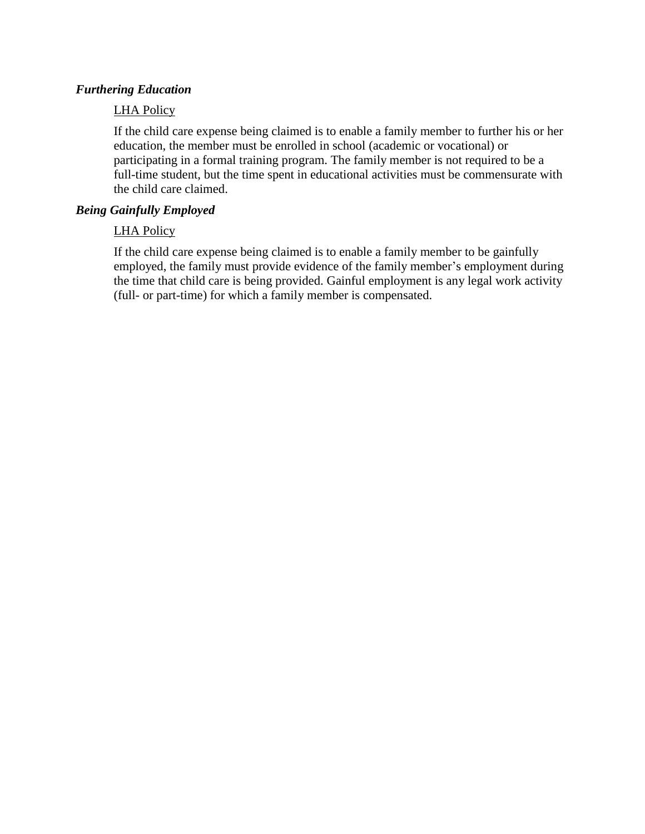#### *Furthering Education*

#### LHA Policy

If the child care expense being claimed is to enable a family member to further his or her education, the member must be enrolled in school (academic or vocational) or participating in a formal training program. The family member is not required to be a full-time student, but the time spent in educational activities must be commensurate with the child care claimed.

#### *Being Gainfully Employed*

#### LHA Policy

If the child care expense being claimed is to enable a family member to be gainfully employed, the family must provide evidence of the family member's employment during the time that child care is being provided. Gainful employment is any legal work activity (full- or part-time) for which a family member is compensated.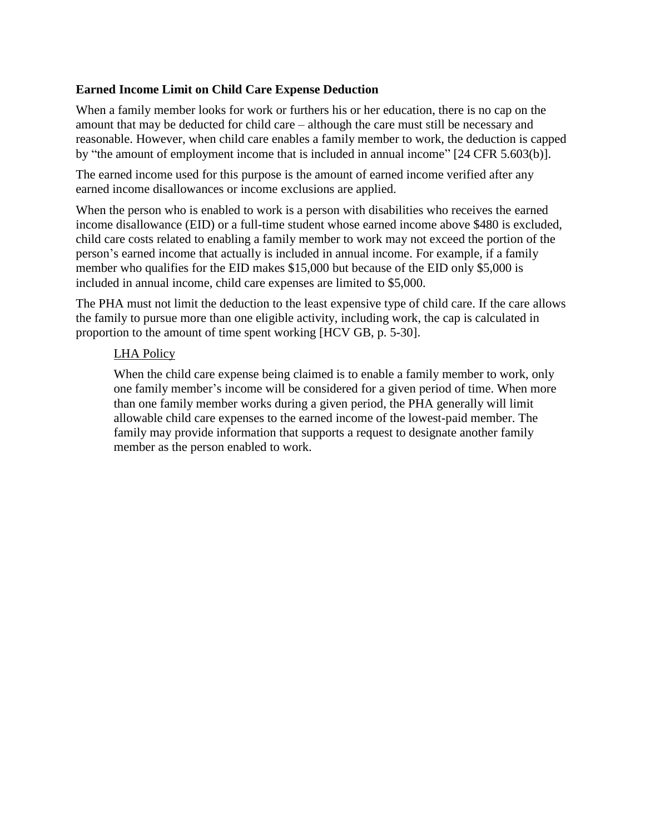### **Earned Income Limit on Child Care Expense Deduction**

When a family member looks for work or furthers his or her education, there is no cap on the amount that may be deducted for child care – although the care must still be necessary and reasonable. However, when child care enables a family member to work, the deduction is capped by "the amount of employment income that is included in annual income" [24 CFR 5.603(b)].

The earned income used for this purpose is the amount of earned income verified after any earned income disallowances or income exclusions are applied.

When the person who is enabled to work is a person with disabilities who receives the earned income disallowance (EID) or a full-time student whose earned income above \$480 is excluded, child care costs related to enabling a family member to work may not exceed the portion of the person's earned income that actually is included in annual income. For example, if a family member who qualifies for the EID makes \$15,000 but because of the EID only \$5,000 is included in annual income, child care expenses are limited to \$5,000.

The PHA must not limit the deduction to the least expensive type of child care. If the care allows the family to pursue more than one eligible activity, including work, the cap is calculated in proportion to the amount of time spent working [HCV GB, p. 5-30].

#### LHA Policy

When the child care expense being claimed is to enable a family member to work, only one family member's income will be considered for a given period of time. When more than one family member works during a given period, the PHA generally will limit allowable child care expenses to the earned income of the lowest-paid member. The family may provide information that supports a request to designate another family member as the person enabled to work.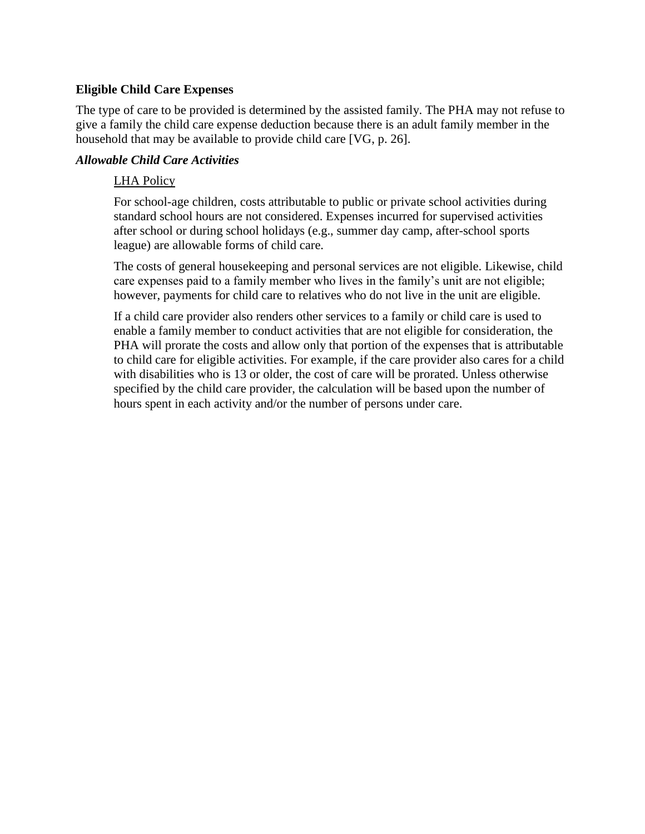### **Eligible Child Care Expenses**

The type of care to be provided is determined by the assisted family. The PHA may not refuse to give a family the child care expense deduction because there is an adult family member in the household that may be available to provide child care [VG, p. 26].

#### *Allowable Child Care Activities*

#### LHA Policy

For school-age children, costs attributable to public or private school activities during standard school hours are not considered. Expenses incurred for supervised activities after school or during school holidays (e.g., summer day camp, after-school sports league) are allowable forms of child care.

The costs of general housekeeping and personal services are not eligible. Likewise, child care expenses paid to a family member who lives in the family's unit are not eligible; however, payments for child care to relatives who do not live in the unit are eligible.

If a child care provider also renders other services to a family or child care is used to enable a family member to conduct activities that are not eligible for consideration, the PHA will prorate the costs and allow only that portion of the expenses that is attributable to child care for eligible activities. For example, if the care provider also cares for a child with disabilities who is 13 or older, the cost of care will be prorated. Unless otherwise specified by the child care provider, the calculation will be based upon the number of hours spent in each activity and/or the number of persons under care.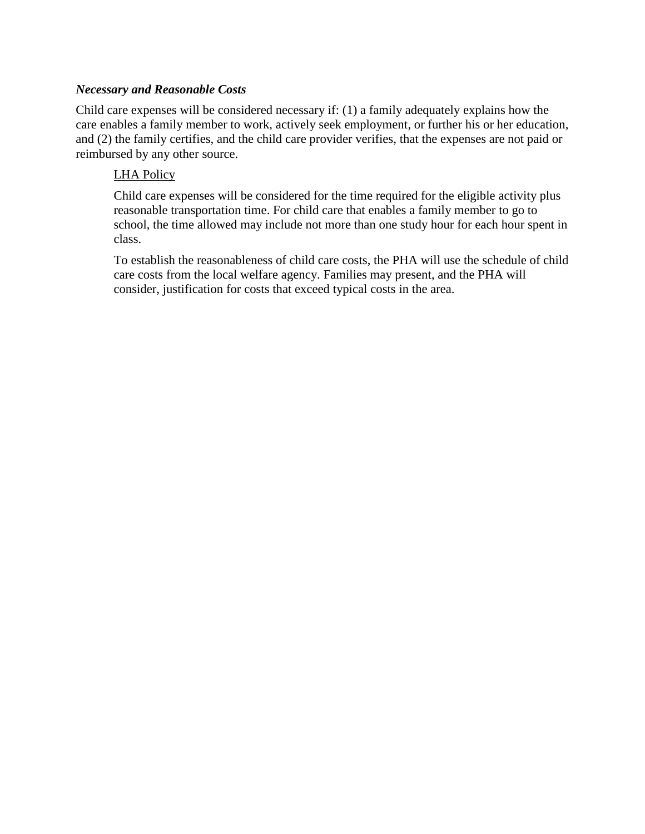### *Necessary and Reasonable Costs*

Child care expenses will be considered necessary if: (1) a family adequately explains how the care enables a family member to work, actively seek employment, or further his or her education, and (2) the family certifies, and the child care provider verifies, that the expenses are not paid or reimbursed by any other source.

#### LHA Policy

Child care expenses will be considered for the time required for the eligible activity plus reasonable transportation time. For child care that enables a family member to go to school, the time allowed may include not more than one study hour for each hour spent in class.

To establish the reasonableness of child care costs, the PHA will use the schedule of child care costs from the local welfare agency. Families may present, and the PHA will consider, justification for costs that exceed typical costs in the area.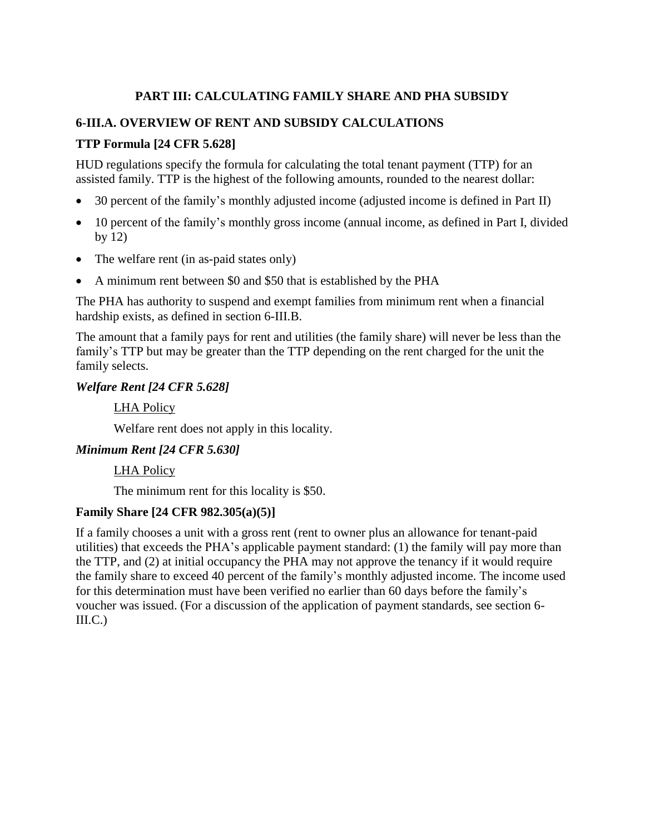# **PART III: CALCULATING FAMILY SHARE AND PHA SUBSIDY**

## **6-III.A. OVERVIEW OF RENT AND SUBSIDY CALCULATIONS**

## **TTP Formula [24 CFR 5.628]**

HUD regulations specify the formula for calculating the total tenant payment (TTP) for an assisted family. TTP is the highest of the following amounts, rounded to the nearest dollar:

- 30 percent of the family's monthly adjusted income (adjusted income is defined in Part II)
- 10 percent of the family's monthly gross income (annual income, as defined in Part I, divided by 12)
- The welfare rent (in as-paid states only)
- A minimum rent between \$0 and \$50 that is established by the PHA

The PHA has authority to suspend and exempt families from minimum rent when a financial hardship exists, as defined in section 6-III.B.

The amount that a family pays for rent and utilities (the family share) will never be less than the family's TTP but may be greater than the TTP depending on the rent charged for the unit the family selects.

#### *Welfare Rent [24 CFR 5.628]*

LHA Policy

Welfare rent does not apply in this locality.

#### *Minimum Rent [24 CFR 5.630]*

LHA Policy

The minimum rent for this locality is \$50.

## **Family Share [24 CFR 982.305(a)(5)]**

If a family chooses a unit with a gross rent (rent to owner plus an allowance for tenant-paid utilities) that exceeds the PHA's applicable payment standard: (1) the family will pay more than the TTP, and (2) at initial occupancy the PHA may not approve the tenancy if it would require the family share to exceed 40 percent of the family's monthly adjusted income. The income used for this determination must have been verified no earlier than 60 days before the family's voucher was issued. (For a discussion of the application of payment standards, see section 6-  $III.C.)$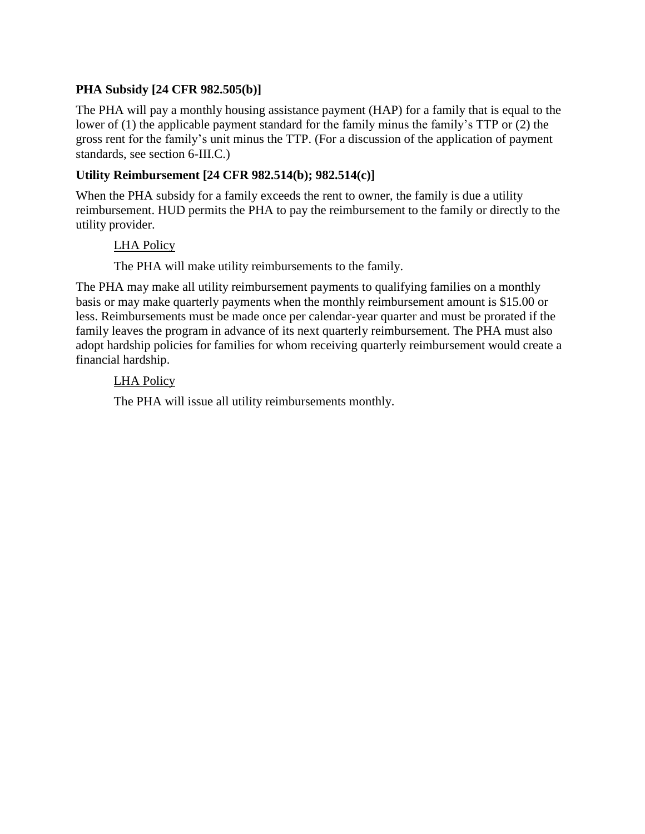# **PHA Subsidy [24 CFR 982.505(b)]**

The PHA will pay a monthly housing assistance payment (HAP) for a family that is equal to the lower of (1) the applicable payment standard for the family minus the family's TTP or (2) the gross rent for the family's unit minus the TTP. (For a discussion of the application of payment standards, see section 6-III.C.)

## **Utility Reimbursement [24 CFR 982.514(b); 982.514(c)]**

When the PHA subsidy for a family exceeds the rent to owner, the family is due a utility reimbursement. HUD permits the PHA to pay the reimbursement to the family or directly to the utility provider.

## LHA Policy

The PHA will make utility reimbursements to the family.

The PHA may make all utility reimbursement payments to qualifying families on a monthly basis or may make quarterly payments when the monthly reimbursement amount is \$15.00 or less. Reimbursements must be made once per calendar-year quarter and must be prorated if the family leaves the program in advance of its next quarterly reimbursement. The PHA must also adopt hardship policies for families for whom receiving quarterly reimbursement would create a financial hardship.

#### LHA Policy

The PHA will issue all utility reimbursements monthly.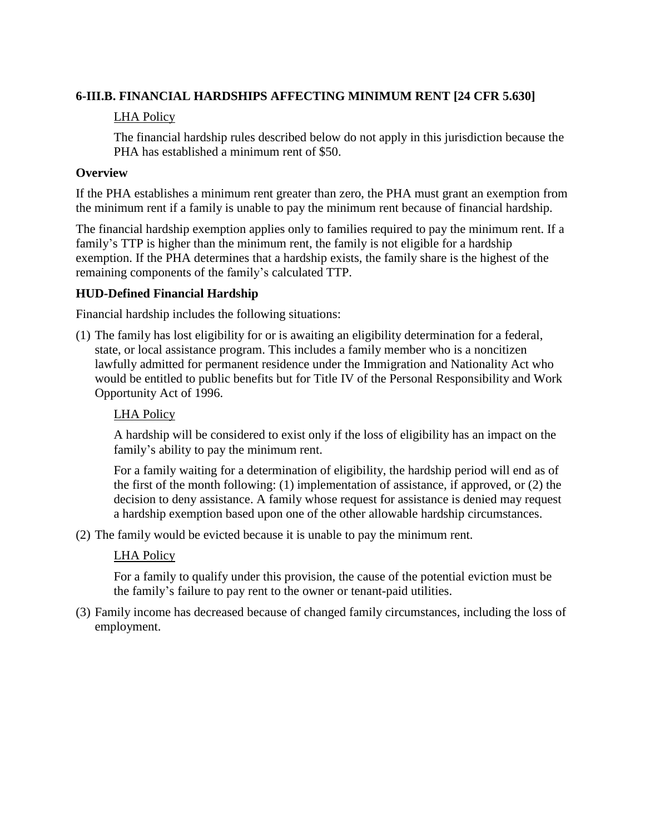## **6-III.B. FINANCIAL HARDSHIPS AFFECTING MINIMUM RENT [24 CFR 5.630]**

## LHA Policy

The financial hardship rules described below do not apply in this jurisdiction because the PHA has established a minimum rent of \$50.

#### **Overview**

If the PHA establishes a minimum rent greater than zero, the PHA must grant an exemption from the minimum rent if a family is unable to pay the minimum rent because of financial hardship.

The financial hardship exemption applies only to families required to pay the minimum rent. If a family's TTP is higher than the minimum rent, the family is not eligible for a hardship exemption. If the PHA determines that a hardship exists, the family share is the highest of the remaining components of the family's calculated TTP.

#### **HUD-Defined Financial Hardship**

Financial hardship includes the following situations:

(1) The family has lost eligibility for or is awaiting an eligibility determination for a federal, state, or local assistance program. This includes a family member who is a noncitizen lawfully admitted for permanent residence under the Immigration and Nationality Act who would be entitled to public benefits but for Title IV of the Personal Responsibility and Work Opportunity Act of 1996.

#### LHA Policy

A hardship will be considered to exist only if the loss of eligibility has an impact on the family's ability to pay the minimum rent.

For a family waiting for a determination of eligibility, the hardship period will end as of the first of the month following: (1) implementation of assistance, if approved, or (2) the decision to deny assistance. A family whose request for assistance is denied may request a hardship exemption based upon one of the other allowable hardship circumstances.

(2) The family would be evicted because it is unable to pay the minimum rent.

#### LHA Policy

For a family to qualify under this provision, the cause of the potential eviction must be the family's failure to pay rent to the owner or tenant-paid utilities.

(3) Family income has decreased because of changed family circumstances, including the loss of employment.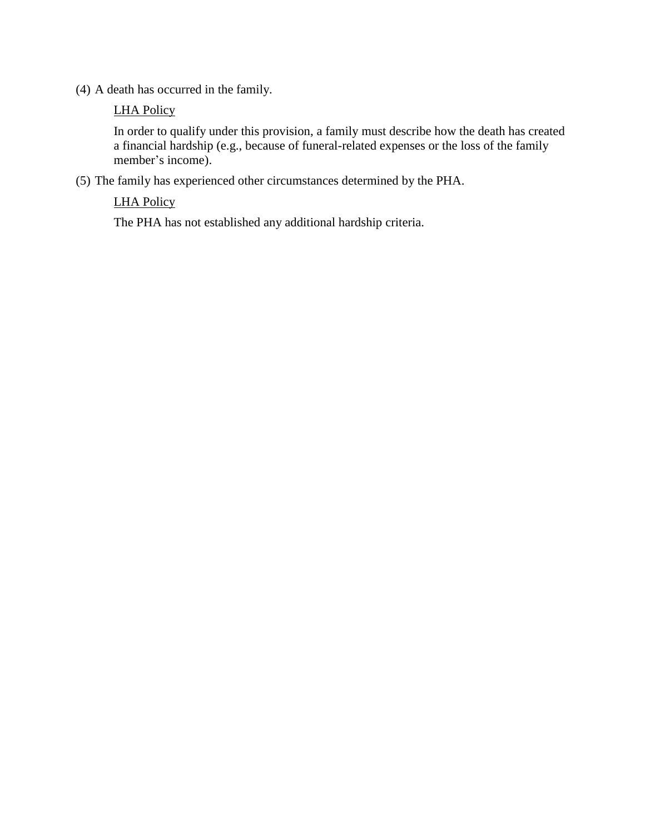(4) A death has occurred in the family.

## LHA Policy

In order to qualify under this provision, a family must describe how the death has created a financial hardship (e.g., because of funeral-related expenses or the loss of the family member's income).

(5) The family has experienced other circumstances determined by the PHA.

# LHA Policy

The PHA has not established any additional hardship criteria.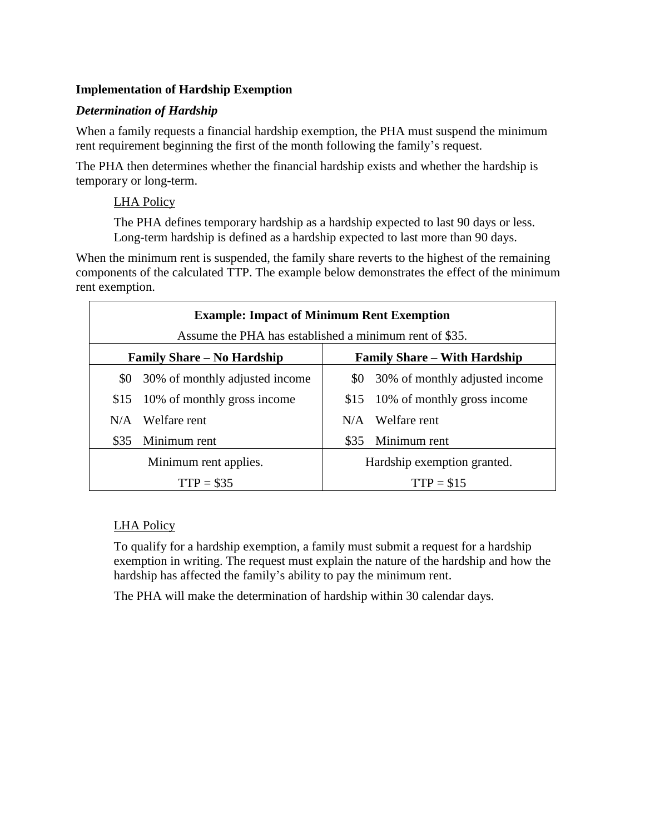# **Implementation of Hardship Exemption**

## *Determination of Hardship*

When a family requests a financial hardship exemption, the PHA must suspend the minimum rent requirement beginning the first of the month following the family's request.

The PHA then determines whether the financial hardship exists and whether the hardship is temporary or long-term.

## LHA Policy

The PHA defines temporary hardship as a hardship expected to last 90 days or less. Long-term hardship is defined as a hardship expected to last more than 90 days.

When the minimum rent is suspended, the family share reverts to the highest of the remaining components of the calculated TTP. The example below demonstrates the effect of the minimum rent exemption.

| <b>Example: Impact of Minimum Rent Exemption</b>       |                                |                                     |                                    |  |
|--------------------------------------------------------|--------------------------------|-------------------------------------|------------------------------------|--|
| Assume the PHA has established a minimum rent of \$35. |                                |                                     |                                    |  |
| <b>Family Share – No Hardship</b>                      |                                | <b>Family Share – With Hardship</b> |                                    |  |
| \$0                                                    | 30% of monthly adjusted income |                                     | \$0 30% of monthly adjusted income |  |
| \$15                                                   | 10% of monthly gross income    |                                     | \$15 10% of monthly gross income   |  |
| N/A                                                    | Welfare rent                   |                                     | $N/A$ Welfare rent                 |  |
| \$35                                                   | Minimum rent                   | \$35                                | Minimum rent                       |  |
| Minimum rent applies.                                  |                                | Hardship exemption granted.         |                                    |  |
| $TTP = $35$                                            |                                | $TTP = $15$                         |                                    |  |

# LHA Policy

To qualify for a hardship exemption, a family must submit a request for a hardship exemption in writing. The request must explain the nature of the hardship and how the hardship has affected the family's ability to pay the minimum rent.

The PHA will make the determination of hardship within 30 calendar days.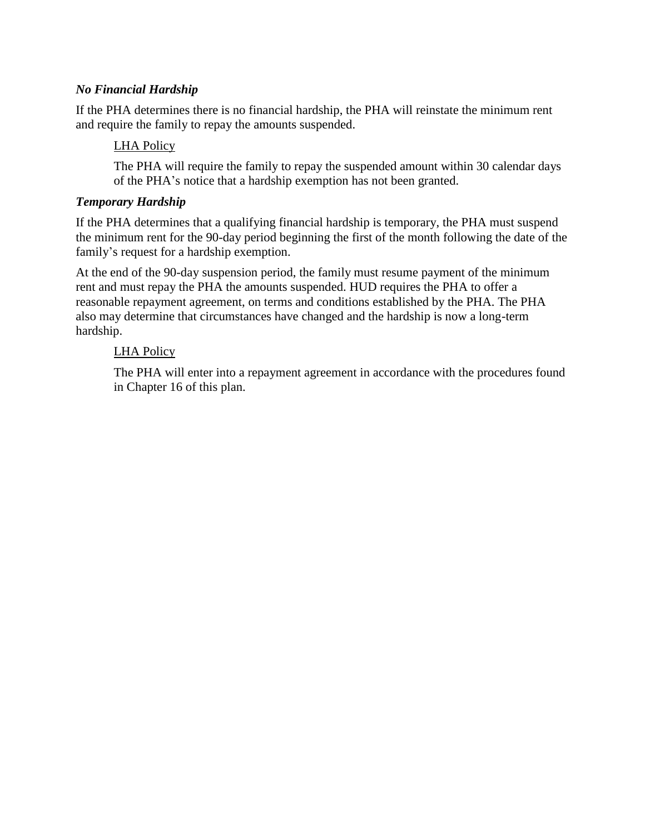## *No Financial Hardship*

If the PHA determines there is no financial hardship, the PHA will reinstate the minimum rent and require the family to repay the amounts suspended.

## LHA Policy

The PHA will require the family to repay the suspended amount within 30 calendar days of the PHA's notice that a hardship exemption has not been granted.

### *Temporary Hardship*

If the PHA determines that a qualifying financial hardship is temporary, the PHA must suspend the minimum rent for the 90-day period beginning the first of the month following the date of the family's request for a hardship exemption.

At the end of the 90-day suspension period, the family must resume payment of the minimum rent and must repay the PHA the amounts suspended. HUD requires the PHA to offer a reasonable repayment agreement, on terms and conditions established by the PHA. The PHA also may determine that circumstances have changed and the hardship is now a long-term hardship.

## LHA Policy

The PHA will enter into a repayment agreement in accordance with the procedures found in Chapter 16 of this plan.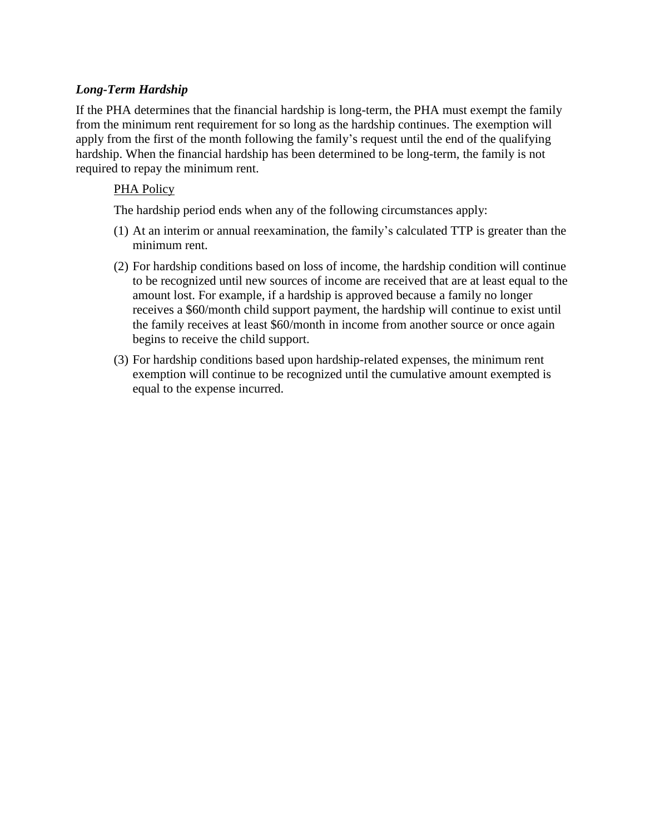## *Long-Term Hardship*

If the PHA determines that the financial hardship is long-term, the PHA must exempt the family from the minimum rent requirement for so long as the hardship continues. The exemption will apply from the first of the month following the family's request until the end of the qualifying hardship. When the financial hardship has been determined to be long-term, the family is not required to repay the minimum rent.

## PHA Policy

The hardship period ends when any of the following circumstances apply:

- (1) At an interim or annual reexamination, the family's calculated TTP is greater than the minimum rent.
- (2) For hardship conditions based on loss of income, the hardship condition will continue to be recognized until new sources of income are received that are at least equal to the amount lost. For example, if a hardship is approved because a family no longer receives a \$60/month child support payment, the hardship will continue to exist until the family receives at least \$60/month in income from another source or once again begins to receive the child support.
- (3) For hardship conditions based upon hardship-related expenses, the minimum rent exemption will continue to be recognized until the cumulative amount exempted is equal to the expense incurred.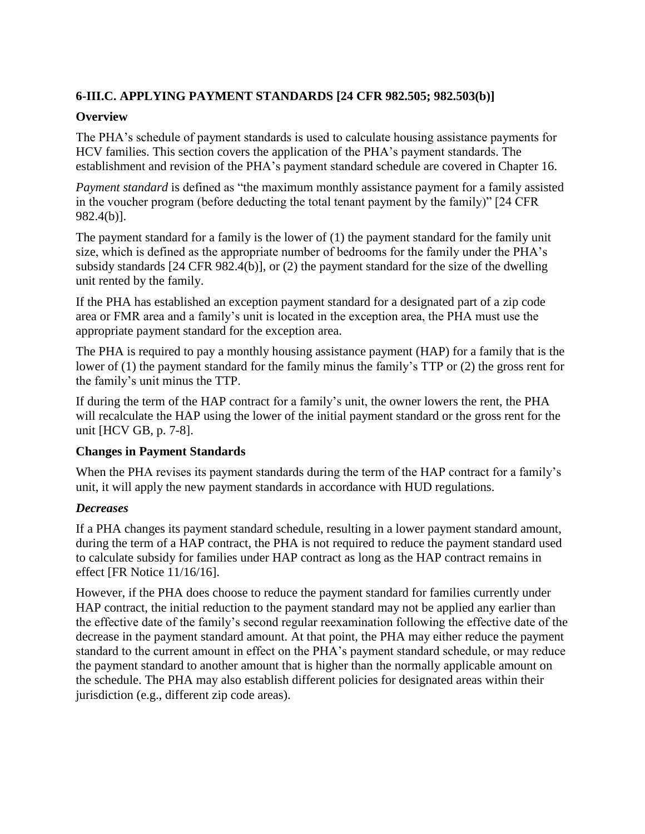# **6-III.C. APPLYING PAYMENT STANDARDS [24 CFR 982.505; 982.503(b)]**

### **Overview**

The PHA's schedule of payment standards is used to calculate housing assistance payments for HCV families. This section covers the application of the PHA's payment standards. The establishment and revision of the PHA's payment standard schedule are covered in Chapter 16.

*Payment standard* is defined as "the maximum monthly assistance payment for a family assisted in the voucher program (before deducting the total tenant payment by the family)" [24 CFR 982.4(b)].

The payment standard for a family is the lower of (1) the payment standard for the family unit size, which is defined as the appropriate number of bedrooms for the family under the PHA's subsidy standards [24 CFR 982.4(b)], or (2) the payment standard for the size of the dwelling unit rented by the family.

If the PHA has established an exception payment standard for a designated part of a zip code area or FMR area and a family's unit is located in the exception area, the PHA must use the appropriate payment standard for the exception area.

The PHA is required to pay a monthly housing assistance payment (HAP) for a family that is the lower of (1) the payment standard for the family minus the family's TTP or (2) the gross rent for the family's unit minus the TTP.

If during the term of the HAP contract for a family's unit, the owner lowers the rent, the PHA will recalculate the HAP using the lower of the initial payment standard or the gross rent for the unit [HCV GB, p. 7-8].

## **Changes in Payment Standards**

When the PHA revises its payment standards during the term of the HAP contract for a family's unit, it will apply the new payment standards in accordance with HUD regulations.

## *Decreases*

If a PHA changes its payment standard schedule, resulting in a lower payment standard amount, during the term of a HAP contract, the PHA is not required to reduce the payment standard used to calculate subsidy for families under HAP contract as long as the HAP contract remains in effect [FR Notice 11/16/16].

However, if the PHA does choose to reduce the payment standard for families currently under HAP contract, the initial reduction to the payment standard may not be applied any earlier than the effective date of the family's second regular reexamination following the effective date of the decrease in the payment standard amount. At that point, the PHA may either reduce the payment standard to the current amount in effect on the PHA's payment standard schedule, or may reduce the payment standard to another amount that is higher than the normally applicable amount on the schedule. The PHA may also establish different policies for designated areas within their jurisdiction (e.g., different zip code areas).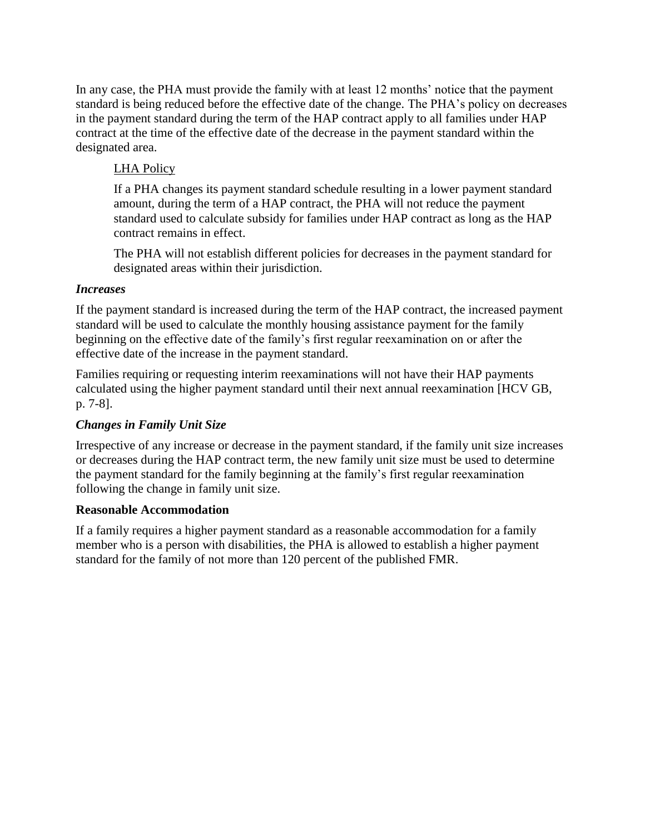In any case, the PHA must provide the family with at least 12 months' notice that the payment standard is being reduced before the effective date of the change. The PHA's policy on decreases in the payment standard during the term of the HAP contract apply to all families under HAP contract at the time of the effective date of the decrease in the payment standard within the designated area.

# LHA Policy

If a PHA changes its payment standard schedule resulting in a lower payment standard amount, during the term of a HAP contract, the PHA will not reduce the payment standard used to calculate subsidy for families under HAP contract as long as the HAP contract remains in effect.

The PHA will not establish different policies for decreases in the payment standard for designated areas within their jurisdiction.

## *Increases*

If the payment standard is increased during the term of the HAP contract, the increased payment standard will be used to calculate the monthly housing assistance payment for the family beginning on the effective date of the family's first regular reexamination on or after the effective date of the increase in the payment standard.

Families requiring or requesting interim reexaminations will not have their HAP payments calculated using the higher payment standard until their next annual reexamination [HCV GB, p. 7-8].

## *Changes in Family Unit Size*

Irrespective of any increase or decrease in the payment standard, if the family unit size increases or decreases during the HAP contract term, the new family unit size must be used to determine the payment standard for the family beginning at the family's first regular reexamination following the change in family unit size.

## **Reasonable Accommodation**

If a family requires a higher payment standard as a reasonable accommodation for a family member who is a person with disabilities, the PHA is allowed to establish a higher payment standard for the family of not more than 120 percent of the published FMR.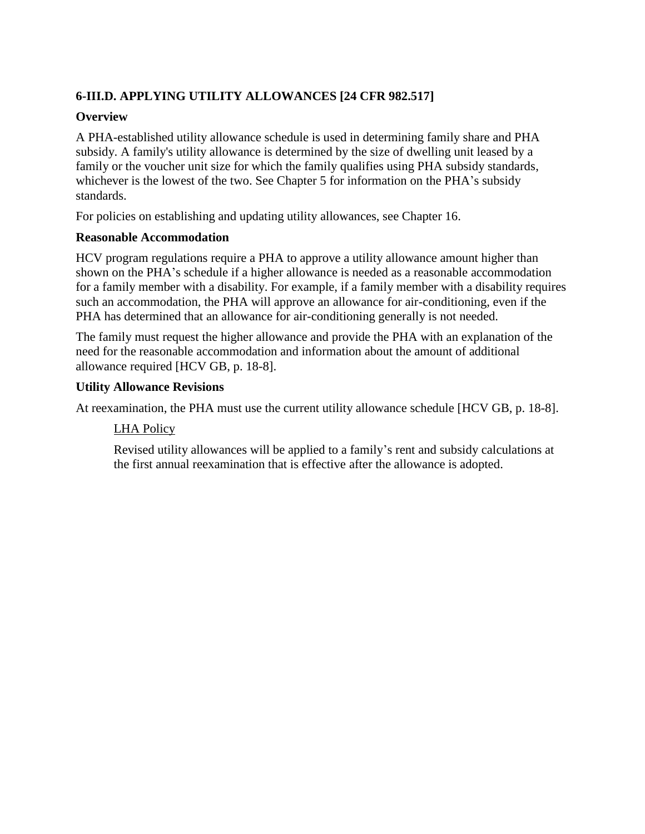# **6-III.D. APPLYING UTILITY ALLOWANCES [24 CFR 982.517]**

## **Overview**

A PHA-established utility allowance schedule is used in determining family share and PHA subsidy. A family's utility allowance is determined by the size of dwelling unit leased by a family or the voucher unit size for which the family qualifies using PHA subsidy standards, whichever is the lowest of the two. See Chapter 5 for information on the PHA's subsidy standards.

For policies on establishing and updating utility allowances, see Chapter 16.

# **Reasonable Accommodation**

HCV program regulations require a PHA to approve a utility allowance amount higher than shown on the PHA's schedule if a higher allowance is needed as a reasonable accommodation for a family member with a disability. For example, if a family member with a disability requires such an accommodation, the PHA will approve an allowance for air-conditioning, even if the PHA has determined that an allowance for air-conditioning generally is not needed.

The family must request the higher allowance and provide the PHA with an explanation of the need for the reasonable accommodation and information about the amount of additional allowance required [HCV GB, p. 18-8].

# **Utility Allowance Revisions**

At reexamination, the PHA must use the current utility allowance schedule [HCV GB, p. 18-8].

# LHA Policy

Revised utility allowances will be applied to a family's rent and subsidy calculations at the first annual reexamination that is effective after the allowance is adopted.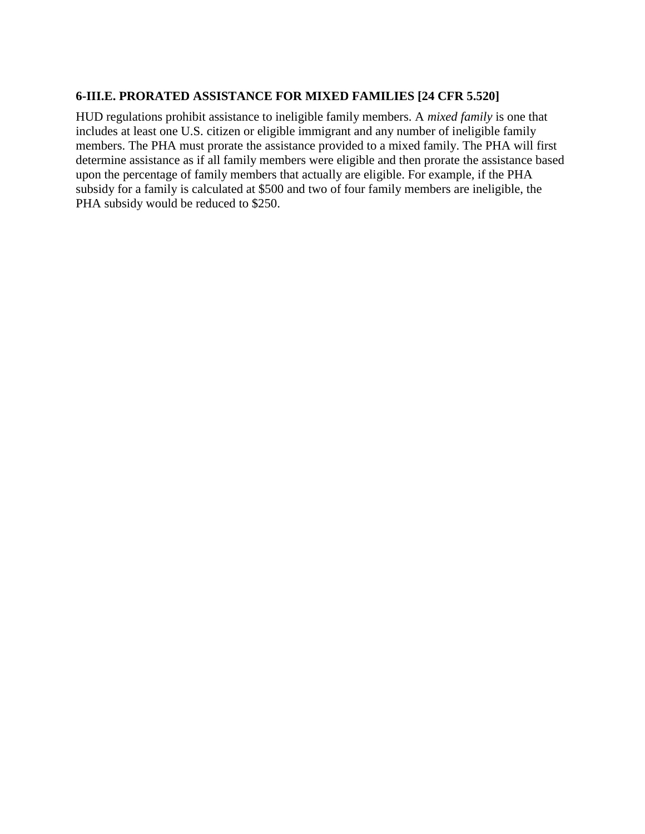## **6-III.E. PRORATED ASSISTANCE FOR MIXED FAMILIES [24 CFR 5.520]**

HUD regulations prohibit assistance to ineligible family members. A *mixed family* is one that includes at least one U.S. citizen or eligible immigrant and any number of ineligible family members. The PHA must prorate the assistance provided to a mixed family. The PHA will first determine assistance as if all family members were eligible and then prorate the assistance based upon the percentage of family members that actually are eligible. For example, if the PHA subsidy for a family is calculated at \$500 and two of four family members are ineligible, the PHA subsidy would be reduced to \$250.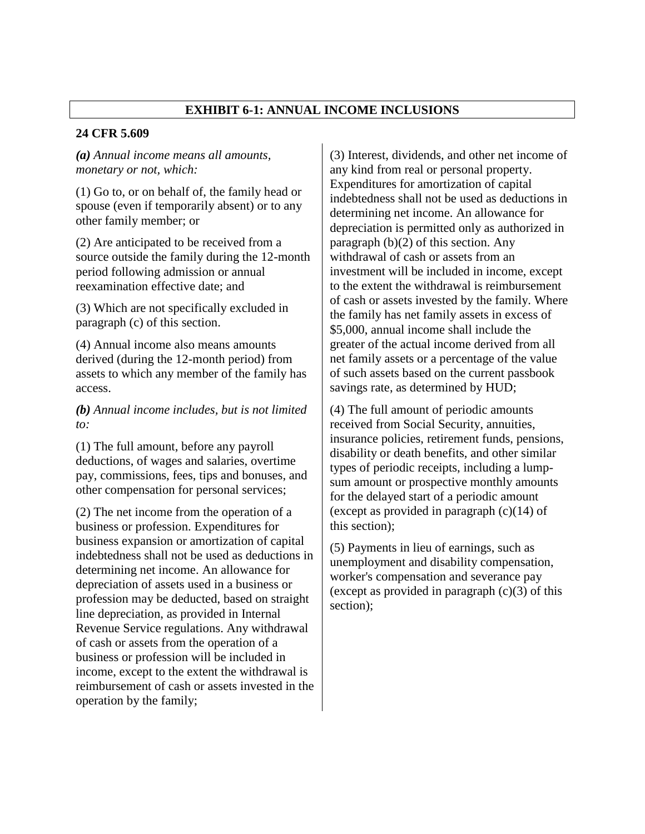## **EXHIBIT 6-1: ANNUAL INCOME INCLUSIONS**

#### **24 CFR 5.609**

#### *(a) Annual income means all amounts, monetary or not, which:*

(1) Go to, or on behalf of, the family head or spouse (even if temporarily absent) or to any other family member; or

(2) Are anticipated to be received from a source outside the family during the 12-month period following admission or annual reexamination effective date; and

(3) Which are not specifically excluded in paragraph (c) of this section.

(4) Annual income also means amounts derived (during the 12-month period) from assets to which any member of the family has access.

*(b) Annual income includes, but is not limited to:*

(1) The full amount, before any payroll deductions, of wages and salaries, overtime pay, commissions, fees, tips and bonuses, and other compensation for personal services;

(2) The net income from the operation of a business or profession. Expenditures for business expansion or amortization of capital indebtedness shall not be used as deductions in determining net income. An allowance for depreciation of assets used in a business or profession may be deducted, based on straight line depreciation, as provided in Internal Revenue Service regulations. Any withdrawal of cash or assets from the operation of a business or profession will be included in income, except to the extent the withdrawal is reimbursement of cash or assets invested in the operation by the family;

(3) Interest, dividends, and other net income of any kind from real or personal property. Expenditures for amortization of capital indebtedness shall not be used as deductions in determining net income. An allowance for depreciation is permitted only as authorized in paragraph (b)(2) of this section. Any withdrawal of cash or assets from an investment will be included in income, except to the extent the withdrawal is reimbursement of cash or assets invested by the family. Where the family has net family assets in excess of \$5,000, annual income shall include the greater of the actual income derived from all net family assets or a percentage of the value of such assets based on the current passbook savings rate, as determined by HUD;

(4) The full amount of periodic amounts received from Social Security, annuities, insurance policies, retirement funds, pensions, disability or death benefits, and other similar types of periodic receipts, including a lumpsum amount or prospective monthly amounts for the delayed start of a periodic amount (except as provided in paragraph  $(c)(14)$  of this section);

(5) Payments in lieu of earnings, such as unemployment and disability compensation, worker's compensation and severance pay (except as provided in paragraph  $(c)(3)$  of this section);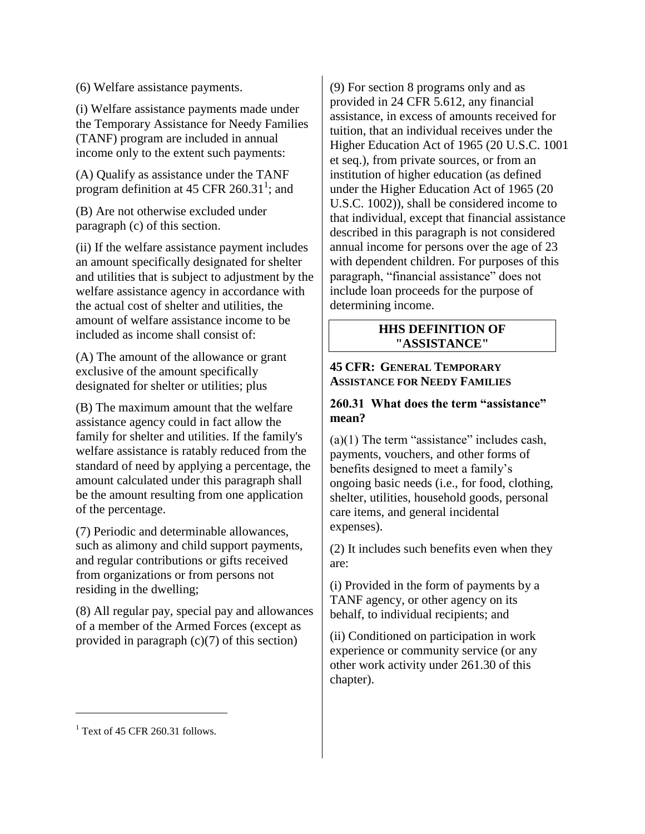(6) Welfare assistance payments.

(i) Welfare assistance payments made under the Temporary Assistance for Needy Families (TANF) program are included in annual income only to the extent such payments:

(A) Qualify as assistance under the TANF program definition at 45 CFR  $260.31^1$ ; and

(B) Are not otherwise excluded under paragraph (c) of this section.

(ii) If the welfare assistance payment includes an amount specifically designated for shelter and utilities that is subject to adjustment by the welfare assistance agency in accordance with the actual cost of shelter and utilities, the amount of welfare assistance income to be included as income shall consist of:

(A) The amount of the allowance or grant exclusive of the amount specifically designated for shelter or utilities; plus

(B) The maximum amount that the welfare assistance agency could in fact allow the family for shelter and utilities. If the family's welfare assistance is ratably reduced from the standard of need by applying a percentage, the amount calculated under this paragraph shall be the amount resulting from one application of the percentage.

(7) Periodic and determinable allowances, such as alimony and child support payments, and regular contributions or gifts received from organizations or from persons not residing in the dwelling;

(8) All regular pay, special pay and allowances of a member of the Armed Forces (except as provided in paragraph  $(c)(7)$  of this section)

(9) For section 8 programs only and as provided in 24 CFR 5.612, any financial assistance, in excess of amounts received for tuition, that an individual receives under the Higher Education Act of 1965 (20 U.S.C. 1001 et seq.), from private sources, or from an institution of higher education (as defined under the Higher Education Act of 1965 (20 U.S.C. 1002)), shall be considered income to that individual, except that financial assistance described in this paragraph is not considered annual income for persons over the age of 23 with dependent children. For purposes of this paragraph, "financial assistance" does not include loan proceeds for the purpose of determining income.

#### **HHS DEFINITION OF "ASSISTANCE"**

#### **45 CFR: GENERAL TEMPORARY ASSISTANCE FOR NEEDY FAMILIES**

## **260.31 What does the term "assistance" mean?**

 $(a)(1)$  The term "assistance" includes cash, payments, vouchers, and other forms of benefits designed to meet a family's ongoing basic needs (i.e., for food, clothing, shelter, utilities, household goods, personal care items, and general incidental expenses).

(2) It includes such benefits even when they are:

(i) Provided in the form of payments by a TANF agency, or other agency on its behalf, to individual recipients; and

(ii) Conditioned on participation in work experience or community service (or any other work activity under 261.30 of this chapter).

 $\overline{a}$ 

 $<sup>1</sup>$  Text of 45 CFR 260.31 follows.</sup>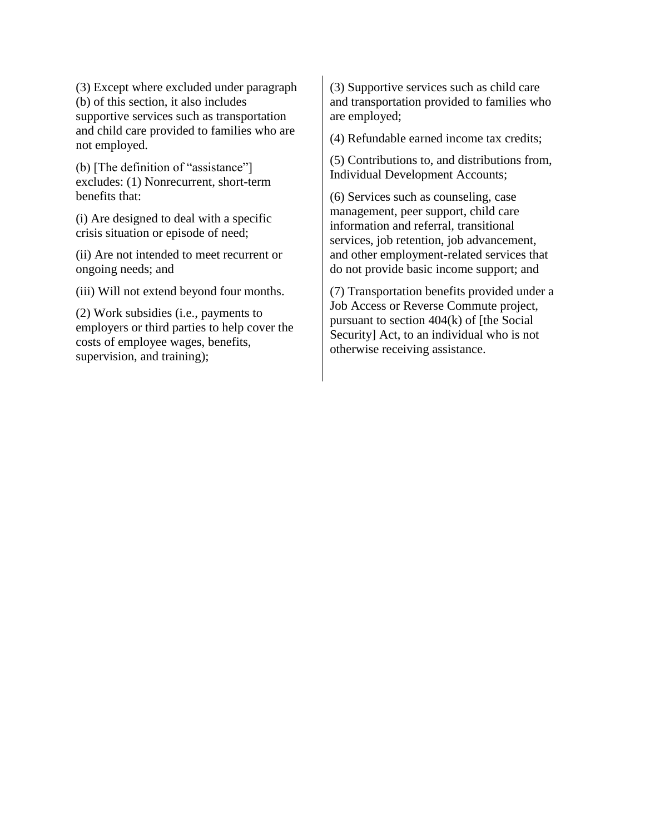(3) Except where excluded under paragraph (b) of this section, it also includes supportive services such as transportation and child care provided to families who are not employed.

(b) [The definition of "assistance"] excludes: (1) Nonrecurrent, short-term benefits that:

(i) Are designed to deal with a specific crisis situation or episode of need;

(ii) Are not intended to meet recurrent or ongoing needs; and

(iii) Will not extend beyond four months.

(2) Work subsidies (i.e., payments to employers or third parties to help cover the costs of employee wages, benefits, supervision, and training);

(3) Supportive services such as child care and transportation provided to families who are employed;

(4) Refundable earned income tax credits;

(5) Contributions to, and distributions from, Individual Development Accounts;

(6) Services such as counseling, case management, peer support, child care information and referral, transitional services, job retention, job advancement, and other employment-related services that do not provide basic income support; and

(7) Transportation benefits provided under a Job Access or Reverse Commute project, pursuant to section 404(k) of [the Social Security] Act, to an individual who is not otherwise receiving assistance.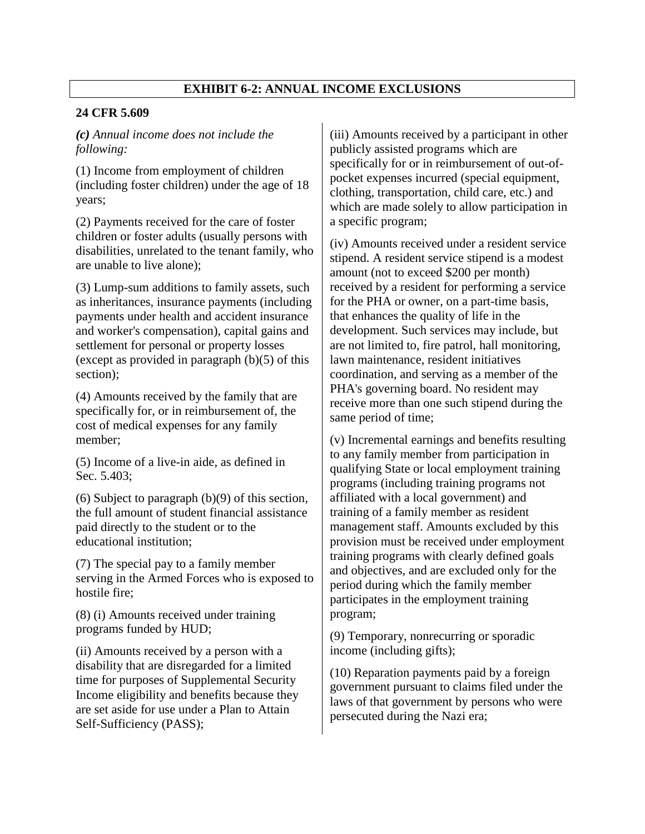# **EXHIBIT 6-2: ANNUAL INCOME EXCLUSIONS**

#### **24 CFR 5.609**

*(c) Annual income does not include the following:*

(1) Income from employment of children (including foster children) under the age of 18 years;

(2) Payments received for the care of foster children or foster adults (usually persons with disabilities, unrelated to the tenant family, who are unable to live alone);

(3) Lump-sum additions to family assets, such as inheritances, insurance payments (including payments under health and accident insurance and worker's compensation), capital gains and settlement for personal or property losses (except as provided in paragraph  $(b)(5)$  of this section);

(4) Amounts received by the family that are specifically for, or in reimbursement of, the cost of medical expenses for any family member;

(5) Income of a live-in aide, as defined in Sec. 5.403;

(6) Subject to paragraph (b)(9) of this section, the full amount of student financial assistance paid directly to the student or to the educational institution;

(7) The special pay to a family member serving in the Armed Forces who is exposed to hostile fire;

(8) (i) Amounts received under training programs funded by HUD;

(ii) Amounts received by a person with a disability that are disregarded for a limited time for purposes of Supplemental Security Income eligibility and benefits because they are set aside for use under a Plan to Attain Self-Sufficiency (PASS);

(iii) Amounts received by a participant in other publicly assisted programs which are specifically for or in reimbursement of out-ofpocket expenses incurred (special equipment, clothing, transportation, child care, etc.) and which are made solely to allow participation in a specific program;

(iv) Amounts received under a resident service stipend. A resident service stipend is a modest amount (not to exceed \$200 per month) received by a resident for performing a service for the PHA or owner, on a part-time basis, that enhances the quality of life in the development. Such services may include, but are not limited to, fire patrol, hall monitoring, lawn maintenance, resident initiatives coordination, and serving as a member of the PHA's governing board. No resident may receive more than one such stipend during the same period of time;

(v) Incremental earnings and benefits resulting to any family member from participation in qualifying State or local employment training programs (including training programs not affiliated with a local government) and training of a family member as resident management staff. Amounts excluded by this provision must be received under employment training programs with clearly defined goals and objectives, and are excluded only for the period during which the family member participates in the employment training program;

(9) Temporary, nonrecurring or sporadic income (including gifts);

(10) Reparation payments paid by a foreign government pursuant to claims filed under the laws of that government by persons who were persecuted during the Nazi era;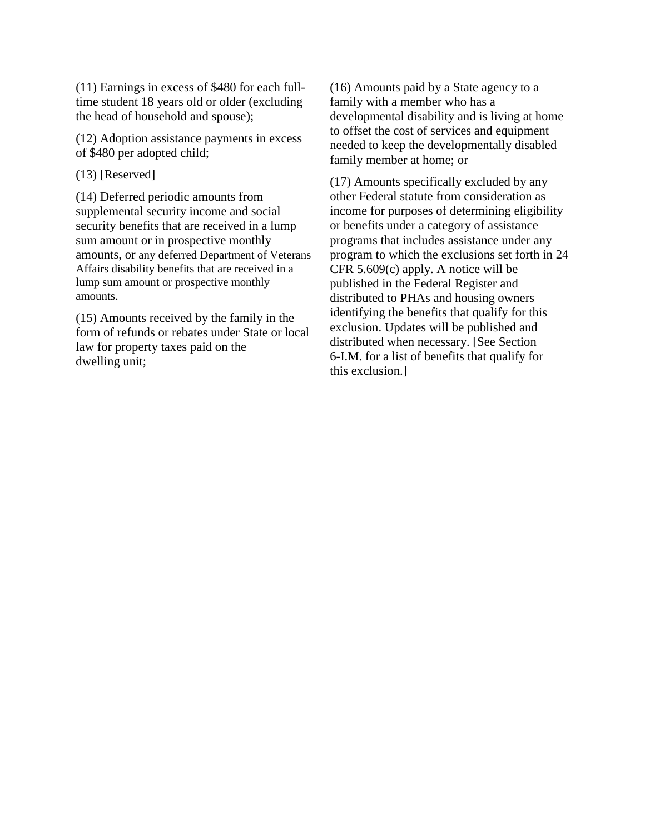(11) Earnings in excess of \$480 for each fulltime student 18 years old or older (excluding the head of household and spouse);

(12) Adoption assistance payments in excess of \$480 per adopted child;

(13) [Reserved]

(14) Deferred periodic amounts from supplemental security income and social security benefits that are received in a lump sum amount or in prospective monthly amounts, or any deferred Department of Veterans Affairs disability benefits that are received in a lump sum amount or prospective monthly amounts.

(15) Amounts received by the family in the form of refunds or rebates under State or local law for property taxes paid on the dwelling unit;

(16) Amounts paid by a State agency to a family with a member who has a developmental disability and is living at home to offset the cost of services and equipment needed to keep the developmentally disabled family member at home; or

(17) Amounts specifically excluded by any other Federal statute from consideration as income for purposes of determining eligibility or benefits under a category of assistance programs that includes assistance under any program to which the exclusions set forth in 24 CFR 5.609(c) apply. A notice will be published in the Federal Register and distributed to PHAs and housing owners identifying the benefits that qualify for this exclusion. Updates will be published and distributed when necessary. [See Section 6-I.M. for a list of benefits that qualify for this exclusion.]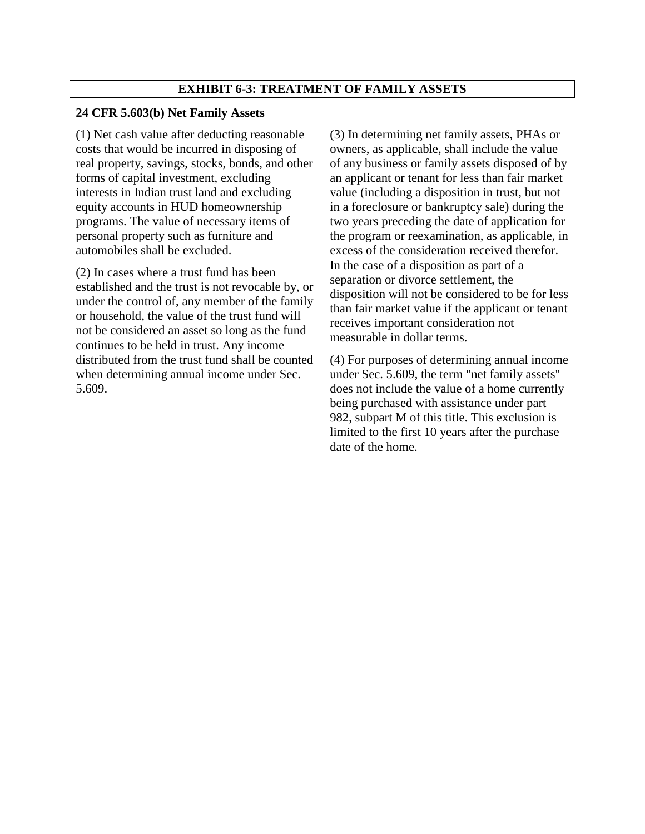#### **EXHIBIT 6-3: TREATMENT OF FAMILY ASSETS**

#### **24 CFR 5.603(b) Net Family Assets**

(1) Net cash value after deducting reasonable costs that would be incurred in disposing of real property, savings, stocks, bonds, and other forms of capital investment, excluding interests in Indian trust land and excluding equity accounts in HUD homeownership programs. The value of necessary items of personal property such as furniture and automobiles shall be excluded.

(2) In cases where a trust fund has been established and the trust is not revocable by, or under the control of, any member of the family or household, the value of the trust fund will not be considered an asset so long as the fund continues to be held in trust. Any income distributed from the trust fund shall be counted when determining annual income under Sec. 5.609.

(3) In determining net family assets, PHAs or owners, as applicable, shall include the value of any business or family assets disposed of by an applicant or tenant for less than fair market value (including a disposition in trust, but not in a foreclosure or bankruptcy sale) during the two years preceding the date of application for the program or reexamination, as applicable, in excess of the consideration received therefor. In the case of a disposition as part of a separation or divorce settlement, the disposition will not be considered to be for less than fair market value if the applicant or tenant receives important consideration not measurable in dollar terms.

(4) For purposes of determining annual income under Sec. 5.609, the term "net family assets'' does not include the value of a home currently being purchased with assistance under part 982, subpart M of this title. This exclusion is limited to the first 10 years after the purchase date of the home.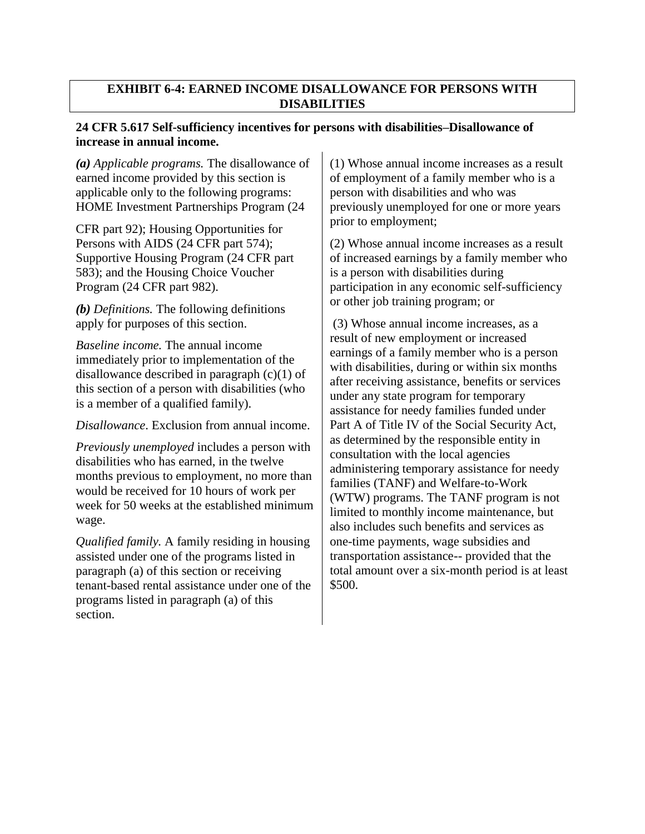### **EXHIBIT 6-4: EARNED INCOME DISALLOWANCE FOR PERSONS WITH DISABILITIES**

## **24 CFR 5.617 Self-sufficiency incentives for persons with disabilities–Disallowance of increase in annual income.**

*(a) Applicable programs.* The disallowance of earned income provided by this section is applicable only to the following programs: HOME Investment Partnerships Program (24

CFR part 92); Housing Opportunities for Persons with AIDS (24 CFR part 574); Supportive Housing Program (24 CFR part 583); and the Housing Choice Voucher Program (24 CFR part 982).

*(b) Definitions.* The following definitions apply for purposes of this section.

*Baseline income.* The annual income immediately prior to implementation of the disallowance described in paragraph (c)(1) of this section of a person with disabilities (who is a member of a qualified family).

*Disallowance*. Exclusion from annual income.

*Previously unemployed* includes a person with disabilities who has earned, in the twelve months previous to employment, no more than would be received for 10 hours of work per week for 50 weeks at the established minimum wage.

*Qualified family.* A family residing in housing assisted under one of the programs listed in paragraph (a) of this section or receiving tenant-based rental assistance under one of the programs listed in paragraph (a) of this section.

(1) Whose annual income increases as a result of employment of a family member who is a person with disabilities and who was previously unemployed for one or more years prior to employment;

(2) Whose annual income increases as a result of increased earnings by a family member who is a person with disabilities during participation in any economic self-sufficiency or other job training program; or

(3) Whose annual income increases, as a result of new employment or increased earnings of a family member who is a person with disabilities, during or within six months after receiving assistance, benefits or services under any state program for temporary assistance for needy families funded under Part A of Title IV of the Social Security Act, as determined by the responsible entity in consultation with the local agencies administering temporary assistance for needy families (TANF) and Welfare-to-Work (WTW) programs. The TANF program is not limited to monthly income maintenance, but also includes such benefits and services as one-time payments, wage subsidies and transportation assistance-- provided that the total amount over a six-month period is at least \$500.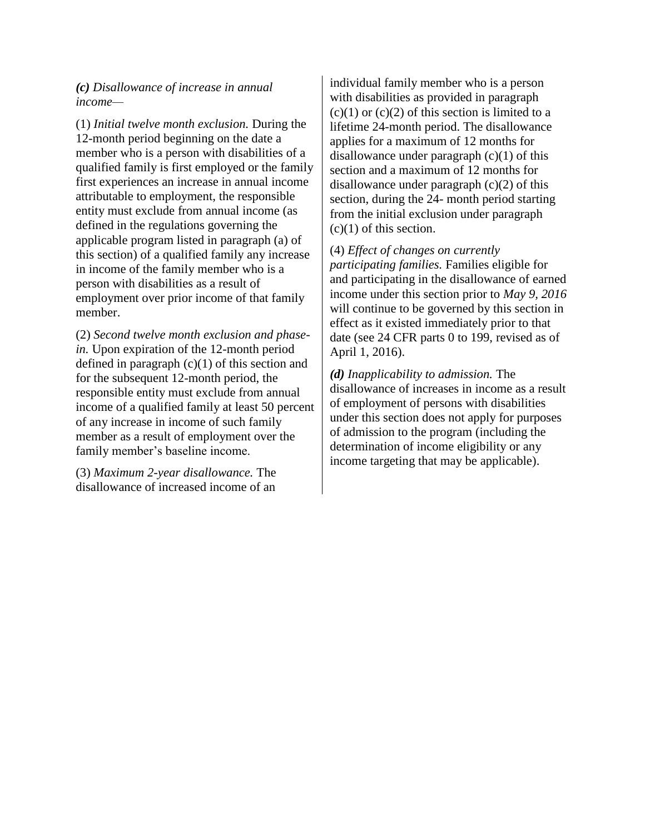*(c) Disallowance of increase in annual income—*

(1) *Initial twelve month exclusion.* During the 12-month period beginning on the date a member who is a person with disabilities of a qualified family is first employed or the family first experiences an increase in annual income attributable to employment, the responsible entity must exclude from annual income (as defined in the regulations governing the applicable program listed in paragraph (a) of this section) of a qualified family any increase in income of the family member who is a person with disabilities as a result of employment over prior income of that family member.

(2) *Second twelve month exclusion and phasein.* Upon expiration of the 12-month period defined in paragraph  $(c)(1)$  of this section and for the subsequent 12-month period, the responsible entity must exclude from annual income of a qualified family at least 50 percent of any increase in income of such family member as a result of employment over the family member's baseline income.

(3) *Maximum 2-year disallowance.* The disallowance of increased income of an individual family member who is a person with disabilities as provided in paragraph  $(c)(1)$  or  $(c)(2)$  of this section is limited to a lifetime 24-month period. The disallowance applies for a maximum of 12 months for disallowance under paragraph  $(c)(1)$  of this section and a maximum of 12 months for disallowance under paragraph (c)(2) of this section, during the 24- month period starting from the initial exclusion under paragraph (c)(1) of this section.

(4) *Effect of changes on currently participating families.* Families eligible for and participating in the disallowance of earned income under this section prior to *May 9, 2016*  will continue to be governed by this section in effect as it existed immediately prior to that date (see 24 CFR parts 0 to 199, revised as of April 1, 2016).

*(d) Inapplicability to admission.* The disallowance of increases in income as a result of employment of persons with disabilities under this section does not apply for purposes of admission to the program (including the determination of income eligibility or any income targeting that may be applicable).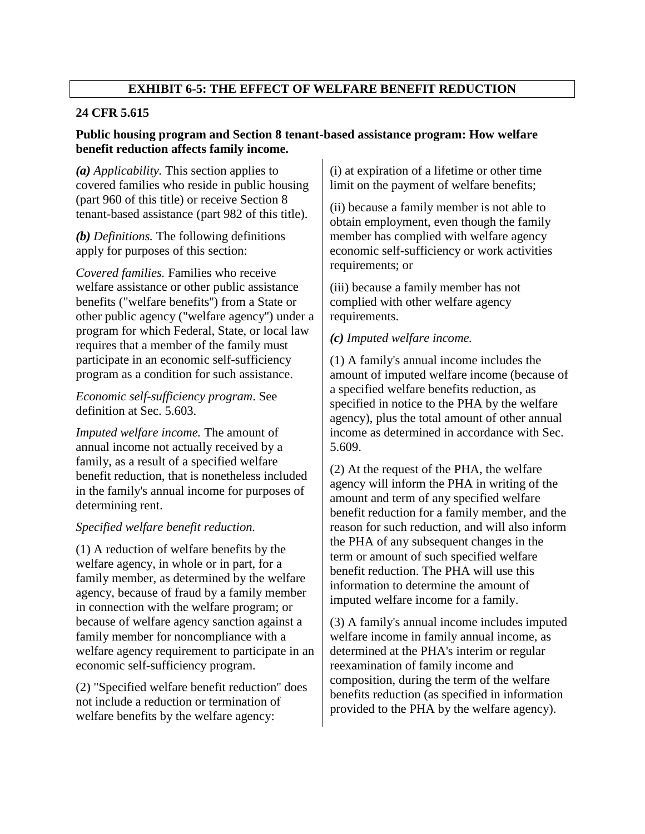# **EXHIBIT 6-5: THE EFFECT OF WELFARE BENEFIT REDUCTION**

### **24 CFR 5.615**

## **Public housing program and Section 8 tenant-based assistance program: How welfare benefit reduction affects family income.**

*(a) Applicability.* This section applies to covered families who reside in public housing (part 960 of this title) or receive Section 8 tenant-based assistance (part 982 of this title).

*(b) Definitions.* The following definitions apply for purposes of this section:

*Covered families.* Families who receive welfare assistance or other public assistance benefits ("welfare benefits'') from a State or other public agency ("welfare agency'') under a program for which Federal, State, or local law requires that a member of the family must participate in an economic self-sufficiency program as a condition for such assistance.

#### *Economic self-sufficiency program*. See definition at Sec. 5.603.

*Imputed welfare income.* The amount of annual income not actually received by a family, as a result of a specified welfare benefit reduction, that is nonetheless included in the family's annual income for purposes of determining rent.

## *Specified welfare benefit reduction.*

(1) A reduction of welfare benefits by the welfare agency, in whole or in part, for a family member, as determined by the welfare agency, because of fraud by a family member in connection with the welfare program; or because of welfare agency sanction against a family member for noncompliance with a welfare agency requirement to participate in an economic self-sufficiency program.

(2) "Specified welfare benefit reduction'' does not include a reduction or termination of welfare benefits by the welfare agency:

(i) at expiration of a lifetime or other time limit on the payment of welfare benefits;

(ii) because a family member is not able to obtain employment, even though the family member has complied with welfare agency economic self-sufficiency or work activities requirements; or

(iii) because a family member has not complied with other welfare agency requirements.

#### *(c) Imputed welfare income.*

(1) A family's annual income includes the amount of imputed welfare income (because of a specified welfare benefits reduction, as specified in notice to the PHA by the welfare agency), plus the total amount of other annual income as determined in accordance with Sec. 5.609.

(2) At the request of the PHA, the welfare agency will inform the PHA in writing of the amount and term of any specified welfare benefit reduction for a family member, and the reason for such reduction, and will also inform the PHA of any subsequent changes in the term or amount of such specified welfare benefit reduction. The PHA will use this information to determine the amount of imputed welfare income for a family.

(3) A family's annual income includes imputed welfare income in family annual income, as determined at the PHA's interim or regular reexamination of family income and composition, during the term of the welfare benefits reduction (as specified in information provided to the PHA by the welfare agency).